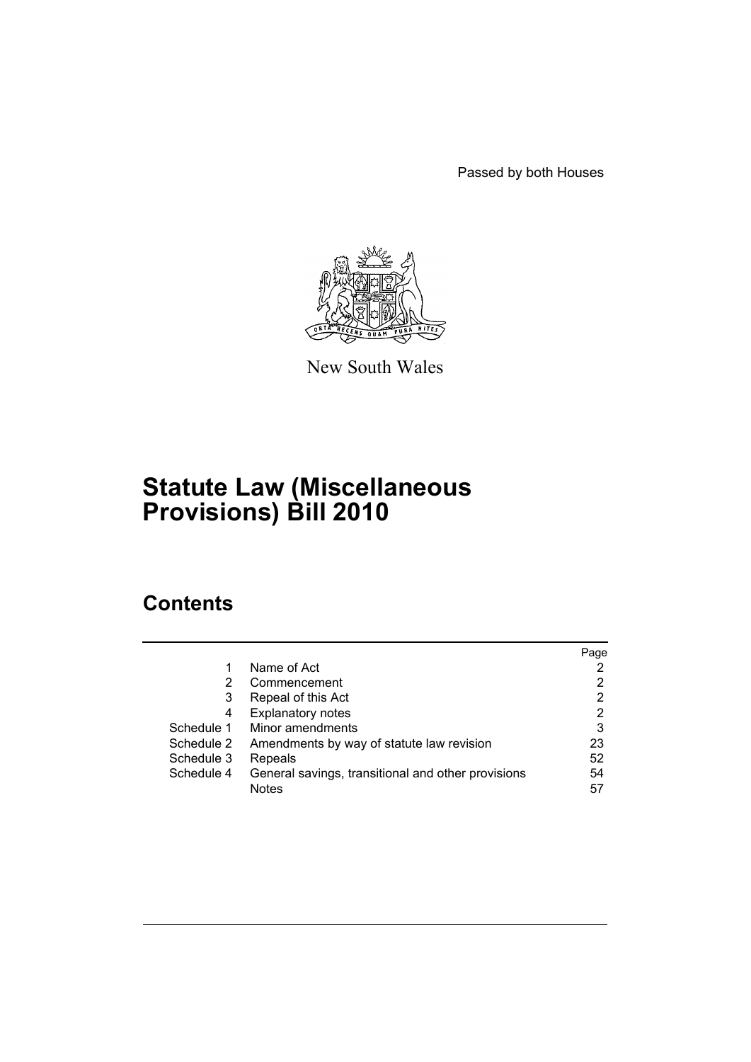Passed by both Houses



New South Wales

# **Statute Law (Miscellaneous Provisions) Bill 2010**

# **Contents**

|            |                                                    | Page |
|------------|----------------------------------------------------|------|
|            | Name of Act                                        |      |
| 2          | Commencement                                       | 2    |
| 3          | Repeal of this Act                                 | 2    |
| 4          | <b>Explanatory notes</b>                           | 2    |
| Schedule 1 | Minor amendments                                   | 3    |
| Schedule 2 | Amendments by way of statute law revision          | 23   |
| Schedule 3 | Repeals                                            | 52   |
| Schedule 4 | General savings, transitional and other provisions | 54   |
|            | <b>Notes</b>                                       | 57   |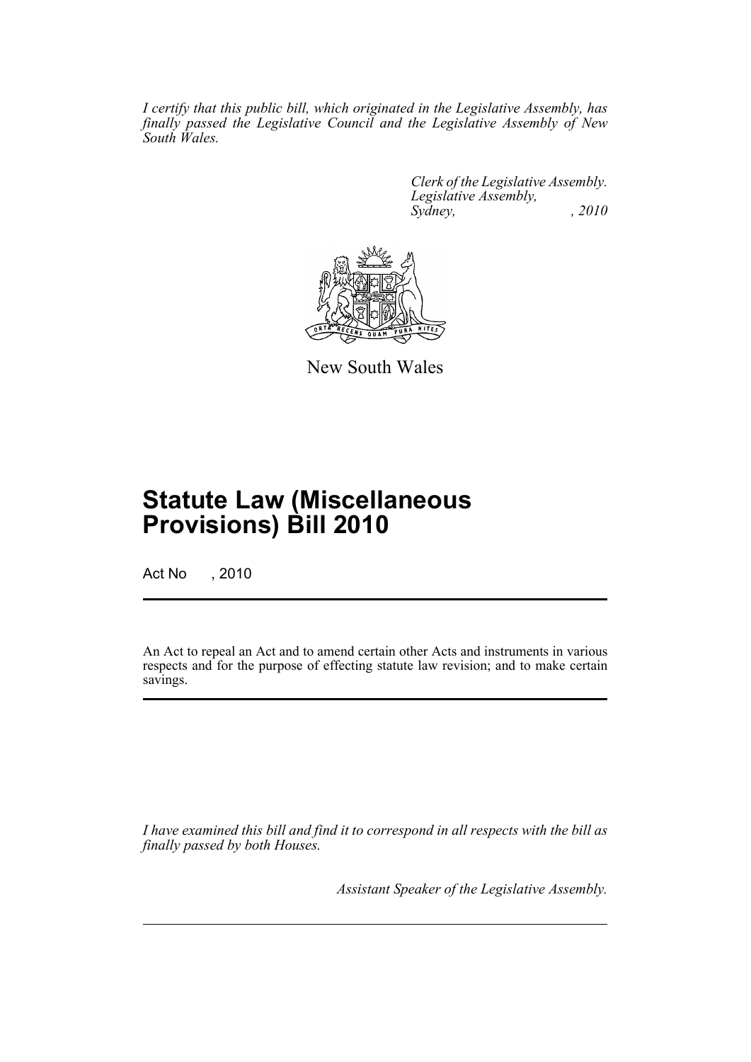*I certify that this public bill, which originated in the Legislative Assembly, has finally passed the Legislative Council and the Legislative Assembly of New South Wales.*

> *Clerk of the Legislative Assembly. Legislative Assembly, Sydney, , 2010*



New South Wales

# **Statute Law (Miscellaneous Provisions) Bill 2010**

Act No , 2010

An Act to repeal an Act and to amend certain other Acts and instruments in various respects and for the purpose of effecting statute law revision; and to make certain savings.

*I have examined this bill and find it to correspond in all respects with the bill as finally passed by both Houses.*

*Assistant Speaker of the Legislative Assembly.*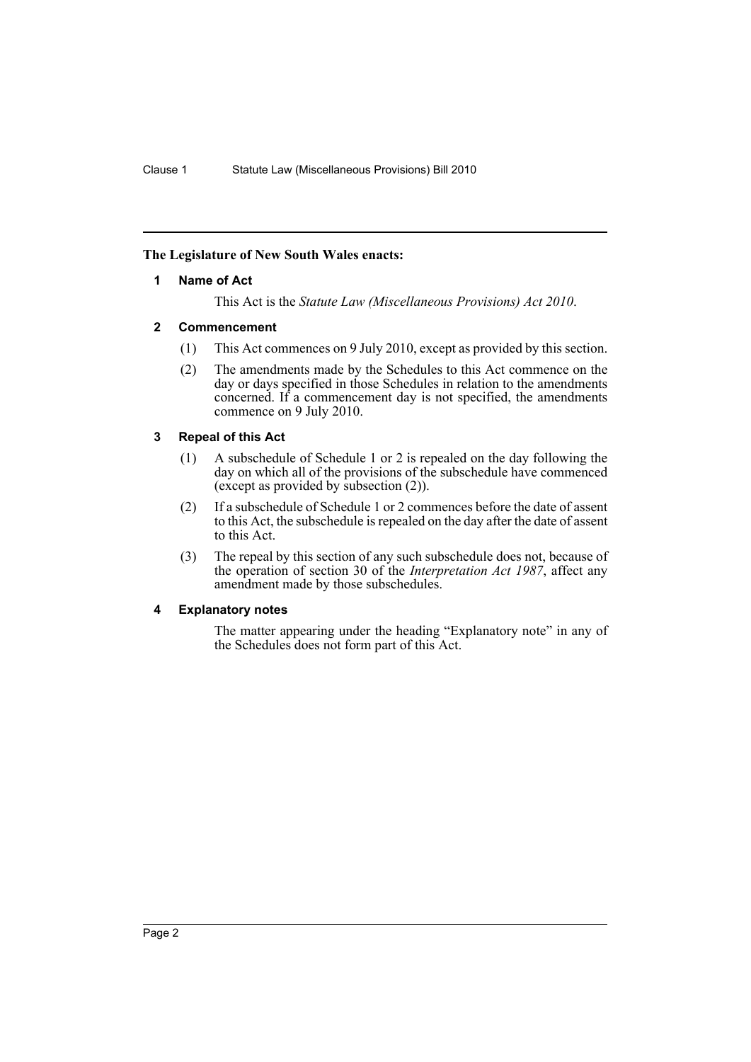### <span id="page-2-0"></span>**The Legislature of New South Wales enacts:**

### **1 Name of Act**

This Act is the *Statute Law (Miscellaneous Provisions) Act 2010*.

### <span id="page-2-1"></span>**2 Commencement**

- (1) This Act commences on 9 July 2010, except as provided by this section.
- (2) The amendments made by the Schedules to this Act commence on the day or days specified in those Schedules in relation to the amendments concerned. If a commencement day is not specified, the amendments commence on 9 July 2010.

# <span id="page-2-2"></span>**3 Repeal of this Act**

- (1) A subschedule of Schedule 1 or 2 is repealed on the day following the day on which all of the provisions of the subschedule have commenced (except as provided by subsection (2)).
- (2) If a subschedule of Schedule 1 or 2 commences before the date of assent to this Act, the subschedule is repealed on the day after the date of assent to this Act.
- (3) The repeal by this section of any such subschedule does not, because of the operation of section 30 of the *Interpretation Act 1987*, affect any amendment made by those subschedules.

# <span id="page-2-3"></span>**4 Explanatory notes**

The matter appearing under the heading "Explanatory note" in any of the Schedules does not form part of this Act.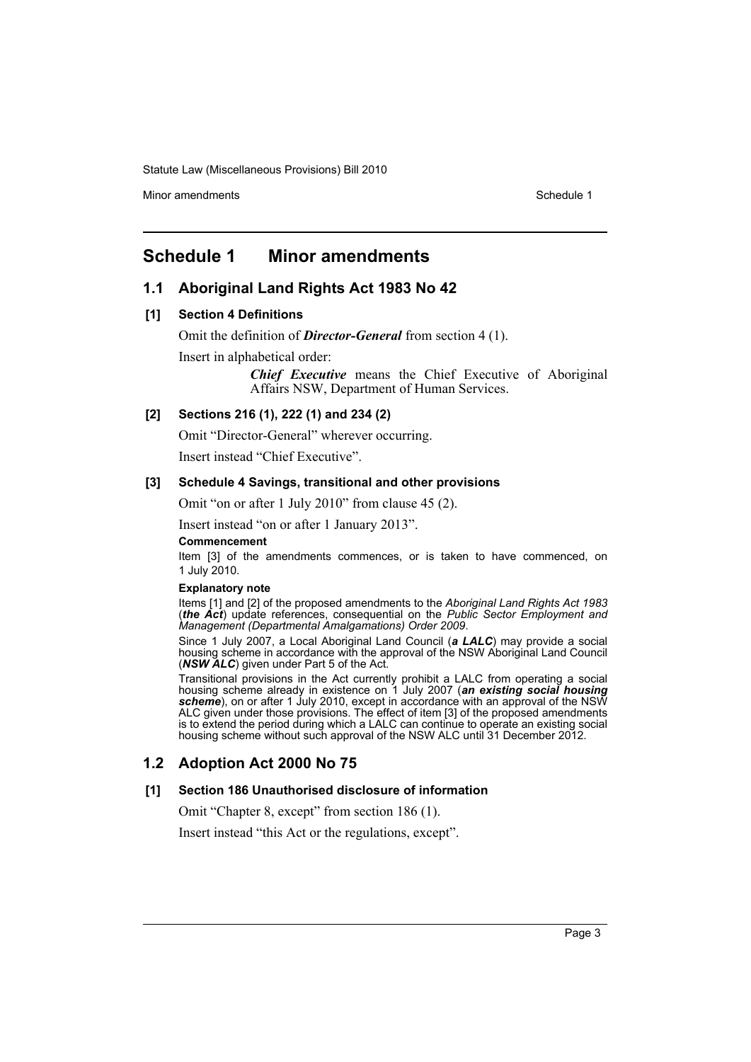Minor amendments **Schedule 1** and the state of the state 1 and the state of the Schedule 1

# <span id="page-3-0"></span>**Schedule 1 Minor amendments**

# **1.1 Aboriginal Land Rights Act 1983 No 42**

### **[1] Section 4 Definitions**

Omit the definition of *Director-General* from section 4 (1).

Insert in alphabetical order:

*Chief Executive* means the Chief Executive of Aboriginal Affairs NSW, Department of Human Services.

### **[2] Sections 216 (1), 222 (1) and 234 (2)**

Omit "Director-General" wherever occurring.

Insert instead "Chief Executive".

#### **[3] Schedule 4 Savings, transitional and other provisions**

Omit "on or after 1 July 2010" from clause 45 (2).

Insert instead "on or after 1 January 2013".

#### **Commencement**

Item [3] of the amendments commences, or is taken to have commenced, on 1 July 2010.

#### **Explanatory note**

Items [1] and [2] of the proposed amendments to the *Aboriginal Land Rights Act 1983* (*the Act*) update references, consequential on the *Public Sector Employment and Management (Departmental Amalgamations) Order 2009*.

Since 1 July 2007, a Local Aboriginal Land Council (*a LALC*) may provide a social housing scheme in accordance with the approval of the NSW Aboriginal Land Council (*NSW ALC*) given under Part 5 of the Act.

Transitional provisions in the Act currently prohibit a LALC from operating a social housing scheme already in existence on 1 July 2007 (*an existing social housing scheme*), on or after 1 July 2010, except in accordance with an approval of the NSW ALC given under those provisions. The effect of item [3] of the proposed amendments is to extend the period during which a LALC can continue to operate an existing social housing scheme without such approval of the NSW ALC until 31 December 2012.

# **1.2 Adoption Act 2000 No 75**

#### **[1] Section 186 Unauthorised disclosure of information**

Omit "Chapter 8, except" from section 186 (1).

Insert instead "this Act or the regulations, except".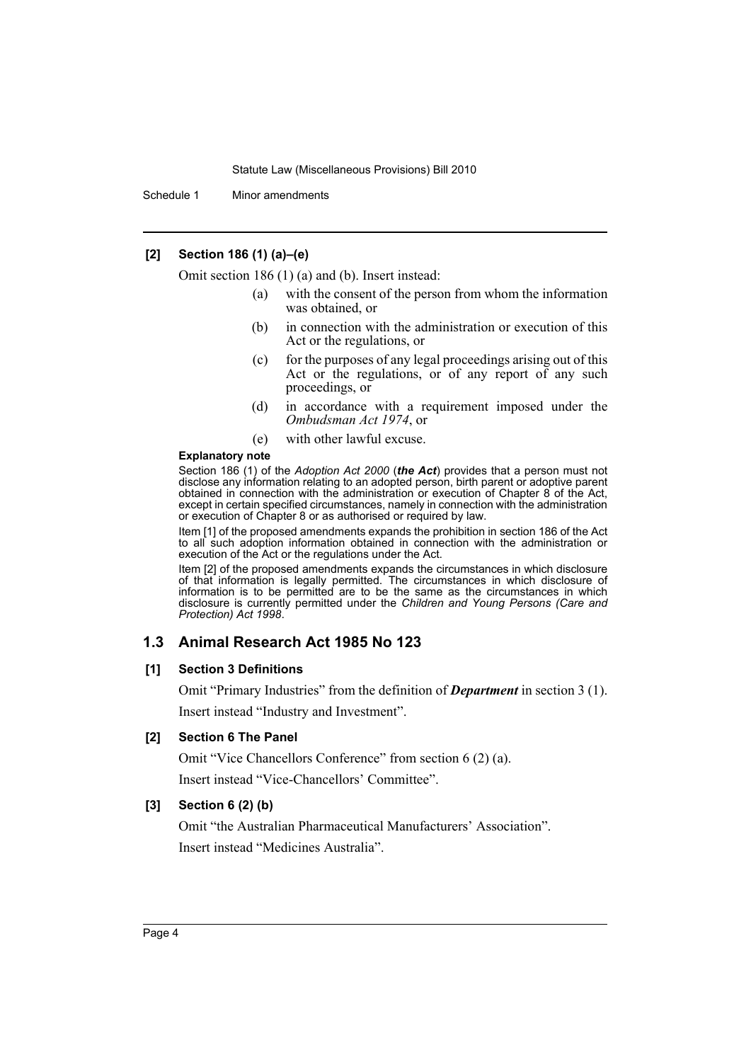Schedule 1 Minor amendments

# **[2] Section 186 (1) (a)–(e)**

Omit section 186 (1) (a) and (b). Insert instead:

- (a) with the consent of the person from whom the information was obtained, or
- (b) in connection with the administration or execution of this Act or the regulations, or
- (c) for the purposes of any legal proceedings arising out of this Act or the regulations, or of any report of any such proceedings, or
- (d) in accordance with a requirement imposed under the *Ombudsman Act 1974*, or
- (e) with other lawful excuse.

#### **Explanatory note**

Section 186 (1) of the *Adoption Act 2000* (*the Act*) provides that a person must not disclose any information relating to an adopted person, birth parent or adoptive parent obtained in connection with the administration or execution of Chapter 8 of the Act, except in certain specified circumstances, namely in connection with the administration or execution of Chapter 8 or as authorised or required by law.

Item [1] of the proposed amendments expands the prohibition in section 186 of the Act to all such adoption information obtained in connection with the administration or execution of the Act or the regulations under the Act.

Item [2] of the proposed amendments expands the circumstances in which disclosure of that information is legally permitted. The circumstances in which disclosure of information is to be permitted are to be the same as the circumstances in which disclosure is currently permitted under the *Children and Young Persons (Care and Protection) Act 1998*.

# **1.3 Animal Research Act 1985 No 123**

### **[1] Section 3 Definitions**

Omit "Primary Industries" from the definition of *Department* in section 3 (1). Insert instead "Industry and Investment".

# **[2] Section 6 The Panel**

Omit "Vice Chancellors Conference" from section 6 (2) (a). Insert instead "Vice-Chancellors' Committee".

# **[3] Section 6 (2) (b)**

Omit "the Australian Pharmaceutical Manufacturers' Association". Insert instead "Medicines Australia".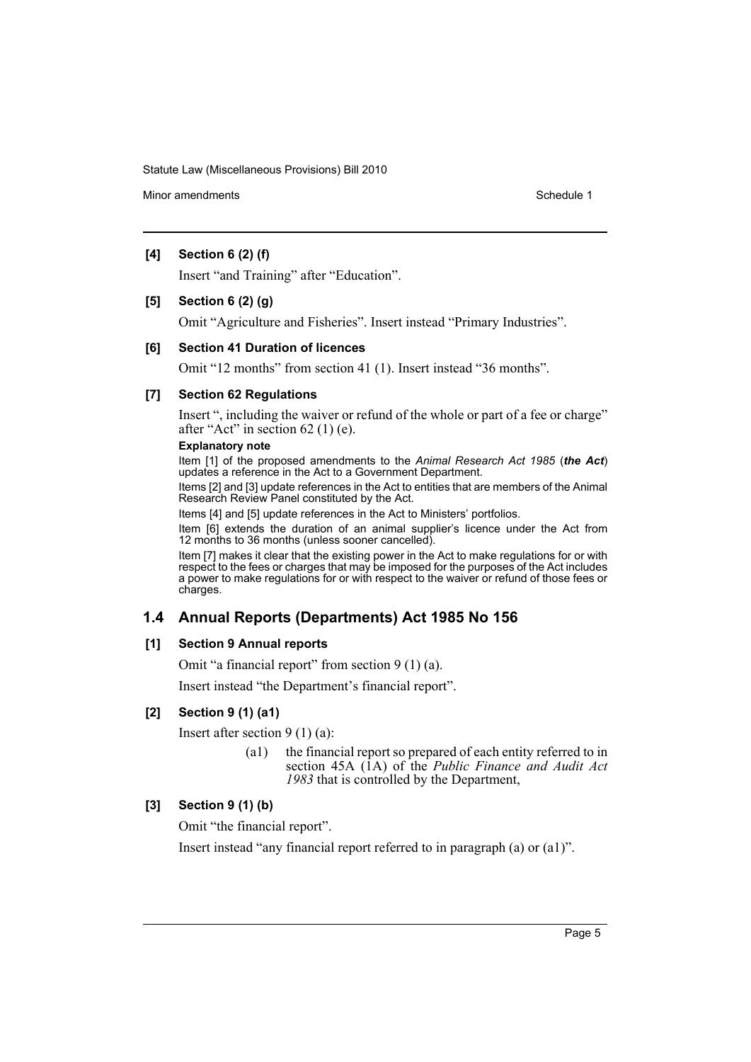Minor amendments **Schedule 1** and the state of the state of the Schedule 1

### **[4] Section 6 (2) (f)**

Insert "and Training" after "Education".

#### **[5] Section 6 (2) (g)**

Omit "Agriculture and Fisheries". Insert instead "Primary Industries".

### **[6] Section 41 Duration of licences**

Omit "12 months" from section 41 (1). Insert instead "36 months".

#### **[7] Section 62 Regulations**

Insert ", including the waiver or refund of the whole or part of a fee or charge" after "Act" in section 62 (1) (e).

#### **Explanatory note**

Item [1] of the proposed amendments to the *Animal Research Act 1985* (*the Act*) updates a reference in the Act to a Government Department.

Items [2] and [3] update references in the Act to entities that are members of the Animal Research Review Panel constituted by the Act.

Items [4] and [5] update references in the Act to Ministers' portfolios.

Item [6] extends the duration of an animal supplier's licence under the Act from 12 months to 36 months (unless sooner cancelled).

Item [7] makes it clear that the existing power in the Act to make regulations for or with respect to the fees or charges that may be imposed for the purposes of the Act includes a power to make regulations for or with respect to the waiver or refund of those fees or charges.

# **1.4 Annual Reports (Departments) Act 1985 No 156**

### **[1] Section 9 Annual reports**

Omit "a financial report" from section 9 (1) (a).

Insert instead "the Department's financial report".

### **[2] Section 9 (1) (a1)**

Insert after section 9 (1) (a):

(a1) the financial report so prepared of each entity referred to in section 45A (1A) of the *Public Finance and Audit Act 1983* that is controlled by the Department,

# **[3] Section 9 (1) (b)**

Omit "the financial report".

Insert instead "any financial report referred to in paragraph (a) or (a1)".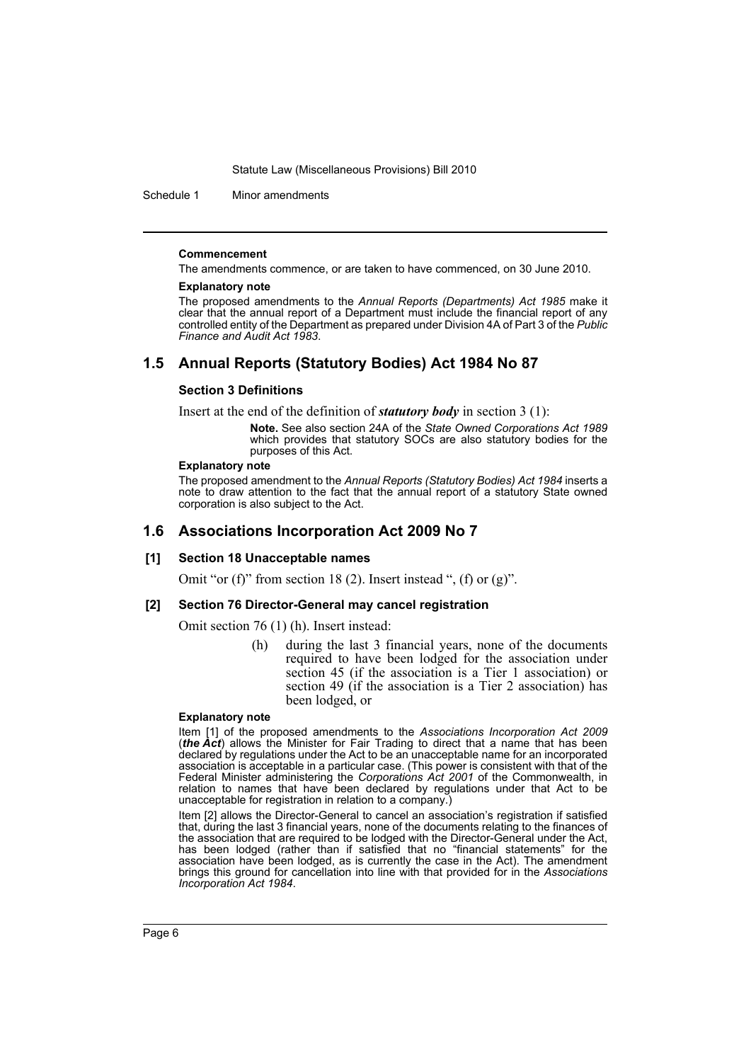Schedule 1 Minor amendments

#### **Commencement**

The amendments commence, or are taken to have commenced, on 30 June 2010.

#### **Explanatory note**

The proposed amendments to the *Annual Reports (Departments) Act 1985* make it clear that the annual report of a Department must include the financial report of any controlled entity of the Department as prepared under Division 4A of Part 3 of the *Public Finance and Audit Act 1983*.

# **1.5 Annual Reports (Statutory Bodies) Act 1984 No 87**

#### **Section 3 Definitions**

Insert at the end of the definition of *statutory body* in section 3 (1):

**Note.** See also section 24A of the *State Owned Corporations Act 1989* which provides that statutory SOCs are also statutory bodies for the purposes of this Act.

#### **Explanatory note**

The proposed amendment to the *Annual Reports (Statutory Bodies) Act 1984* inserts a note to draw attention to the fact that the annual report of a statutory State owned corporation is also subject to the Act.

# **1.6 Associations Incorporation Act 2009 No 7**

#### **[1] Section 18 Unacceptable names**

Omit "or (f)" from section 18 (2). Insert instead ", (f) or  $(g)$ ".

#### **[2] Section 76 Director-General may cancel registration**

Omit section 76 (1) (h). Insert instead:

(h) during the last 3 financial years, none of the documents required to have been lodged for the association under section 45 (if the association is a Tier 1 association) or section 49 (if the association is a Tier 2 association) has been lodged, or

#### **Explanatory note**

Item [1] of the proposed amendments to the *Associations Incorporation Act 2009* (*the Act*) allows the Minister for Fair Trading to direct that a name that has been declared by regulations under the Act to be an unacceptable name for an incorporated association is acceptable in a particular case. (This power is consistent with that of the Federal Minister administering the *Corporations Act 2001* of the Commonwealth, in relation to names that have been declared by regulations under that Act to be unacceptable for registration in relation to a company.)

Item [2] allows the Director-General to cancel an association's registration if satisfied that, during the last 3 financial years, none of the documents relating to the finances of the association that are required to be lodged with the Director-General under the Act, has been lodged (rather than if satisfied that no "financial statements" for the association have been lodged, as is currently the case in the Act). The amendment brings this ground for cancellation into line with that provided for in the *Associations Incorporation Act 1984*.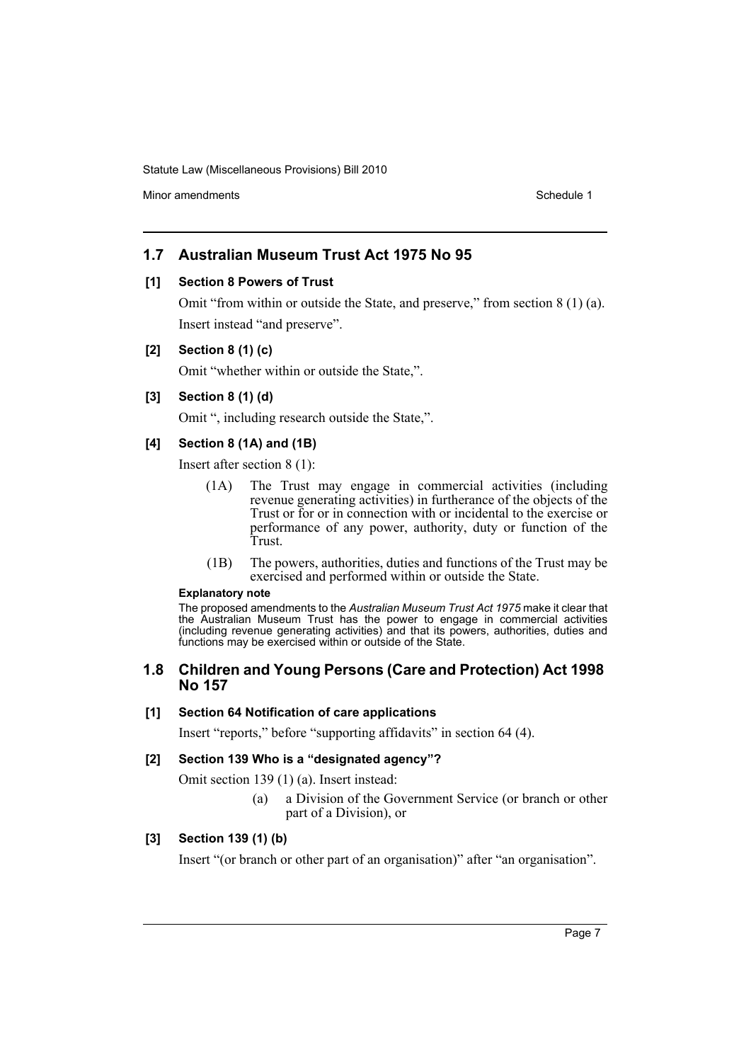Minor amendments **Schedule 1** and the state of the state of the Schedule 1

# **1.7 Australian Museum Trust Act 1975 No 95**

### **[1] Section 8 Powers of Trust**

Omit "from within or outside the State, and preserve," from section 8 (1) (a). Insert instead "and preserve".

### **[2] Section 8 (1) (c)**

Omit "whether within or outside the State,".

### **[3] Section 8 (1) (d)**

Omit ", including research outside the State,".

### **[4] Section 8 (1A) and (1B)**

Insert after section 8 (1):

- (1A) The Trust may engage in commercial activities (including revenue generating activities) in furtherance of the objects of the Trust or for or in connection with or incidental to the exercise or performance of any power, authority, duty or function of the Trust.
- (1B) The powers, authorities, duties and functions of the Trust may be exercised and performed within or outside the State.

#### **Explanatory note**

The proposed amendments to the *Australian Museum Trust Act 1975* make it clear that the Australian Museum Trust has the power to engage in commercial activities (including revenue generating activities) and that its powers, authorities, duties and functions may be exercised within or outside of the State.

# **1.8 Children and Young Persons (Care and Protection) Act 1998 No 157**

### **[1] Section 64 Notification of care applications**

Insert "reports," before "supporting affidavits" in section 64 (4).

# **[2] Section 139 Who is a "designated agency"?**

Omit section 139 (1) (a). Insert instead:

(a) a Division of the Government Service (or branch or other part of a Division), or

### **[3] Section 139 (1) (b)**

Insert "(or branch or other part of an organisation)" after "an organisation".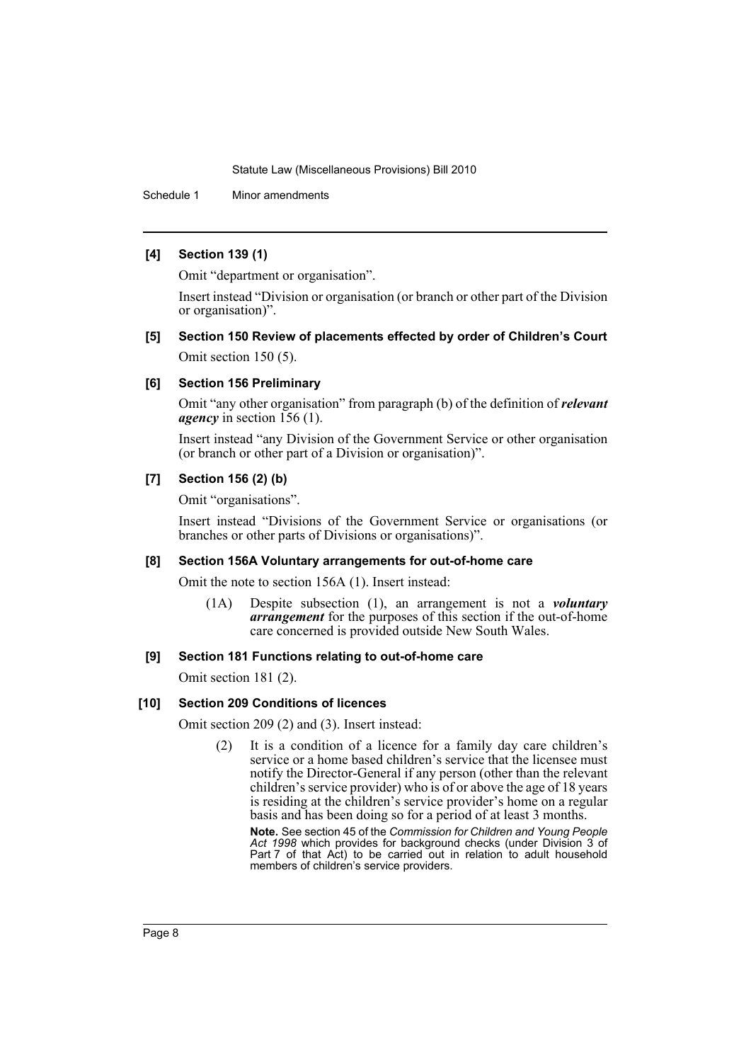Schedule 1 Minor amendments

### **[4] Section 139 (1)**

Omit "department or organisation".

Insert instead "Division or organisation (or branch or other part of the Division or organisation)".

# **[5] Section 150 Review of placements effected by order of Children's Court** Omit section 150 (5).

### **[6] Section 156 Preliminary**

Omit "any other organisation" from paragraph (b) of the definition of *relevant agency* in section 156 (1).

Insert instead "any Division of the Government Service or other organisation (or branch or other part of a Division or organisation)".

### **[7] Section 156 (2) (b)**

Omit "organisations".

Insert instead "Divisions of the Government Service or organisations (or branches or other parts of Divisions or organisations)".

#### **[8] Section 156A Voluntary arrangements for out-of-home care**

Omit the note to section 156A (1). Insert instead:

(1A) Despite subsection (1), an arrangement is not a *voluntary arrangement* for the purposes of this section if the out-of-home care concerned is provided outside New South Wales.

# **[9] Section 181 Functions relating to out-of-home care**

Omit section 181 (2).

# **[10] Section 209 Conditions of licences**

Omit section 209 (2) and (3). Insert instead:

(2) It is a condition of a licence for a family day care children's service or a home based children's service that the licensee must notify the Director-General if any person (other than the relevant children's service provider) who is of or above the age of 18 years is residing at the children's service provider's home on a regular basis and has been doing so for a period of at least 3 months.

**Note.** See section 45 of the *Commission for Children and Young People Act 1998* which provides for background checks (under Division 3 of Part 7 of that Act) to be carried out in relation to adult household members of children's service providers.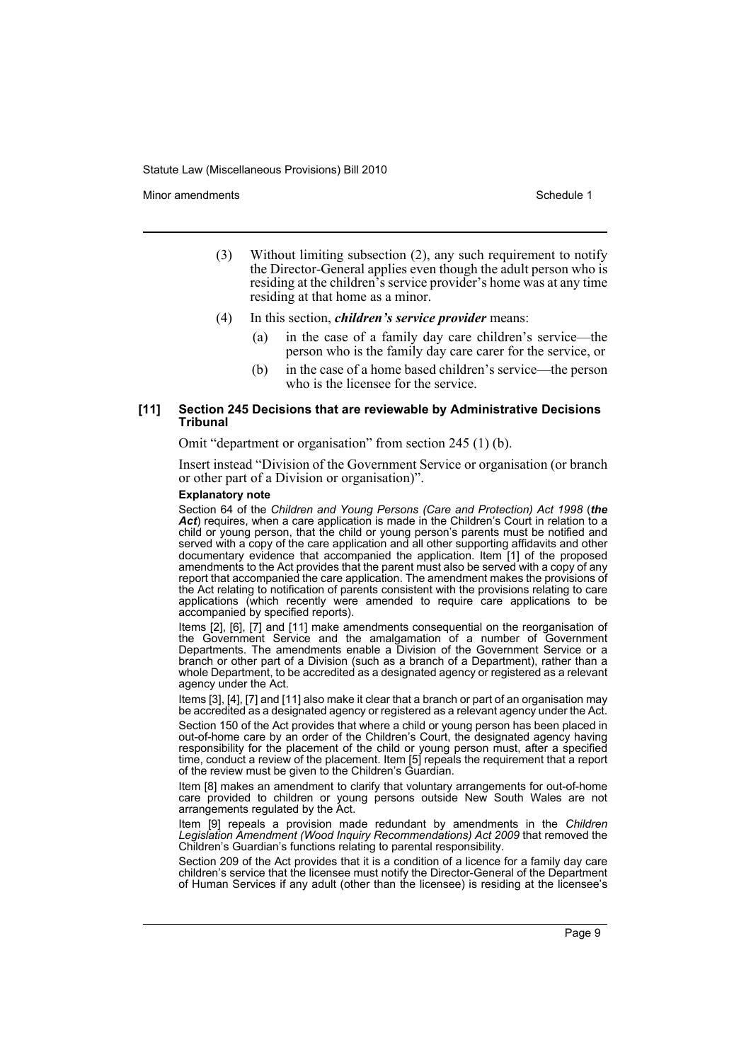Minor amendments **Schedule 1** and the state of the state 1 and the state of the Schedule 1

- (3) Without limiting subsection (2), any such requirement to notify the Director-General applies even though the adult person who is residing at the children's service provider's home was at any time residing at that home as a minor.
- (4) In this section, *children's service provider* means:
	- (a) in the case of a family day care children's service—the person who is the family day care carer for the service, or
	- (b) in the case of a home based children's service—the person who is the licensee for the service.

#### **[11] Section 245 Decisions that are reviewable by Administrative Decisions Tribunal**

Omit "department or organisation" from section 245 (1) (b).

Insert instead "Division of the Government Service or organisation (or branch or other part of a Division or organisation)".

#### **Explanatory note**

Section 64 of the *Children and Young Persons (Care and Protection) Act 1998* (*the Act*) requires, when a care application is made in the Children's Court in relation to a child or young person, that the child or young person's parents must be notified and served with a copy of the care application and all other supporting affidavits and other documentary evidence that accompanied the application. Item [1] of the proposed amendments to the Act provides that the parent must also be served with a copy of any report that accompanied the care application. The amendment makes the provisions of the Act relating to notification of parents consistent with the provisions relating to care applications (which recently were amended to require care applications to be accompanied by specified reports).

Items [2], [6], [7] and [11] make amendments consequential on the reorganisation of the Government Service and the amalgamation of a number of Government Departments. The amendments enable a Division of the Government Service or a branch or other part of a Division (such as a branch of a Department), rather than a whole Department, to be accredited as a designated agency or registered as a relevant agency under the Act.

Items [3], [4], [7] and [11] also make it clear that a branch or part of an organisation may be accredited as a designated agency or registered as a relevant agency under the Act.

Section 150 of the Act provides that where a child or young person has been placed in out-of-home care by an order of the Children's Court, the designated agency having responsibility for the placement of the child or young person must, after a specified time, conduct a review of the placement. Item [5] repeals the requirement that a report of the review must be given to the Children's Guardian.

Item [8] makes an amendment to clarify that voluntary arrangements for out-of-home care provided to children or young persons outside New South Wales are not arrangements regulated by the Act.

Item [9] repeals a provision made redundant by amendments in the *Children Legislation Amendment (Wood Inquiry Recommendations) Act 2009* that removed the Children's Guardian's functions relating to parental responsibility.

Section 209 of the Act provides that it is a condition of a licence for a family day care children's service that the licensee must notify the Director-General of the Department of Human Services if any adult (other than the licensee) is residing at the licensee's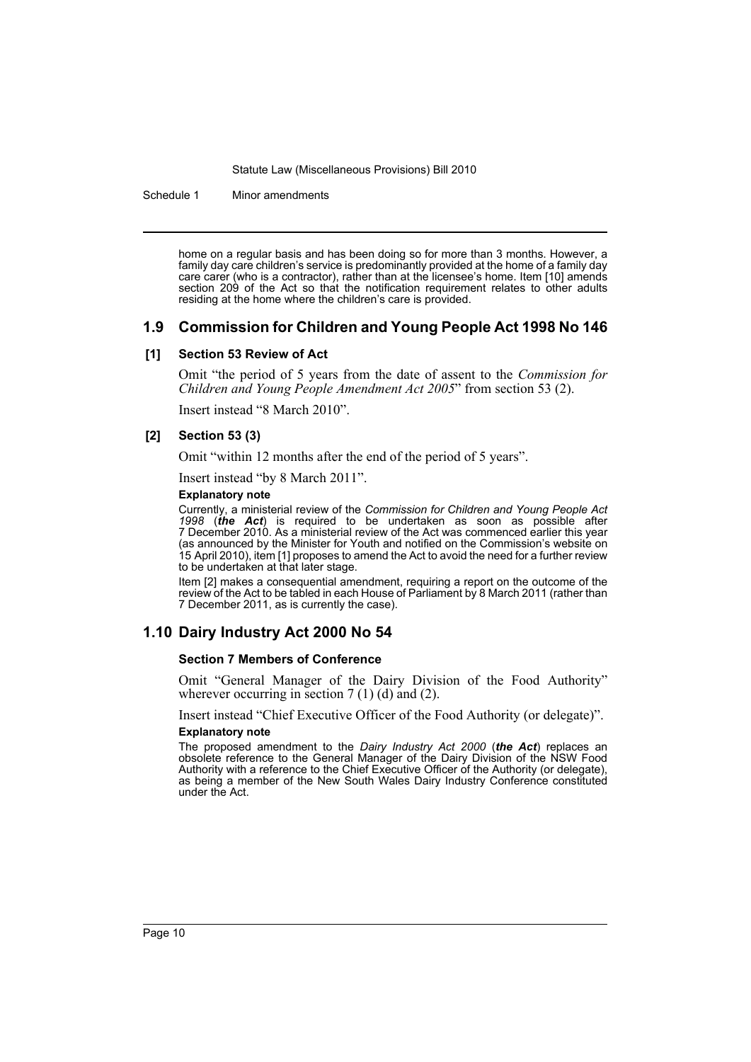Schedule 1 Minor amendments

home on a regular basis and has been doing so for more than 3 months. However, a family day care children's service is predominantly provided at the home of a family day care carer (who is a contractor), rather than at the licensee's home. Item [10] amends section 209 of the Act so that the notification requirement relates to other adults residing at the home where the children's care is provided.

### **1.9 Commission for Children and Young People Act 1998 No 146**

#### **[1] Section 53 Review of Act**

Omit "the period of 5 years from the date of assent to the *Commission for Children and Young People Amendment Act 2005*" from section 53 (2).

Insert instead "8 March 2010".

### **[2] Section 53 (3)**

Omit "within 12 months after the end of the period of 5 years".

Insert instead "by 8 March 2011".

#### **Explanatory note**

Currently, a ministerial review of the *Commission for Children and Young People Act 1998* (*the Act*) is required to be undertaken as soon as possible after 7 December 2010. As a ministerial review of the Act was commenced earlier this year (as announced by the Minister for Youth and notified on the Commission's website on 15 April 2010), item [1] proposes to amend the Act to avoid the need for a further review to be undertaken at that later stage.

Item [2] makes a consequential amendment, requiring a report on the outcome of the review of the Act to be tabled in each House of Parliament by 8 March 2011 (rather than 7 December 2011, as is currently the case).

# **1.10 Dairy Industry Act 2000 No 54**

#### **Section 7 Members of Conference**

Omit "General Manager of the Dairy Division of the Food Authority" wherever occurring in section  $7(1)(d)$  and  $(2)$ .

Insert instead "Chief Executive Officer of the Food Authority (or delegate)".

#### **Explanatory note**

The proposed amendment to the *Dairy Industry Act 2000* (*the Act*) replaces an obsolete reference to the General Manager of the Dairy Division of the NSW Food Authority with a reference to the Chief Executive Officer of the Authority (or delegate), as being a member of the New South Wales Dairy Industry Conference constituted under the Act.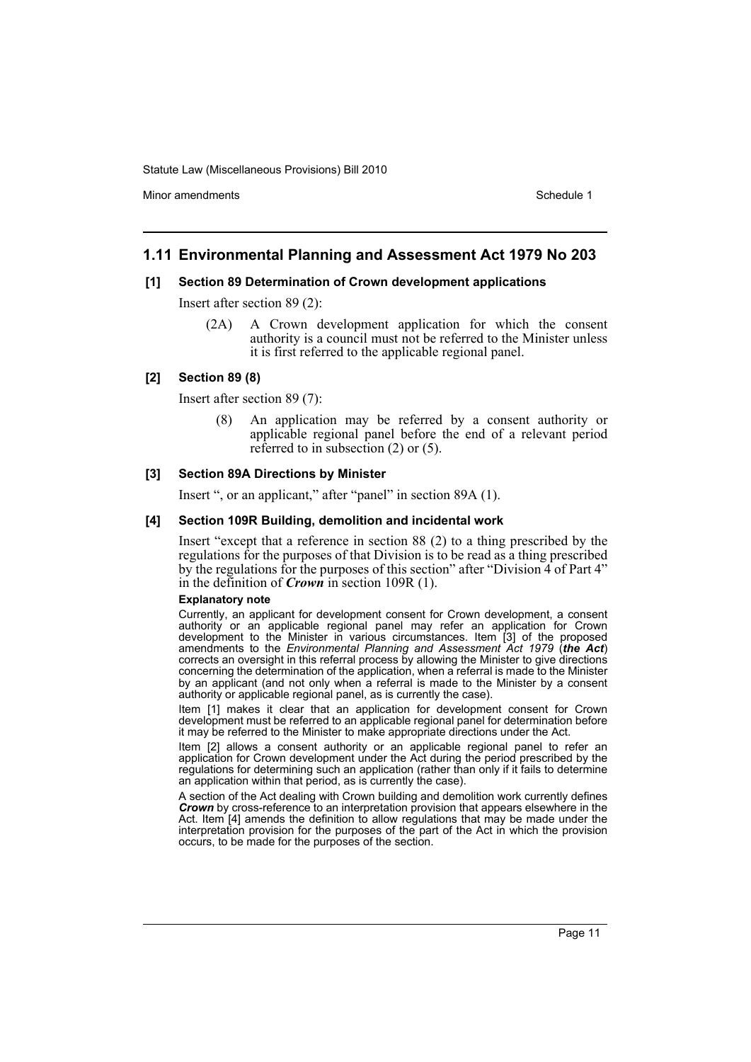Minor amendments **Schedule 1** and the state of the state 1 and the state of the Schedule 1

### **1.11 Environmental Planning and Assessment Act 1979 No 203**

#### **[1] Section 89 Determination of Crown development applications**

Insert after section 89 (2):

(2A) A Crown development application for which the consent authority is a council must not be referred to the Minister unless it is first referred to the applicable regional panel.

### **[2] Section 89 (8)**

Insert after section 89 (7):

(8) An application may be referred by a consent authority or applicable regional panel before the end of a relevant period referred to in subsection (2) or (5).

#### **[3] Section 89A Directions by Minister**

Insert ", or an applicant," after "panel" in section 89A (1).

#### **[4] Section 109R Building, demolition and incidental work**

Insert "except that a reference in section 88 (2) to a thing prescribed by the regulations for the purposes of that Division is to be read as a thing prescribed by the regulations for the purposes of this section" after "Division 4 of Part 4" in the definition of *Crown* in section 109R (1).

#### **Explanatory note**

Currently, an applicant for development consent for Crown development, a consent authority or an applicable regional panel may refer an application for Crown development to the Minister in various circumstances. Item [3] of the proposed amendments to the *Environmental Planning and Assessment Act 1979* (*the Act*) corrects an oversight in this referral process by allowing the Minister to give directions concerning the determination of the application, when a referral is made to the Minister by an applicant (and not only when a referral is made to the Minister by a consent authority or applicable regional panel, as is currently the case).

Item [1] makes it clear that an application for development consent for Crown development must be referred to an applicable regional panel for determination before it may be referred to the Minister to make appropriate directions under the Act.

Item [2] allows a consent authority or an applicable regional panel to refer an application for Crown development under the Act during the period prescribed by the regulations for determining such an application (rather than only if it fails to determine an application within that period, as is currently the case).

A section of the Act dealing with Crown building and demolition work currently defines **Crown** by cross-reference to an interpretation provision that appears elsewhere in the Act. Item [4] amends the definition to allow regulations that may be made under the interpretation provision for the purposes of the part of the Act in which the provision occurs, to be made for the purposes of the section.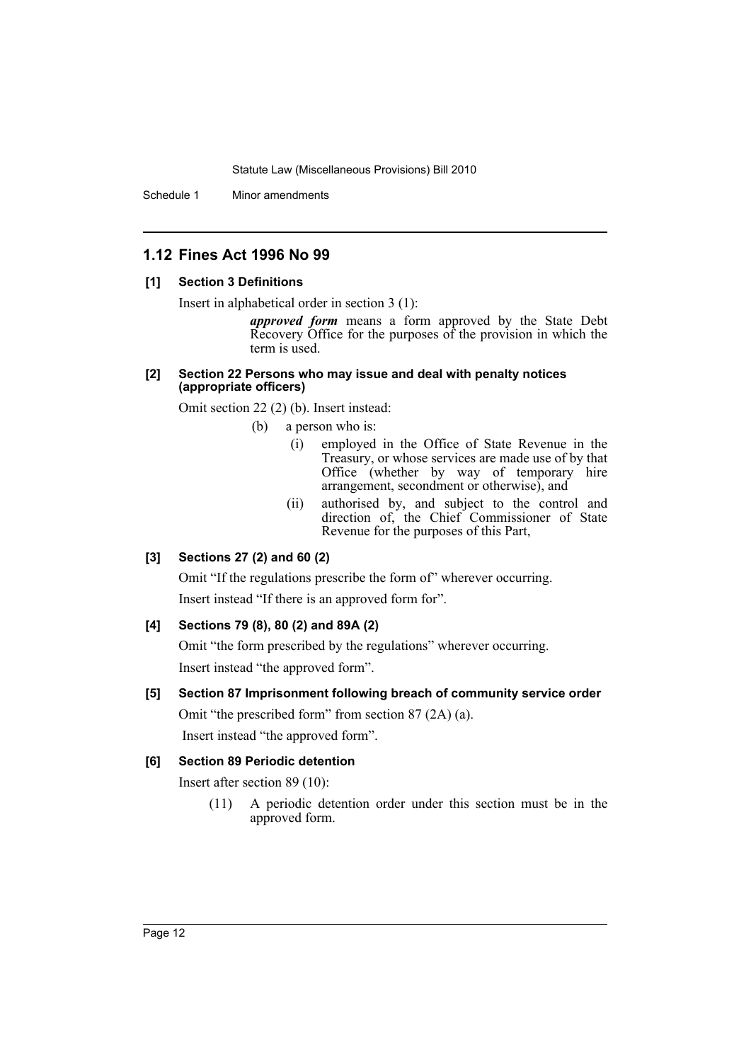Schedule 1 Minor amendments

# **1.12 Fines Act 1996 No 99**

### **[1] Section 3 Definitions**

Insert in alphabetical order in section 3 (1):

*approved form* means a form approved by the State Debt Recovery Office for the purposes of the provision in which the term is used.

#### **[2] Section 22 Persons who may issue and deal with penalty notices (appropriate officers)**

Omit section 22 (2) (b). Insert instead:

(b) a person who is:

- (i) employed in the Office of State Revenue in the Treasury, or whose services are made use of by that Office (whether by way of temporary hire arrangement, secondment or otherwise), and
- (ii) authorised by, and subject to the control and direction of, the Chief Commissioner of State Revenue for the purposes of this Part,

# **[3] Sections 27 (2) and 60 (2)**

Omit "If the regulations prescribe the form of" wherever occurring.

Insert instead "If there is an approved form for".

# **[4] Sections 79 (8), 80 (2) and 89A (2)**

Omit "the form prescribed by the regulations" wherever occurring. Insert instead "the approved form".

# **[5] Section 87 Imprisonment following breach of community service order** Omit "the prescribed form" from section 87 (2A) (a).

Insert instead "the approved form".

# **[6] Section 89 Periodic detention**

Insert after section 89 (10):

(11) A periodic detention order under this section must be in the approved form.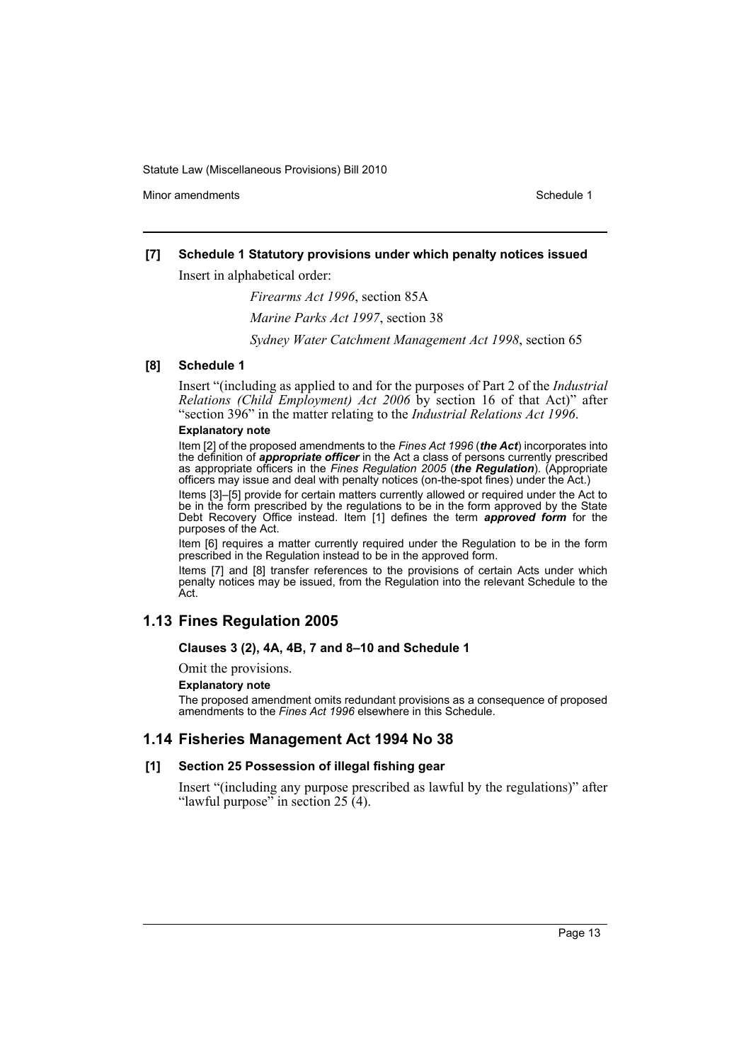Minor amendments **Schedule 1** and the state of the state 1 and the state of the Schedule 1

# **[7] Schedule 1 Statutory provisions under which penalty notices issued**

Insert in alphabetical order:

*Firearms Act 1996*, section 85A

*Marine Parks Act 1997*, section 38

*Sydney Water Catchment Management Act 1998*, section 65

# **[8] Schedule 1**

Insert "(including as applied to and for the purposes of Part 2 of the *Industrial Relations (Child Employment) Act 2006* by section 16 of that Act)" after "section 396" in the matter relating to the *Industrial Relations Act 1996*.

#### **Explanatory note**

Item [2] of the proposed amendments to the *Fines Act 1996* (*the Act*) incorporates into the definition of *appropriate officer* in the Act a class of persons currently prescribed as appropriate officers in the *Fines Regulation 2005* (*the Regulation*). (Appropriate officers may issue and deal with penalty notices (on-the-spot fines) under the Act.)

Items [3]–[5] provide for certain matters currently allowed or required under the Act to be in the form prescribed by the regulations to be in the form approved by the State Debt Recovery Office instead. Item [1] defines the term *approved form* for the purposes of the Act.

Item [6] requires a matter currently required under the Regulation to be in the form prescribed in the Regulation instead to be in the approved form.

Items [7] and [8] transfer references to the provisions of certain Acts under which penalty notices may be issued, from the Regulation into the relevant Schedule to the Act.

# **1.13 Fines Regulation 2005**

### **Clauses 3 (2), 4A, 4B, 7 and 8–10 and Schedule 1**

Omit the provisions.

### **Explanatory note**

The proposed amendment omits redundant provisions as a consequence of proposed amendments to the *Fines Act 1996* elsewhere in this Schedule.

# **1.14 Fisheries Management Act 1994 No 38**

# **[1] Section 25 Possession of illegal fishing gear**

Insert "(including any purpose prescribed as lawful by the regulations)" after "lawful purpose" in section 25 (4).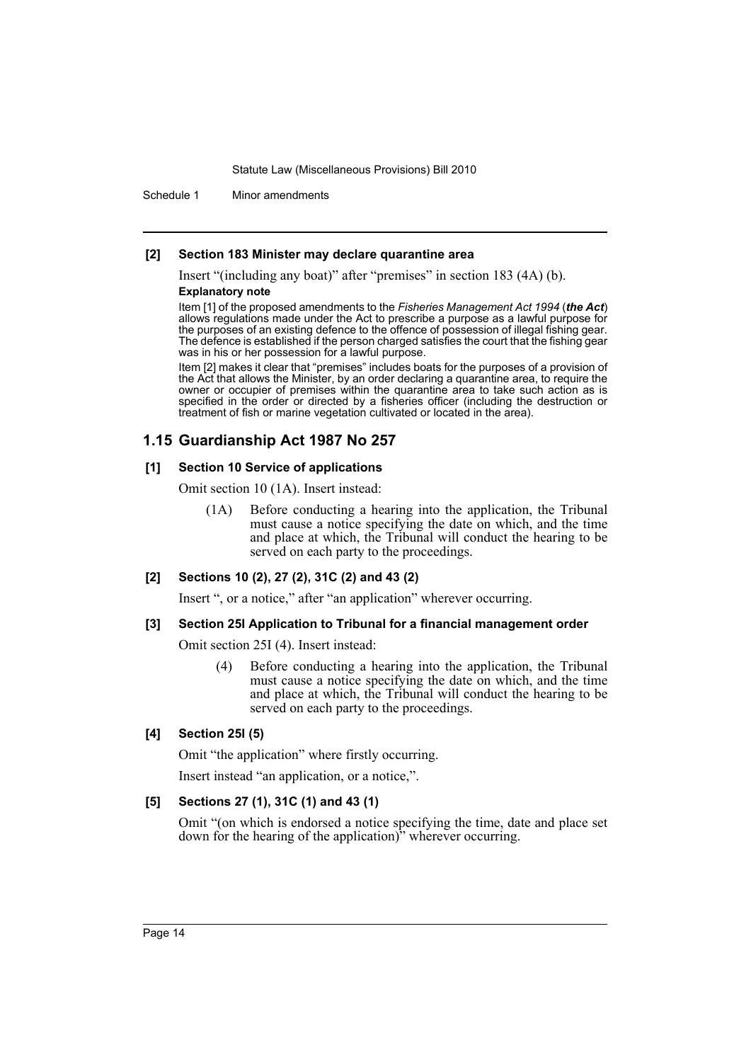Schedule 1 Minor amendments

#### **[2] Section 183 Minister may declare quarantine area**

Insert "(including any boat)" after "premises" in section 183 (4A) (b).

#### **Explanatory note**

Item [1] of the proposed amendments to the *Fisheries Management Act 1994* (*the Act*) allows regulations made under the Act to prescribe a purpose as a lawful purpose for the purposes of an existing defence to the offence of possession of illegal fishing gear. The defence is established if the person charged satisfies the court that the fishing gear was in his or her possession for a lawful purpose.

Item [2] makes it clear that "premises" includes boats for the purposes of a provision of the Act that allows the Minister, by an order declaring a quarantine area, to require the owner or occupier of premises within the quarantine area to take such action as is specified in the order or directed by a fisheries officer (including the destruction or treatment of fish or marine vegetation cultivated or located in the area).

# **1.15 Guardianship Act 1987 No 257**

#### **[1] Section 10 Service of applications**

Omit section 10 (1A). Insert instead:

(1A) Before conducting a hearing into the application, the Tribunal must cause a notice specifying the date on which, and the time and place at which, the Tribunal will conduct the hearing to be served on each party to the proceedings.

### **[2] Sections 10 (2), 27 (2), 31C (2) and 43 (2)**

Insert ", or a notice," after "an application" wherever occurring.

#### **[3] Section 25I Application to Tribunal for a financial management order**

Omit section 25I (4). Insert instead:

(4) Before conducting a hearing into the application, the Tribunal must cause a notice specifying the date on which, and the time and place at which, the Tribunal will conduct the hearing to be served on each party to the proceedings.

#### **[4] Section 25I (5)**

Omit "the application" where firstly occurring.

Insert instead "an application, or a notice,".

### **[5] Sections 27 (1), 31C (1) and 43 (1)**

Omit "(on which is endorsed a notice specifying the time, date and place set down for the hearing of the application)" wherever occurring.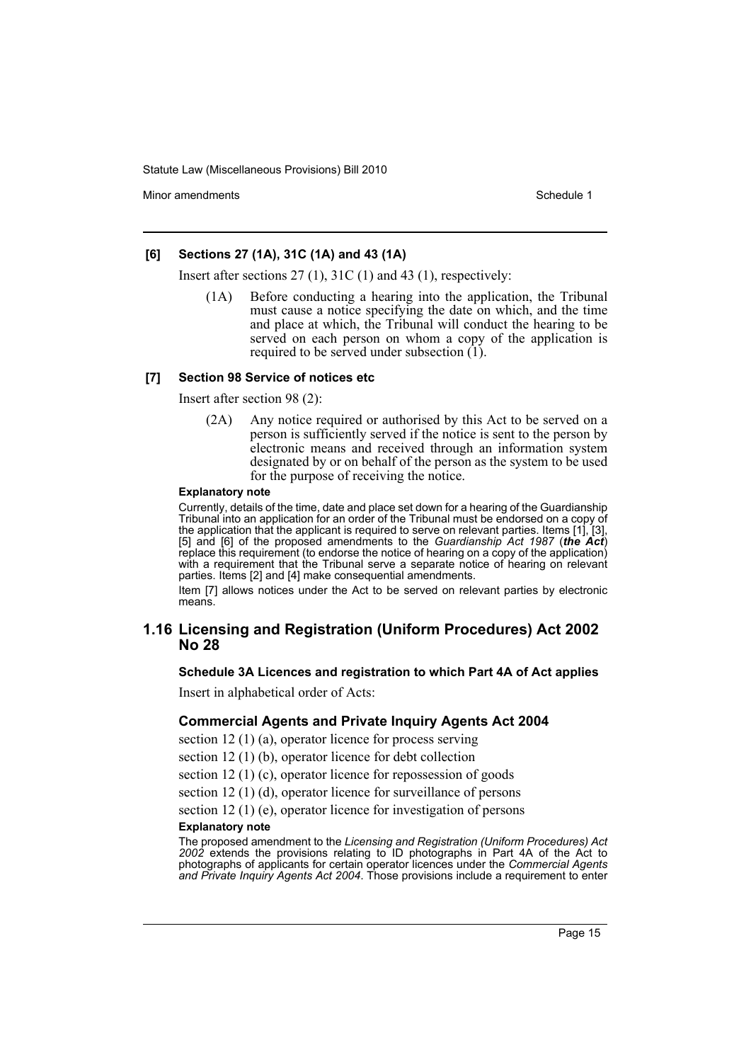Minor amendments **Schedule 1** and the state of the state 1 and the state of the Schedule 1

### **[6] Sections 27 (1A), 31C (1A) and 43 (1A)**

Insert after sections 27 (1), 31C (1) and 43 (1), respectively:

(1A) Before conducting a hearing into the application, the Tribunal must cause a notice specifying the date on which, and the time and place at which, the Tribunal will conduct the hearing to be served on each person on whom a copy of the application is required to be served under subsection (1).

#### **[7] Section 98 Service of notices etc**

Insert after section 98 (2):

(2A) Any notice required or authorised by this Act to be served on a person is sufficiently served if the notice is sent to the person by electronic means and received through an information system designated by or on behalf of the person as the system to be used for the purpose of receiving the notice.

#### **Explanatory note**

Currently, details of the time, date and place set down for a hearing of the Guardianship Tribunal into an application for an order of the Tribunal must be endorsed on a copy of the application that the applicant is required to serve on relevant parties. Items [1], [3], [5] and [6] of the proposed amendments to the *Guardianship Act 1987* (*the Act*) replace this requirement (to endorse the notice of hearing on a copy of the application) with a requirement that the Tribunal serve a separate notice of hearing on relevant parties. Items [2] and [4] make consequential amendments.

Item [7] allows notices under the Act to be served on relevant parties by electronic means.

# **1.16 Licensing and Registration (Uniform Procedures) Act 2002 No 28**

#### **Schedule 3A Licences and registration to which Part 4A of Act applies**

Insert in alphabetical order of Acts:

#### **Commercial Agents and Private Inquiry Agents Act 2004**

section 12 (1) (a), operator licence for process serving

section 12 (1) (b), operator licence for debt collection

section 12 (1) (c), operator licence for repossession of goods

section 12 (1) (d), operator licence for surveillance of persons

section 12 (1) (e), operator licence for investigation of persons

#### **Explanatory note**

The proposed amendment to the *Licensing and Registration (Uniform Procedures) Act 2002* extends the provisions relating to ID photographs in Part 4A of the Act to photographs of applicants for certain operator licences under the *Commercial Agents and Private Inquiry Agents Act 2004*. Those provisions include a requirement to enter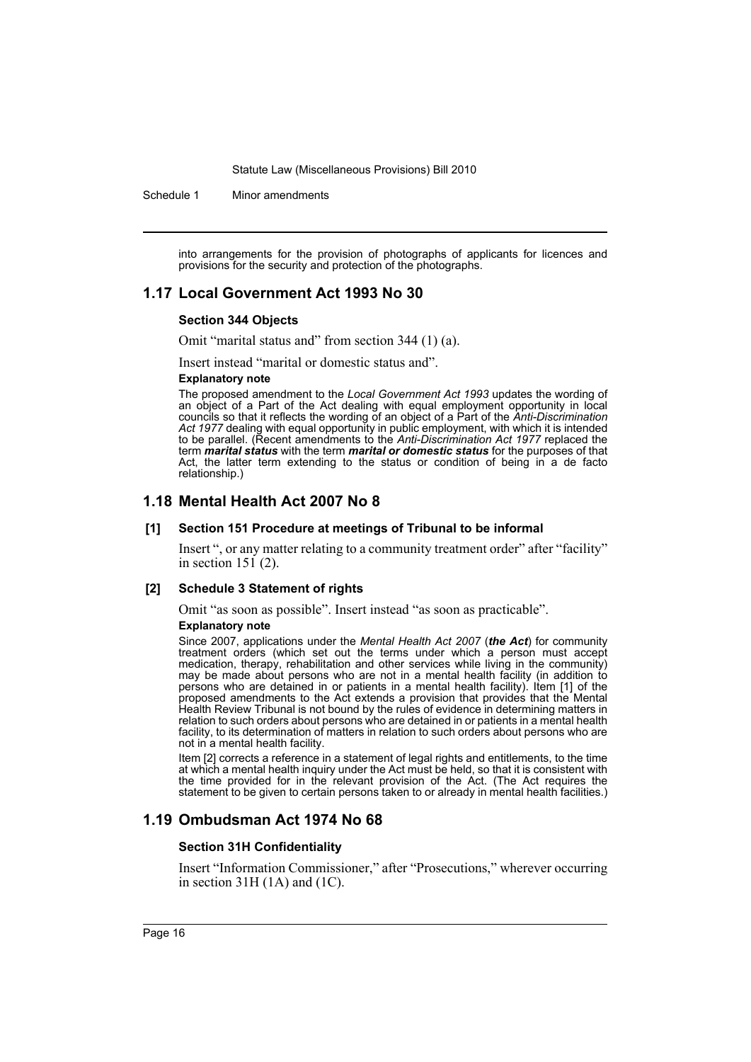Schedule 1 Minor amendments

into arrangements for the provision of photographs of applicants for licences and provisions for the security and protection of the photographs.

# **1.17 Local Government Act 1993 No 30**

#### **Section 344 Objects**

Omit "marital status and" from section 344 (1) (a).

Insert instead "marital or domestic status and".

#### **Explanatory note**

The proposed amendment to the *Local Government Act 1993* updates the wording of an object of a Part of the Act dealing with equal employment opportunity in local councils so that it reflects the wording of an object of a Part of the *Anti-Discrimination Act 1977* dealing with equal opportunity in public employment, with which it is intended to be parallel. (Recent amendments to the *Anti-Discrimination Act 1977* replaced the term *marital status* with the term *marital or domestic status* for the purposes of that Act, the latter term extending to the status or condition of being in a de facto relationship.)

# **1.18 Mental Health Act 2007 No 8**

#### **[1] Section 151 Procedure at meetings of Tribunal to be informal**

Insert ", or any matter relating to a community treatment order" after "facility" in section  $151(2)$ .

#### **[2] Schedule 3 Statement of rights**

Omit "as soon as possible". Insert instead "as soon as practicable".

#### **Explanatory note**

Since 2007, applications under the *Mental Health Act 2007* (*the Act*) for community treatment orders (which set out the terms under which a person must accept medication, therapy, rehabilitation and other services while living in the community) may be made about persons who are not in a mental health facility (in addition to persons who are detained in or patients in a mental health facility). Item [1] of the proposed amendments to the Act extends a provision that provides that the Mental Health Review Tribunal is not bound by the rules of evidence in determining matters in relation to such orders about persons who are detained in or patients in a mental health facility, to its determination of matters in relation to such orders about persons who are not in a mental health facility.

Item [2] corrects a reference in a statement of legal rights and entitlements, to the time at which a mental health inquiry under the Act must be held, so that it is consistent with the time provided for in the relevant provision of the Act. (The Act requires the statement to be given to certain persons taken to or already in mental health facilities.)

# **1.19 Ombudsman Act 1974 No 68**

#### **Section 31H Confidentiality**

Insert "Information Commissioner," after "Prosecutions," wherever occurring in section 31H (1A) and (1C).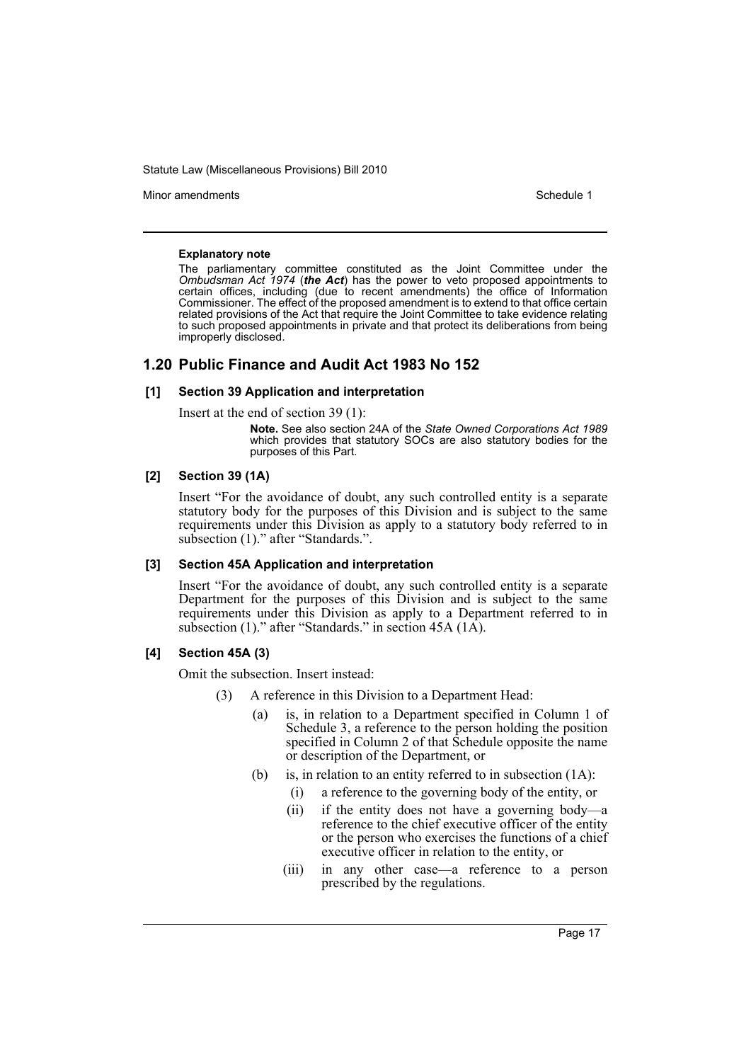Minor amendments **Schedule 1** and the state of the state of the state of the Schedule 1

#### **Explanatory note**

The parliamentary committee constituted as the Joint Committee under the *Ombudsman Act 1974* (*the Act*) has the power to veto proposed appointments to certain offices, including (due to recent amendments) the office of Information Commissioner. The effect of the proposed amendment is to extend to that office certain related provisions of the Act that require the Joint Committee to take evidence relating to such proposed appointments in private and that protect its deliberations from being improperly disclosed.

# **1.20 Public Finance and Audit Act 1983 No 152**

### **[1] Section 39 Application and interpretation**

Insert at the end of section 39 (1):

**Note.** See also section 24A of the *State Owned Corporations Act 1989* which provides that statutory SOCs are also statutory bodies for the purposes of this Part.

### **[2] Section 39 (1A)**

Insert "For the avoidance of doubt, any such controlled entity is a separate statutory body for the purposes of this Division and is subject to the same requirements under this Division as apply to a statutory body referred to in subsection (1)." after "Standards.".

#### **[3] Section 45A Application and interpretation**

Insert "For the avoidance of doubt, any such controlled entity is a separate Department for the purposes of this Division and is subject to the same requirements under this Division as apply to a Department referred to in subsection (1)." after "Standards." in section 45A (1A).

# **[4] Section 45A (3)**

Omit the subsection. Insert instead:

- (3) A reference in this Division to a Department Head:
	- (a) is, in relation to a Department specified in Column 1 of Schedule 3, a reference to the person holding the position specified in Column 2 of that Schedule opposite the name or description of the Department, or
	- (b) is, in relation to an entity referred to in subsection (1A):
		- (i) a reference to the governing body of the entity, or
		- (ii) if the entity does not have a governing body—a reference to the chief executive officer of the entity or the person who exercises the functions of a chief executive officer in relation to the entity, or
		- (iii) in any other case—a reference to a person prescribed by the regulations.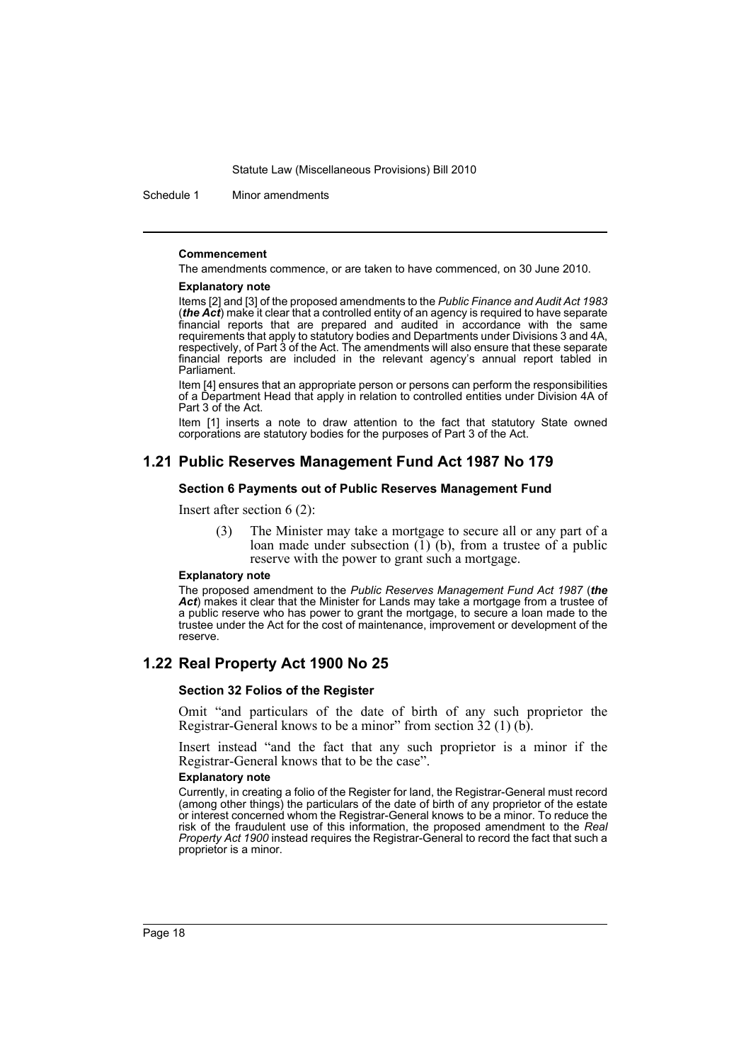Schedule 1 Minor amendments

#### **Commencement**

The amendments commence, or are taken to have commenced, on 30 June 2010.

#### **Explanatory note**

Items [2] and [3] of the proposed amendments to the *Public Finance and Audit Act 1983* (*the Act*) make it clear that a controlled entity of an agency is required to have separate financial reports that are prepared and audited in accordance with the same requirements that apply to statutory bodies and Departments under Divisions 3 and 4A, respectively, of Part 3 of the Act. The amendments will also ensure that these separate financial reports are included in the relevant agency's annual report tabled in Parliament.

Item [4] ensures that an appropriate person or persons can perform the responsibilities of a Department Head that apply in relation to controlled entities under Division 4A of Part 3 of the Act.

Item [1] inserts a note to draw attention to the fact that statutory State owned corporations are statutory bodies for the purposes of Part 3 of the Act.

# **1.21 Public Reserves Management Fund Act 1987 No 179**

### **Section 6 Payments out of Public Reserves Management Fund**

Insert after section 6 (2):

(3) The Minister may take a mortgage to secure all or any part of a loan made under subsection  $\tilde{1}$ ) (b), from a trustee of a public reserve with the power to grant such a mortgage.

#### **Explanatory note**

The proposed amendment to the *Public Reserves Management Fund Act 1987* (*the* Act) makes it clear that the Minister for Lands may take a mortgage from a trustee of a public reserve who has power to grant the mortgage, to secure a loan made to the trustee under the Act for the cost of maintenance, improvement or development of the reserve.

# **1.22 Real Property Act 1900 No 25**

#### **Section 32 Folios of the Register**

Omit "and particulars of the date of birth of any such proprietor the Registrar-General knows to be a minor" from section 32 (1) (b).

Insert instead "and the fact that any such proprietor is a minor if the Registrar-General knows that to be the case".

#### **Explanatory note**

Currently, in creating a folio of the Register for land, the Registrar-General must record (among other things) the particulars of the date of birth of any proprietor of the estate or interest concerned whom the Registrar-General knows to be a minor. To reduce the risk of the fraudulent use of this information, the proposed amendment to the *Real Property Act 1900* instead requires the Registrar-General to record the fact that such a proprietor is a minor.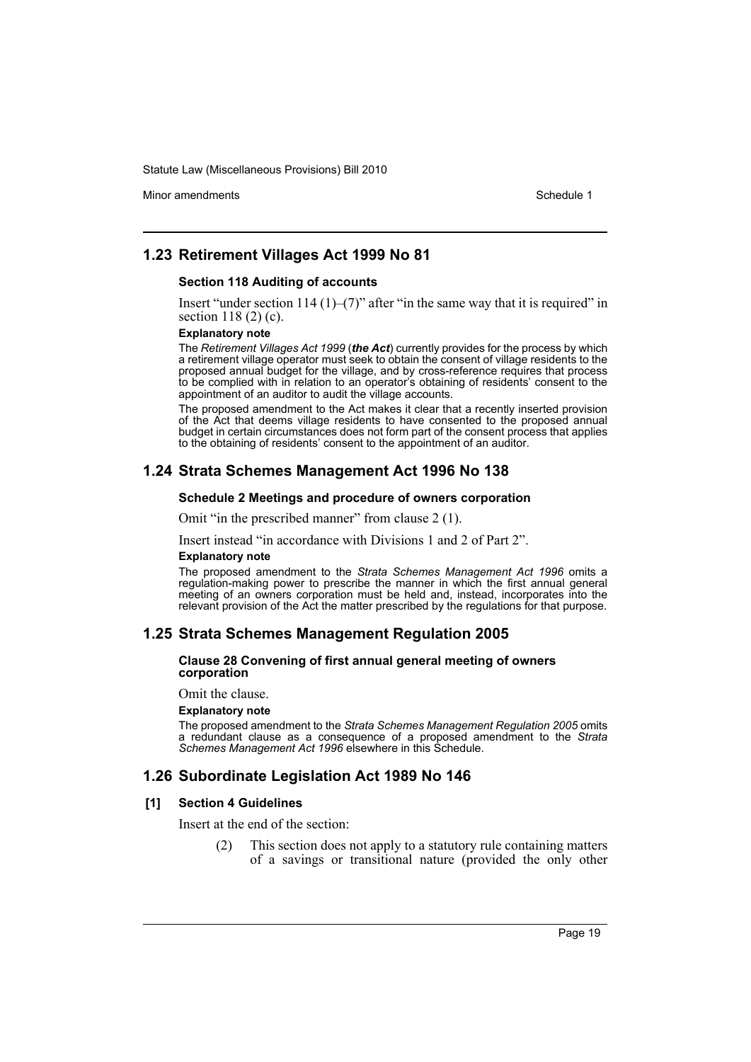Minor amendments **Schedule 1** and the state of the state of the state of the Schedule 1

# **1.23 Retirement Villages Act 1999 No 81**

#### **Section 118 Auditing of accounts**

Insert "under section 114  $(1)$ – $(7)$ " after "in the same way that it is required" in section 118 (2) (c).

#### **Explanatory note**

The *Retirement Villages Act 1999* (*the Act*) currently provides for the process by which a retirement village operator must seek to obtain the consent of village residents to the proposed annual budget for the village, and by cross-reference requires that process to be complied with in relation to an operator's obtaining of residents' consent to the appointment of an auditor to audit the village accounts.

The proposed amendment to the Act makes it clear that a recently inserted provision of the Act that deems village residents to have consented to the proposed annual budget in certain circumstances does not form part of the consent process that applies to the obtaining of residents' consent to the appointment of an auditor.

# **1.24 Strata Schemes Management Act 1996 No 138**

#### **Schedule 2 Meetings and procedure of owners corporation**

Omit "in the prescribed manner" from clause 2 (1).

Insert instead "in accordance with Divisions 1 and 2 of Part 2".

#### **Explanatory note**

The proposed amendment to the *Strata Schemes Management Act 1996* omits a regulation-making power to prescribe the manner in which the first annual general meeting of an owners corporation must be held and, instead, incorporates into the relevant provision of the Act the matter prescribed by the regulations for that purpose.

# **1.25 Strata Schemes Management Regulation 2005**

#### **Clause 28 Convening of first annual general meeting of owners corporation**

Omit the clause.

#### **Explanatory note**

The proposed amendment to the *Strata Schemes Management Regulation 2005* omits a redundant clause as a consequence of a proposed amendment to the *Strata Schemes Management Act 1996* elsewhere in this Schedule.

# **1.26 Subordinate Legislation Act 1989 No 146**

#### **[1] Section 4 Guidelines**

Insert at the end of the section:

(2) This section does not apply to a statutory rule containing matters of a savings or transitional nature (provided the only other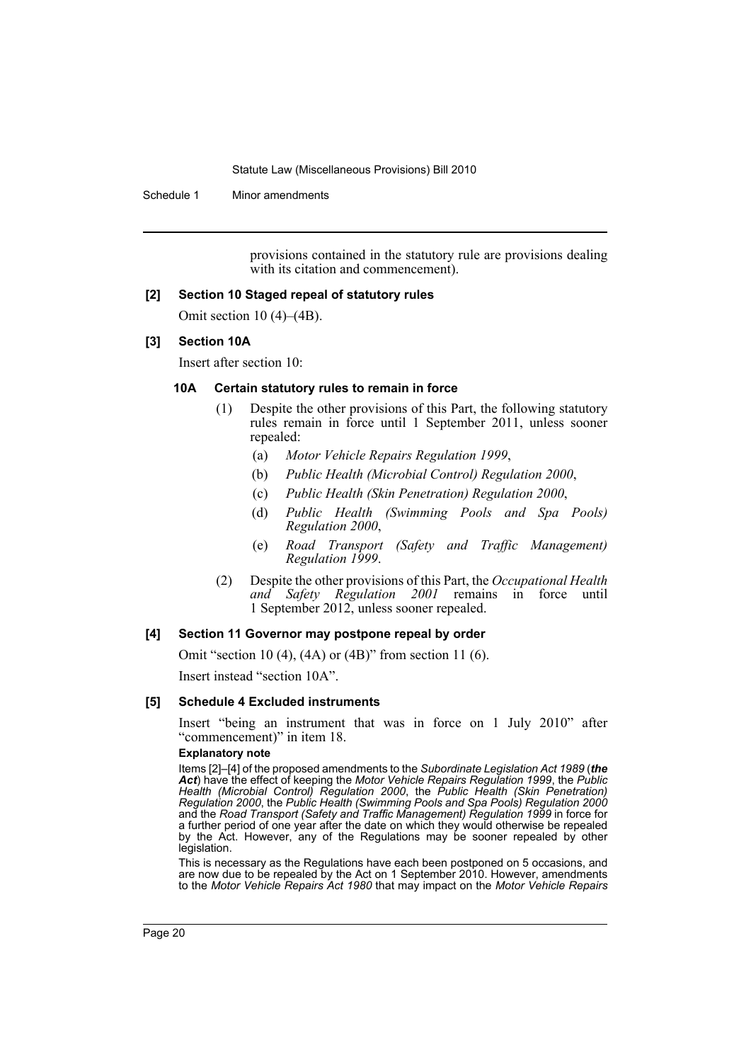Schedule 1 Minor amendments

provisions contained in the statutory rule are provisions dealing with its citation and commencement).

#### **[2] Section 10 Staged repeal of statutory rules**

Omit section 10 (4)–(4B).

### **[3] Section 10A**

Insert after section 10:

### **10A Certain statutory rules to remain in force**

- (1) Despite the other provisions of this Part, the following statutory rules remain in force until 1 September 2011, unless sooner repealed:
	- (a) *Motor Vehicle Repairs Regulation 1999*,
	- (b) *Public Health (Microbial Control) Regulation 2000*,
	- (c) *Public Health (Skin Penetration) Regulation 2000*,
	- (d) *Public Health (Swimming Pools and Spa Pools) Regulation 2000*,
	- (e) *Road Transport (Safety and Traffic Management) Regulation 1999*.
- (2) Despite the other provisions of this Part, the *Occupational Health and Safety Regulation 2001* remains in force until 1 September 2012, unless sooner repealed.

#### **[4] Section 11 Governor may postpone repeal by order**

Omit "section 10 (4), (4A) or (4B)" from section 11 (6).

Insert instead "section 10A".

#### **[5] Schedule 4 Excluded instruments**

Insert "being an instrument that was in force on 1 July 2010" after "commencement)" in item 18.

#### **Explanatory note**

Items [2]–[4] of the proposed amendments to the *Subordinate Legislation Act 1989* (*the Act*) have the effect of keeping the *Motor Vehicle Repairs Regulation 1999*, the *Public Health (Microbial Control) Regulation 2000*, the *Public Health (Skin Penetration) Regulation 2000*, the *Public Health (Swimming Pools and Spa Pools) Regulation 2000* and the *Road Transport (Safety and Traffic Management) Regulation 1999* in force for a further period of one year after the date on which they would otherwise be repealed by the Act. However, any of the Regulations may be sooner repealed by other legislation.

This is necessary as the Regulations have each been postponed on 5 occasions, and are now due to be repealed by the Act on 1 September 2010. However, amendments to the *Motor Vehicle Repairs Act 1980* that may impact on the *Motor Vehicle Repairs*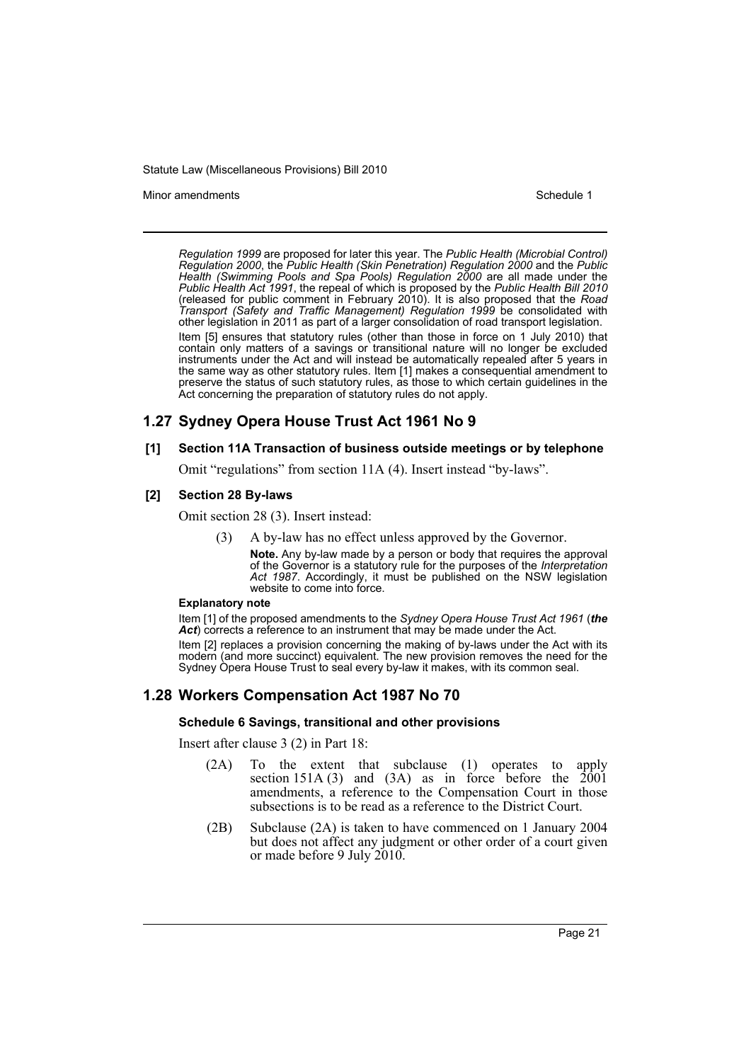Minor amendments **Schedule 1** and the state of the state of the state of the Schedule 1

*Regulation 1999* are proposed for later this year. The *Public Health (Microbial Control) Regulation 2000*, the *Public Health (Skin Penetration) Regulation 2000* and the *Public Health (Swimming Pools and Spa Pools) Regulation 2000* are all made under the *Public Health Act 1991*, the repeal of which is proposed by the *Public Health Bill 2010* (released for public comment in February 2010). It is also proposed that the *Road Transport (Safety and Traffic Management) Regulation 1999* be consolidated with other legislation in 2011 as part of a larger consolidation of road transport legislation. Item [5] ensures that statutory rules (other than those in force on 1 July 2010) that

contain only matters of a savings or transitional nature will no longer be excluded instruments under the Act and will instead be automatically repealed after 5 years in the same way as other statutory rules. Item [1] makes a consequential amendment to preserve the status of such statutory rules, as those to which certain guidelines in the Act concerning the preparation of statutory rules do not apply.

# **1.27 Sydney Opera House Trust Act 1961 No 9**

# **[1] Section 11A Transaction of business outside meetings or by telephone**

Omit "regulations" from section 11A (4). Insert instead "by-laws".

# **[2] Section 28 By-laws**

Omit section 28 (3). Insert instead:

(3) A by-law has no effect unless approved by the Governor.

**Note.** Any by-law made by a person or body that requires the approval of the Governor is a statutory rule for the purposes of the *Interpretation Act 1987*. Accordingly, it must be published on the NSW legislation website to come into force.

#### **Explanatory note**

Item [1] of the proposed amendments to the *Sydney Opera House Trust Act 1961* (*the* Act) corrects a reference to an instrument that may be made under the Act.

Item [2] replaces a provision concerning the making of by-laws under the Act with its modern (and more succinct) equivalent. The new provision removes the need for the Sydney Opera House Trust to seal every by-law it makes, with its common seal.

# **1.28 Workers Compensation Act 1987 No 70**

#### **Schedule 6 Savings, transitional and other provisions**

Insert after clause 3 (2) in Part 18:

- (2A) To the extent that subclause (1) operates to apply section 151A (3) and (3A) as in force before the  $2001$ amendments, a reference to the Compensation Court in those subsections is to be read as a reference to the District Court.
- (2B) Subclause (2A) is taken to have commenced on 1 January 2004 but does not affect any judgment or other order of a court given or made before 9 July 2010.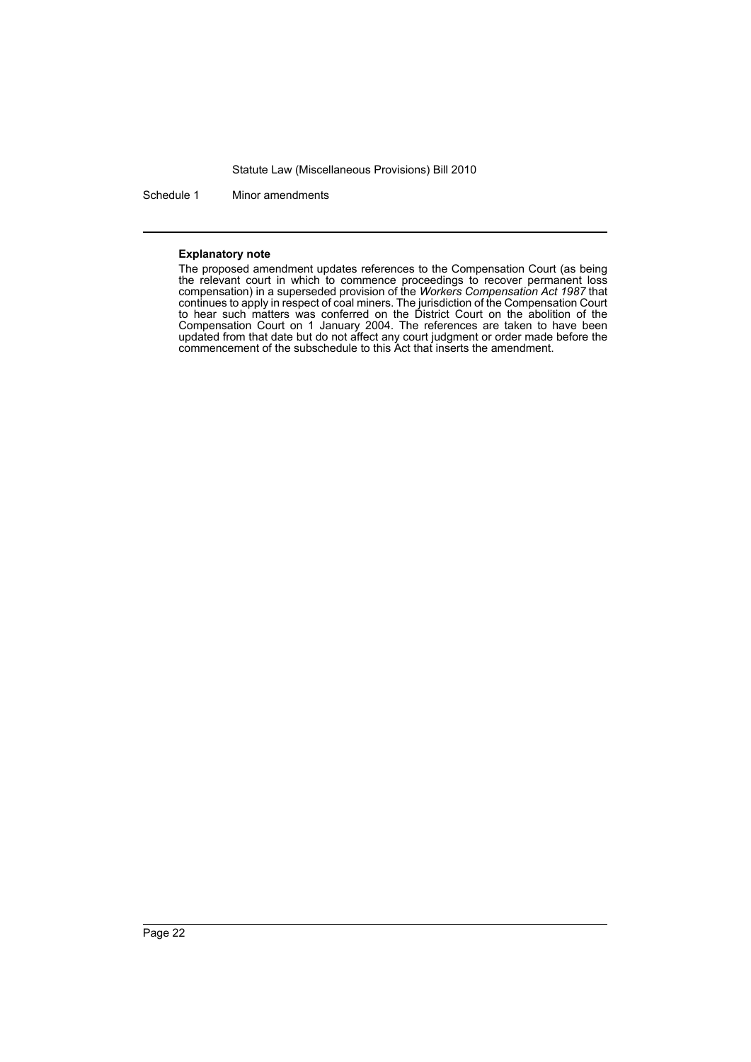Schedule 1 Minor amendments

#### **Explanatory note**

The proposed amendment updates references to the Compensation Court (as being the relevant court in which to commence proceedings to recover permanent loss compensation) in a superseded provision of the *Workers Compensation Act 1987* that continues to apply in respect of coal miners. The jurisdiction of the Compensation Court to hear such matters was conferred on the District Court on the abolition of the Compensation Court on 1 January 2004. The references are taken to have been updated from that date but do not affect any court judgment or order made before the commencement of the subschedule to this Act that inserts the amendment.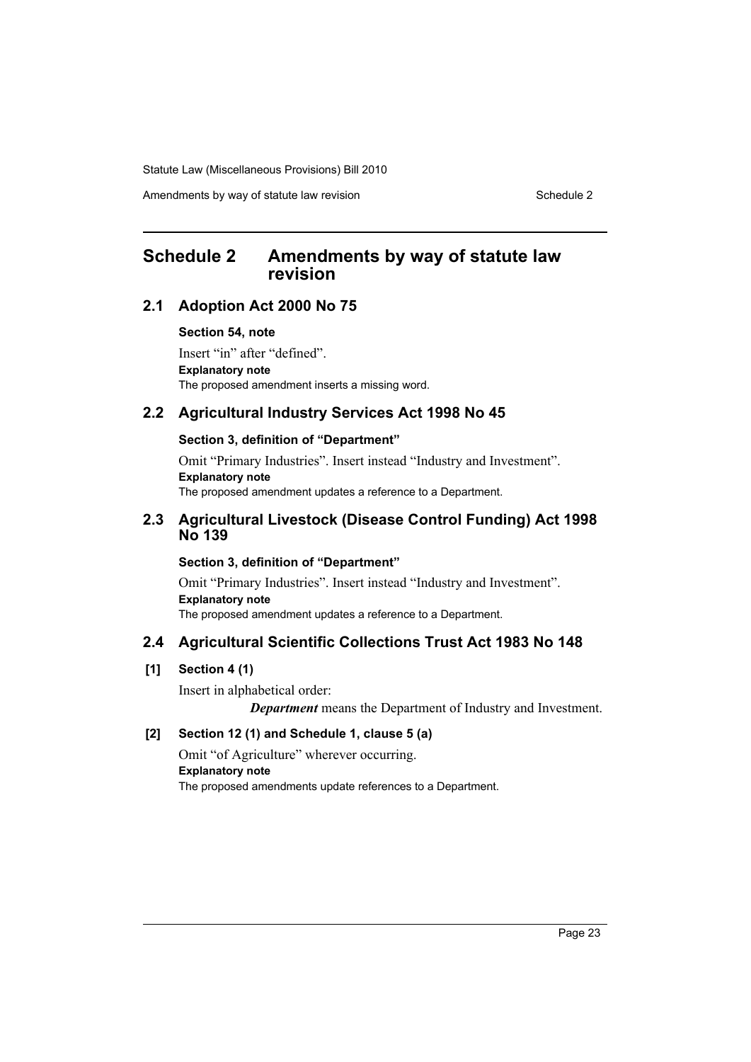Amendments by way of statute law revision Schedule 2 Schedule 2

# <span id="page-23-0"></span>**Schedule 2 Amendments by way of statute law revision**

# **2.1 Adoption Act 2000 No 75**

#### **Section 54, note**

Insert "in" after "defined". **Explanatory note** The proposed amendment inserts a missing word.

# **2.2 Agricultural Industry Services Act 1998 No 45**

### **Section 3, definition of "Department"**

Omit "Primary Industries". Insert instead "Industry and Investment". **Explanatory note** The proposed amendment updates a reference to a Department.

# **2.3 Agricultural Livestock (Disease Control Funding) Act 1998 No 139**

# **Section 3, definition of "Department"**

Omit "Primary Industries". Insert instead "Industry and Investment". **Explanatory note** The proposed amendment updates a reference to a Department.

# **2.4 Agricultural Scientific Collections Trust Act 1983 No 148**

# **[1] Section 4 (1)**

Insert in alphabetical order:

*Department* means the Department of Industry and Investment.

# **[2] Section 12 (1) and Schedule 1, clause 5 (a)**

Omit "of Agriculture" wherever occurring. **Explanatory note** The proposed amendments update references to a Department.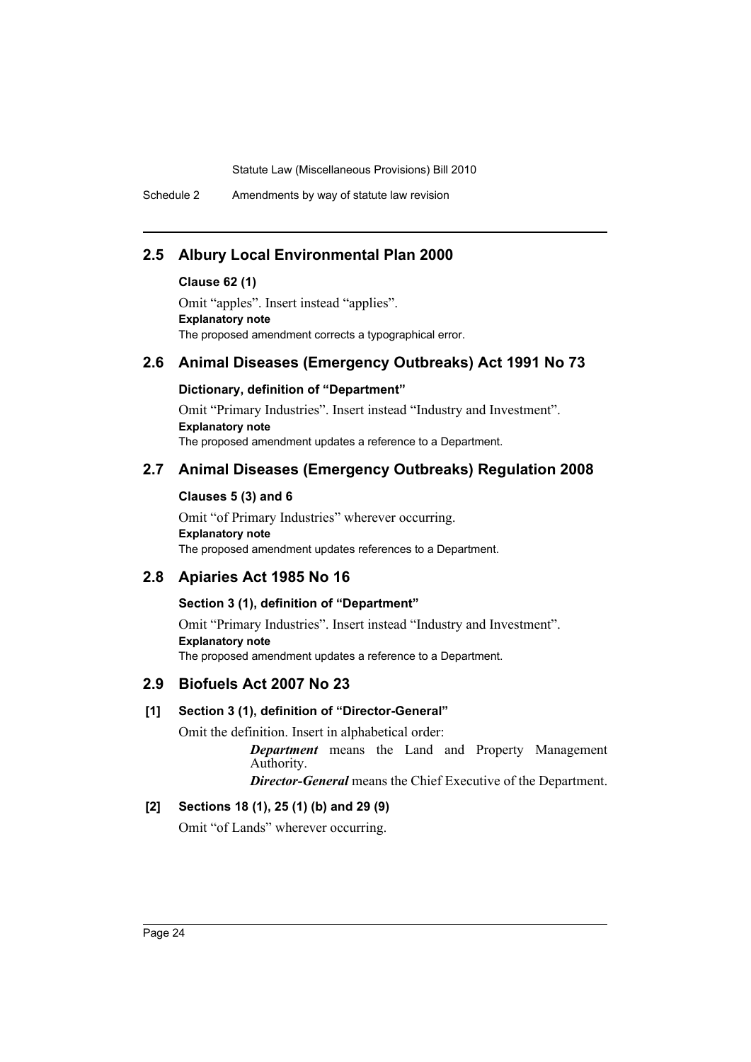Schedule 2 Amendments by way of statute law revision

# **2.5 Albury Local Environmental Plan 2000**

### **Clause 62 (1)**

Omit "apples". Insert instead "applies". **Explanatory note** The proposed amendment corrects a typographical error.

# **2.6 Animal Diseases (Emergency Outbreaks) Act 1991 No 73**

# **Dictionary, definition of "Department"**

Omit "Primary Industries". Insert instead "Industry and Investment". **Explanatory note** The proposed amendment updates a reference to a Department.

# **2.7 Animal Diseases (Emergency Outbreaks) Regulation 2008**

# **Clauses 5 (3) and 6**

Omit "of Primary Industries" wherever occurring. **Explanatory note** The proposed amendment updates references to a Department.

# **2.8 Apiaries Act 1985 No 16**

# **Section 3 (1), definition of "Department"**

Omit "Primary Industries". Insert instead "Industry and Investment". **Explanatory note** The proposed amendment updates a reference to a Department.

# **2.9 Biofuels Act 2007 No 23**

# **[1] Section 3 (1), definition of "Director-General"**

Omit the definition. Insert in alphabetical order: *Department* means the Land and Property Management Authority.

*Director-General* means the Chief Executive of the Department.

# **[2] Sections 18 (1), 25 (1) (b) and 29 (9)**

Omit "of Lands" wherever occurring.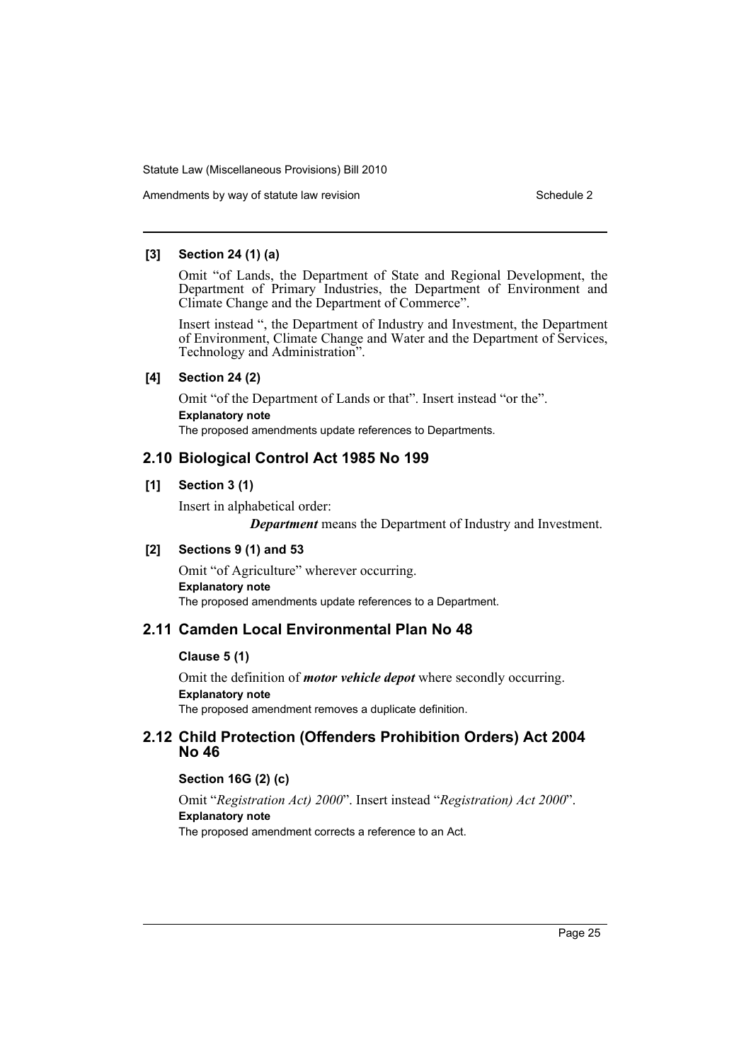Amendments by way of statute law revision Schedule 2 Schedule 2

### **[3] Section 24 (1) (a)**

Omit "of Lands, the Department of State and Regional Development, the Department of Primary Industries, the Department of Environment and Climate Change and the Department of Commerce".

Insert instead ", the Department of Industry and Investment, the Department of Environment, Climate Change and Water and the Department of Services, Technology and Administration".

# **[4] Section 24 (2)**

Omit "of the Department of Lands or that". Insert instead "or the". **Explanatory note** The proposed amendments update references to Departments.

# **2.10 Biological Control Act 1985 No 199**

# **[1] Section 3 (1)**

Insert in alphabetical order:

*Department* means the Department of Industry and Investment.

# **[2] Sections 9 (1) and 53**

Omit "of Agriculture" wherever occurring. **Explanatory note** The proposed amendments update references to a Department.

# **2.11 Camden Local Environmental Plan No 48**

# **Clause 5 (1)**

Omit the definition of *motor vehicle depot* where secondly occurring. **Explanatory note** The proposed amendment removes a duplicate definition.

# **2.12 Child Protection (Offenders Prohibition Orders) Act 2004 No 46**

# **Section 16G (2) (c)**

Omit "*Registration Act) 2000*". Insert instead "*Registration) Act 2000*". **Explanatory note** The proposed amendment corrects a reference to an Act.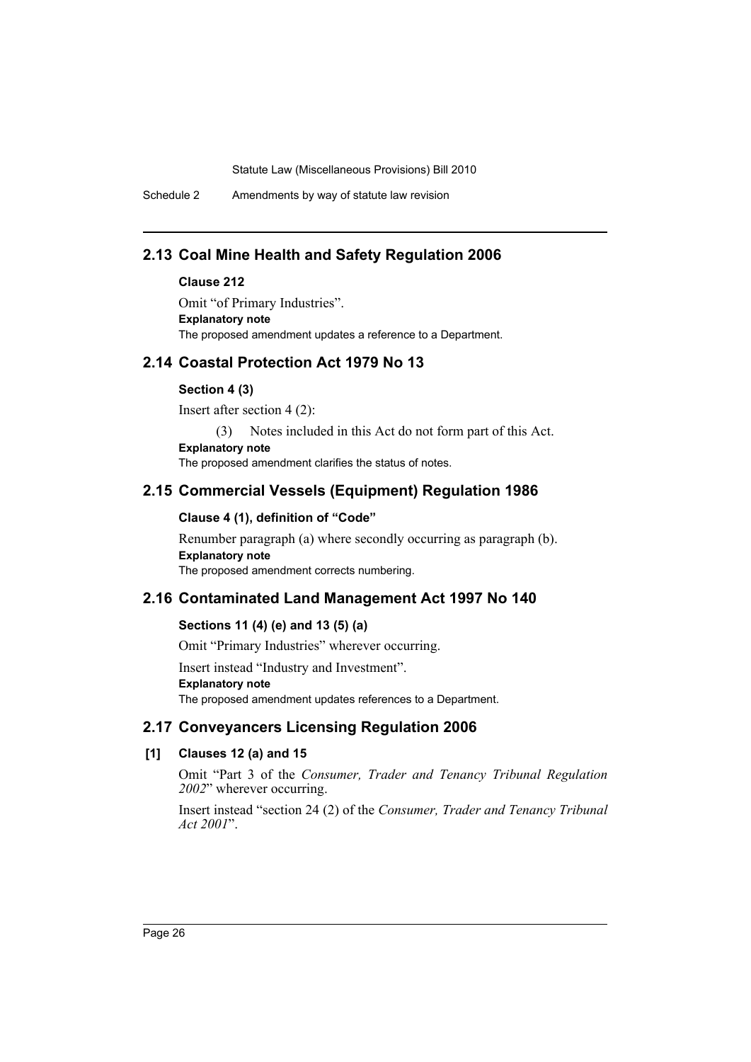Schedule 2 Amendments by way of statute law revision

# **2.13 Coal Mine Health and Safety Regulation 2006**

### **Clause 212**

Omit "of Primary Industries". **Explanatory note** The proposed amendment updates a reference to a Department.

# **2.14 Coastal Protection Act 1979 No 13**

#### **Section 4 (3)**

Insert after section 4 (2):

(3) Notes included in this Act do not form part of this Act.

**Explanatory note**

The proposed amendment clarifies the status of notes.

# **2.15 Commercial Vessels (Equipment) Regulation 1986**

### **Clause 4 (1), definition of "Code"**

Renumber paragraph (a) where secondly occurring as paragraph (b). **Explanatory note** The proposed amendment corrects numbering.

# **2.16 Contaminated Land Management Act 1997 No 140**

### **Sections 11 (4) (e) and 13 (5) (a)**

Omit "Primary Industries" wherever occurring.

Insert instead "Industry and Investment".

**Explanatory note**

The proposed amendment updates references to a Department.

# **2.17 Conveyancers Licensing Regulation 2006**

# **[1] Clauses 12 (a) and 15**

Omit "Part 3 of the *Consumer, Trader and Tenancy Tribunal Regulation 2002*" wherever occurring.

Insert instead "section 24 (2) of the *Consumer, Trader and Tenancy Tribunal Act 2001*".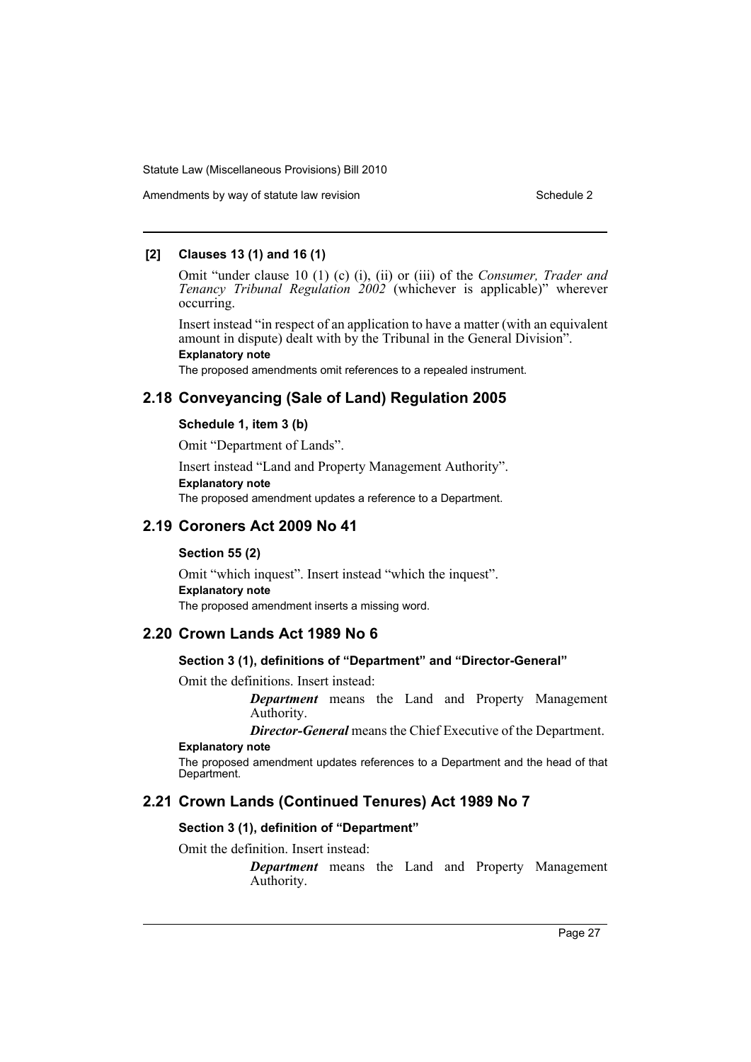Amendments by way of statute law revision Schedule 2 Schedule 2

### **[2] Clauses 13 (1) and 16 (1)**

Omit "under clause 10 (1) (c) (i), (ii) or (iii) of the *Consumer, Trader and Tenancy Tribunal Regulation 2002* (whichever is applicable)" wherever occurring.

Insert instead "in respect of an application to have a matter (with an equivalent amount in dispute) dealt with by the Tribunal in the General Division". **Explanatory note**

The proposed amendments omit references to a repealed instrument.

# **2.18 Conveyancing (Sale of Land) Regulation 2005**

### **Schedule 1, item 3 (b)**

Omit "Department of Lands".

Insert instead "Land and Property Management Authority". **Explanatory note**

The proposed amendment updates a reference to a Department.

# **2.19 Coroners Act 2009 No 41**

#### **Section 55 (2)**

Omit "which inquest". Insert instead "which the inquest". **Explanatory note** The proposed amendment inserts a missing word.

# **2.20 Crown Lands Act 1989 No 6**

### **Section 3 (1), definitions of "Department" and "Director-General"**

Omit the definitions. Insert instead:

*Department* means the Land and Property Management Authority.

*Director-General* means the Chief Executive of the Department.

# **Explanatory note**

The proposed amendment updates references to a Department and the head of that Department.

# **2.21 Crown Lands (Continued Tenures) Act 1989 No 7**

#### **Section 3 (1), definition of "Department"**

Omit the definition. Insert instead:

*Department* means the Land and Property Management Authority.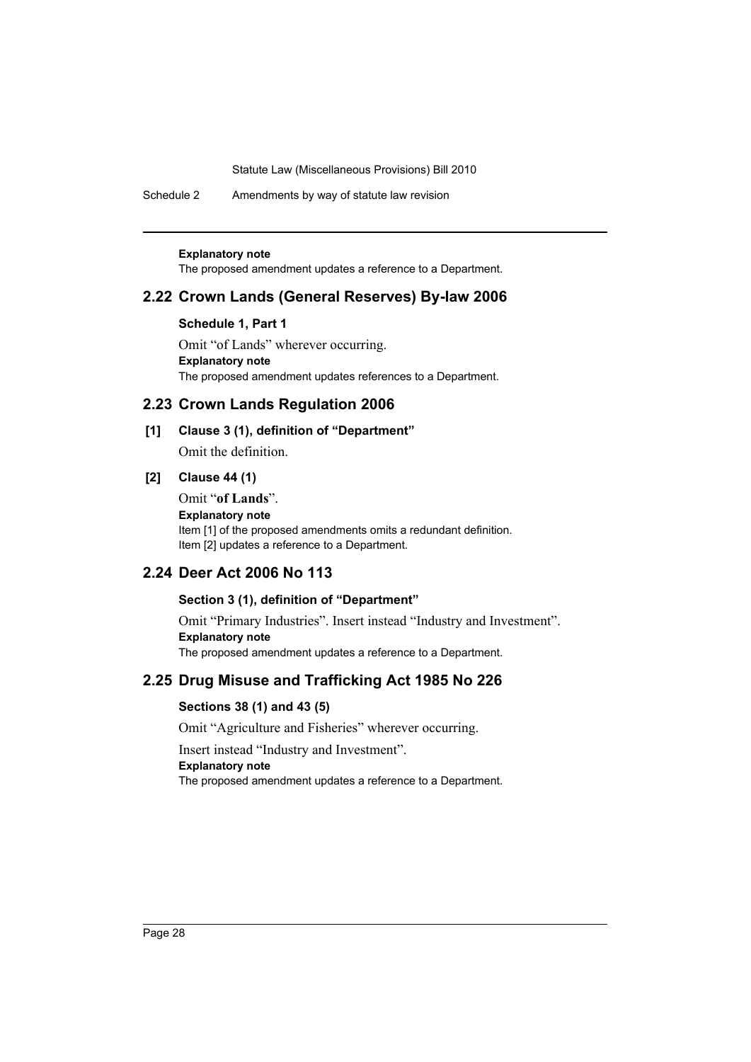Schedule 2 Amendments by way of statute law revision

#### **Explanatory note**

The proposed amendment updates a reference to a Department.

# **2.22 Crown Lands (General Reserves) By-law 2006**

#### **Schedule 1, Part 1**

Omit "of Lands" wherever occurring. **Explanatory note** The proposed amendment updates references to a Department.

### **2.23 Crown Lands Regulation 2006**

# **[1] Clause 3 (1), definition of "Department"**

Omit the definition.

# **[2] Clause 44 (1)**

Omit "**of Lands**". **Explanatory note** Item [1] of the proposed amendments omits a redundant definition. Item [2] updates a reference to a Department.

# **2.24 Deer Act 2006 No 113**

### **Section 3 (1), definition of "Department"**

Omit "Primary Industries". Insert instead "Industry and Investment". **Explanatory note** The proposed amendment updates a reference to a Department.

# **2.25 Drug Misuse and Trafficking Act 1985 No 226**

# **Sections 38 (1) and 43 (5)**

Omit "Agriculture and Fisheries" wherever occurring.

Insert instead "Industry and Investment".

### **Explanatory note**

The proposed amendment updates a reference to a Department.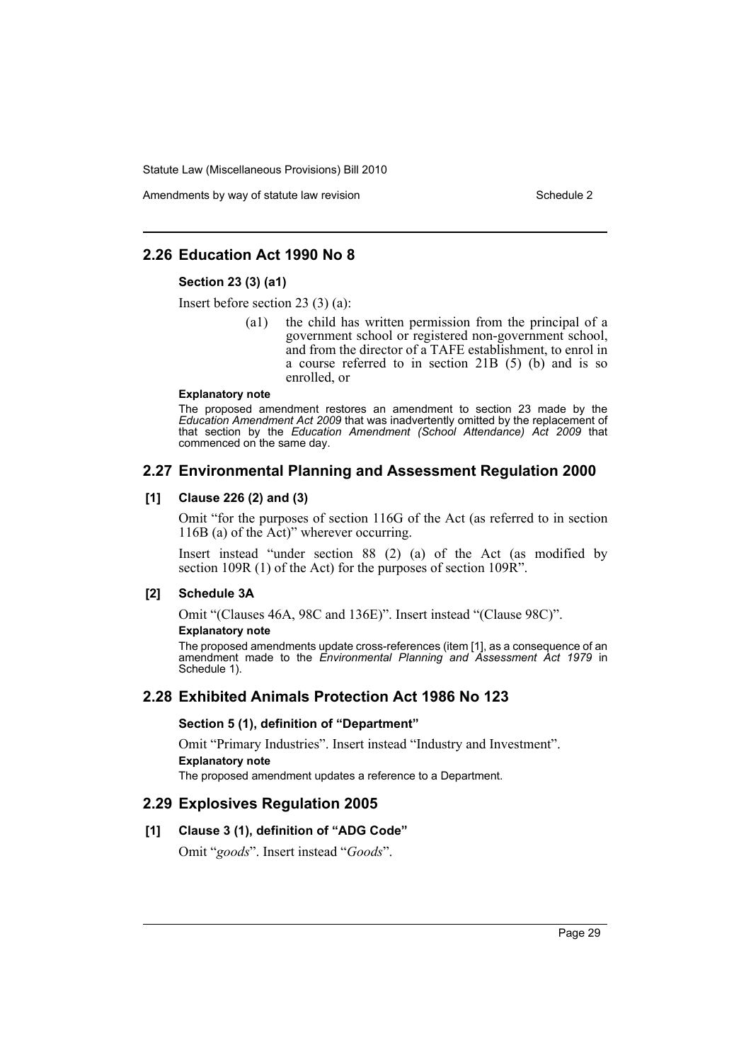Amendments by way of statute law revision Schedule 2

# **2.26 Education Act 1990 No 8**

#### **Section 23 (3) (a1)**

Insert before section 23 (3) (a):

(a1) the child has written permission from the principal of a government school or registered non-government school, and from the director of a TAFE establishment, to enrol in a course referred to in section 21B (5) (b) and is so enrolled, or

#### **Explanatory note**

The proposed amendment restores an amendment to section 23 made by the *Education Amendment Act 2009* that was inadvertently omitted by the replacement of that section by the *Education Amendment (School Attendance) Act 2009* that commenced on the same day.

# **2.27 Environmental Planning and Assessment Regulation 2000**

### **[1] Clause 226 (2) and (3)**

Omit "for the purposes of section 116G of the Act (as referred to in section 116B (a) of the Act)" wherever occurring.

Insert instead "under section 88 (2) (a) of the Act (as modified by section 109R (1) of the Act) for the purposes of section 109R".

# **[2] Schedule 3A**

Omit "(Clauses 46A, 98C and 136E)". Insert instead "(Clause 98C)".

### **Explanatory note**

The proposed amendments update cross-references (item [1], as a consequence of an amendment made to the *Environmental Planning and Assessment Act 1979* in Schedule 1).

# **2.28 Exhibited Animals Protection Act 1986 No 123**

# **Section 5 (1), definition of "Department"**

Omit "Primary Industries". Insert instead "Industry and Investment". **Explanatory note**

The proposed amendment updates a reference to a Department.

# **2.29 Explosives Regulation 2005**

# **[1] Clause 3 (1), definition of "ADG Code"**

Omit "*goods*". Insert instead "*Goods*".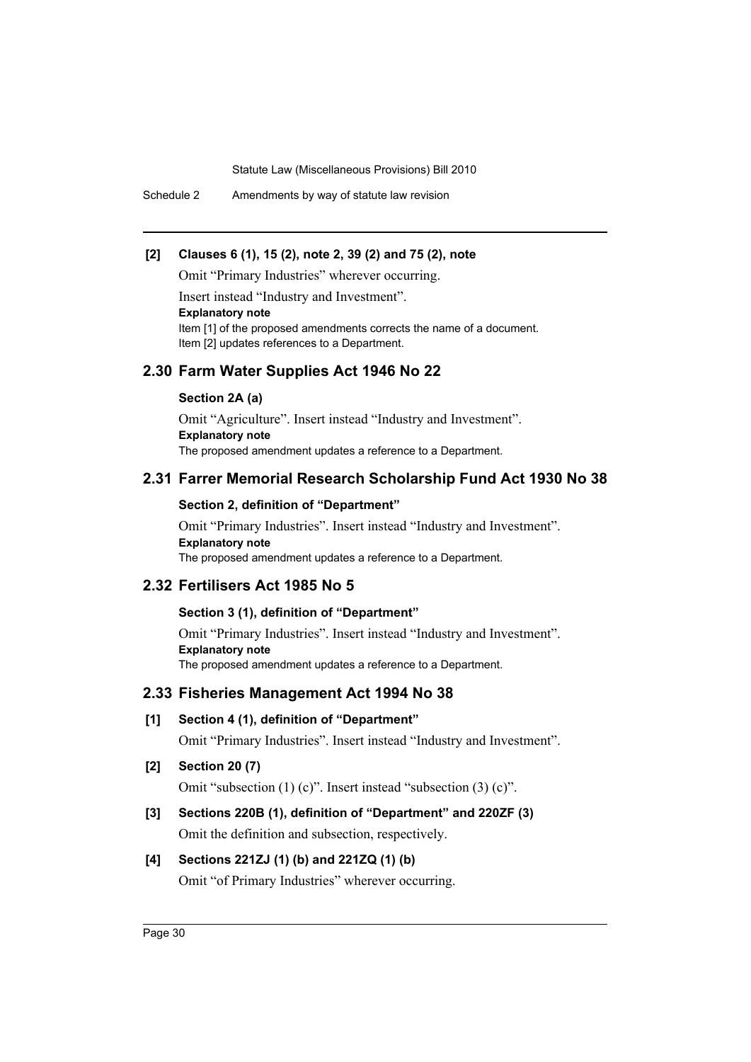Schedule 2 Amendments by way of statute law revision

# **[2] Clauses 6 (1), 15 (2), note 2, 39 (2) and 75 (2), note**

Omit "Primary Industries" wherever occurring.

Insert instead "Industry and Investment".

#### **Explanatory note**

Item [1] of the proposed amendments corrects the name of a document. Item [2] updates references to a Department.

# **2.30 Farm Water Supplies Act 1946 No 22**

### **Section 2A (a)**

Omit "Agriculture". Insert instead "Industry and Investment". **Explanatory note** The proposed amendment updates a reference to a Department.

# **2.31 Farrer Memorial Research Scholarship Fund Act 1930 No 38**

### **Section 2, definition of "Department"**

Omit "Primary Industries". Insert instead "Industry and Investment". **Explanatory note** The proposed amendment updates a reference to a Department.

# **2.32 Fertilisers Act 1985 No 5**

# **Section 3 (1), definition of "Department"**

Omit "Primary Industries". Insert instead "Industry and Investment". **Explanatory note** The proposed amendment updates a reference to a Department.

# **2.33 Fisheries Management Act 1994 No 38**

#### **[1] Section 4 (1), definition of "Department"**

Omit "Primary Industries". Insert instead "Industry and Investment".

**[2] Section 20 (7)**

Omit "subsection (1) (c)". Insert instead "subsection (3) (c)".

# **[3] Sections 220B (1), definition of "Department" and 220ZF (3)**

Omit the definition and subsection, respectively.

# **[4] Sections 221ZJ (1) (b) and 221ZQ (1) (b)**

Omit "of Primary Industries" wherever occurring.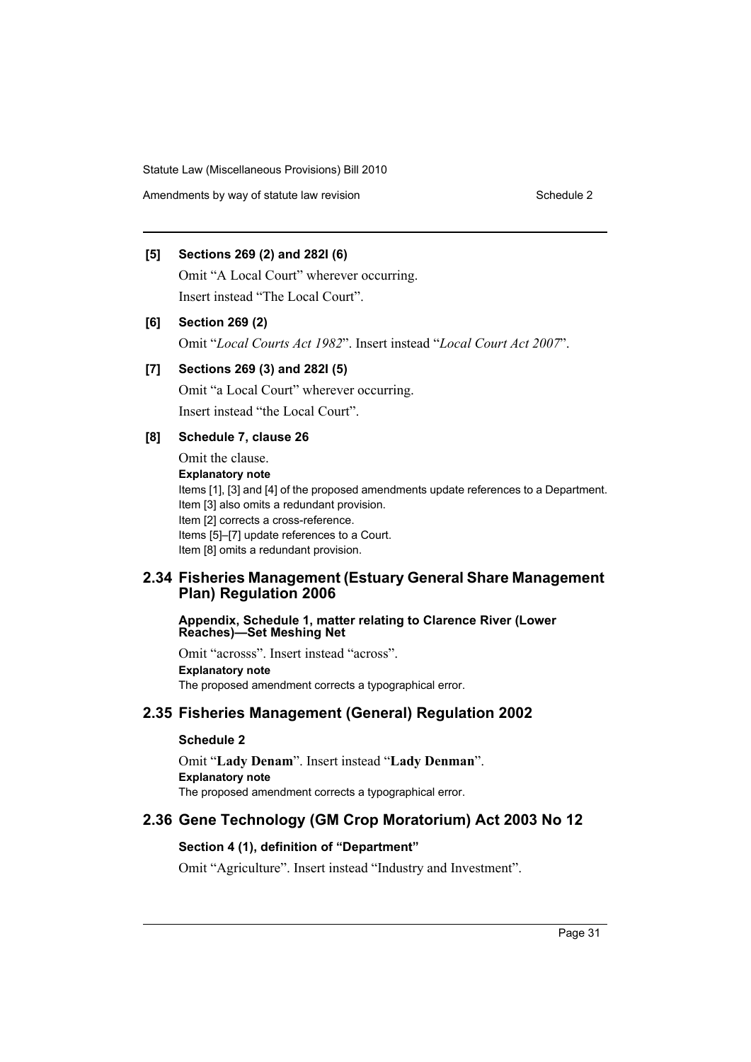Amendments by way of statute law revision Schedule 2 Schedule 2

# **[5] Sections 269 (2) and 282I (6)**

Omit "A Local Court" wherever occurring. Insert instead "The Local Court".

# **[6] Section 269 (2)**

Omit "*Local Courts Act 1982*". Insert instead "*Local Court Act 2007*".

# **[7] Sections 269 (3) and 282I (5)**

Omit "a Local Court" wherever occurring. Insert instead "the Local Court".

# **[8] Schedule 7, clause 26**

Omit the clause. **Explanatory note** Items [1], [3] and [4] of the proposed amendments update references to a Department. Item [3] also omits a redundant provision. Item [2] corrects a cross-reference. Items [5]–[7] update references to a Court. Item [8] omits a redundant provision.

# **2.34 Fisheries Management (Estuary General Share Management Plan) Regulation 2006**

#### **Appendix, Schedule 1, matter relating to Clarence River (Lower Reaches)—Set Meshing Net**

Omit "acrosss". Insert instead "across". **Explanatory note** The proposed amendment corrects a typographical error.

# **2.35 Fisheries Management (General) Regulation 2002**

# **Schedule 2**

Omit "**Lady Denam**". Insert instead "**Lady Denman**". **Explanatory note** The proposed amendment corrects a typographical error.

# **2.36 Gene Technology (GM Crop Moratorium) Act 2003 No 12**

# **Section 4 (1), definition of "Department"**

Omit "Agriculture". Insert instead "Industry and Investment".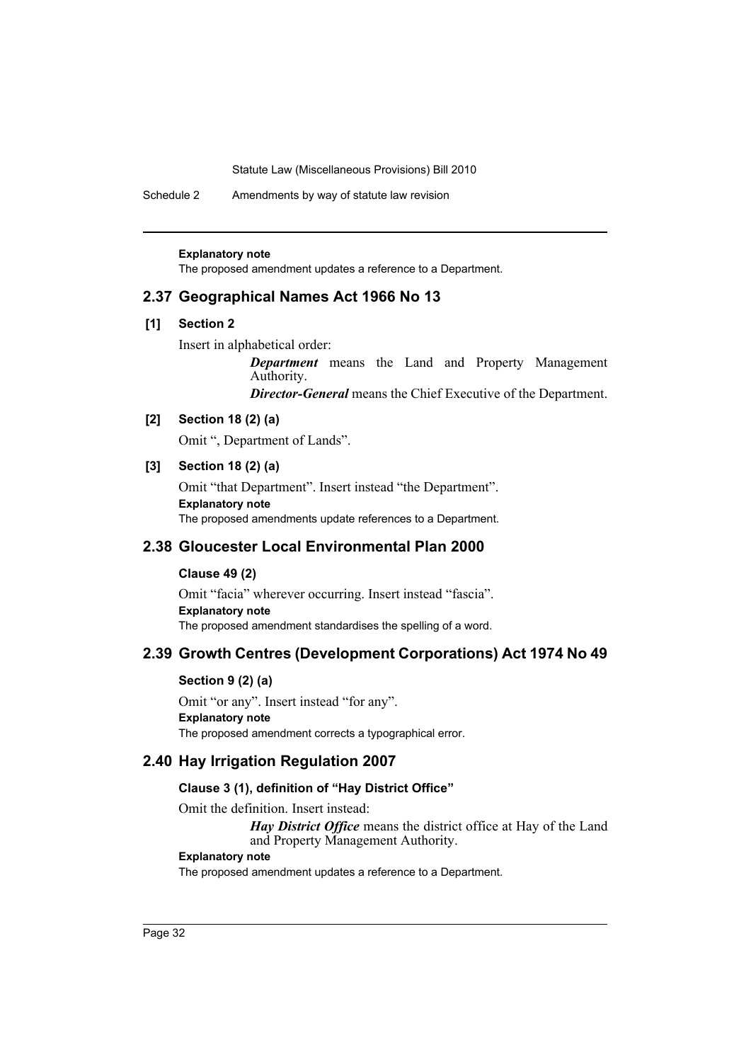Schedule 2 Amendments by way of statute law revision

#### **Explanatory note**

The proposed amendment updates a reference to a Department.

# **2.37 Geographical Names Act 1966 No 13**

# **[1] Section 2**

Insert in alphabetical order:

*Department* means the Land and Property Management Authority.

*Director-General* means the Chief Executive of the Department.

# **[2] Section 18 (2) (a)**

Omit ", Department of Lands".

# **[3] Section 18 (2) (a)**

Omit "that Department". Insert instead "the Department". **Explanatory note** The proposed amendments update references to a Department.

# **2.38 Gloucester Local Environmental Plan 2000**

### **Clause 49 (2)**

Omit "facia" wherever occurring. Insert instead "fascia". **Explanatory note** The proposed amendment standardises the spelling of a word.

# **2.39 Growth Centres (Development Corporations) Act 1974 No 49**

### **Section 9 (2) (a)**

Omit "or any". Insert instead "for any". **Explanatory note** The proposed amendment corrects a typographical error.

# **2.40 Hay Irrigation Regulation 2007**

### **Clause 3 (1), definition of "Hay District Office"**

Omit the definition. Insert instead:

*Hay District Office* means the district office at Hay of the Land and Property Management Authority.

### **Explanatory note**

The proposed amendment updates a reference to a Department.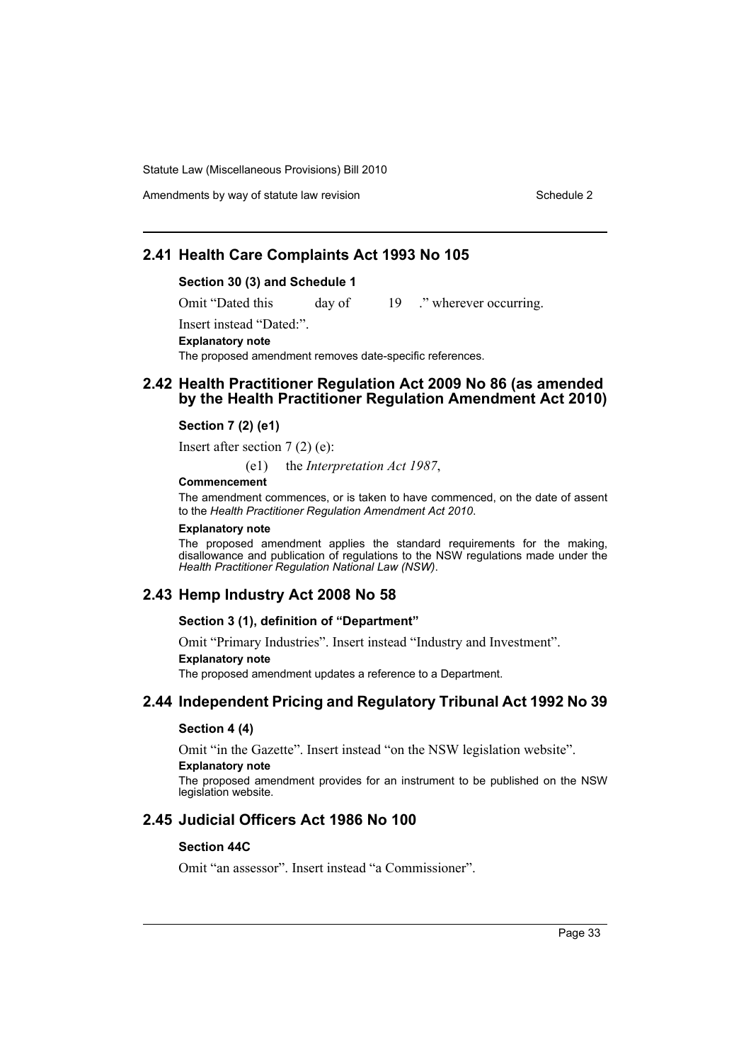# **2.41 Health Care Complaints Act 1993 No 105**

#### **Section 30 (3) and Schedule 1**

Omit "Dated this day of 19 ." wherever occurring.

Insert instead "Dated:".

**Explanatory note**

The proposed amendment removes date-specific references.

# **2.42 Health Practitioner Regulation Act 2009 No 86 (as amended by the Health Practitioner Regulation Amendment Act 2010)**

#### **Section 7 (2) (e1)**

Insert after section 7 (2) (e):

(e1) the *Interpretation Act 1987*,

### **Commencement**

The amendment commences, or is taken to have commenced, on the date of assent to the *Health Practitioner Regulation Amendment Act 2010*.

#### **Explanatory note**

The proposed amendment applies the standard requirements for the making, disallowance and publication of regulations to the NSW regulations made under the *Health Practitioner Regulation National Law (NSW)*.

# **2.43 Hemp Industry Act 2008 No 58**

#### **Section 3 (1), definition of "Department"**

Omit "Primary Industries". Insert instead "Industry and Investment". **Explanatory note**

The proposed amendment updates a reference to a Department.

# **2.44 Independent Pricing and Regulatory Tribunal Act 1992 No 39**

#### **Section 4 (4)**

Omit "in the Gazette". Insert instead "on the NSW legislation website".

### **Explanatory note**

The proposed amendment provides for an instrument to be published on the NSW legislation website.

# **2.45 Judicial Officers Act 1986 No 100**

#### **Section 44C**

Omit "an assessor". Insert instead "a Commissioner".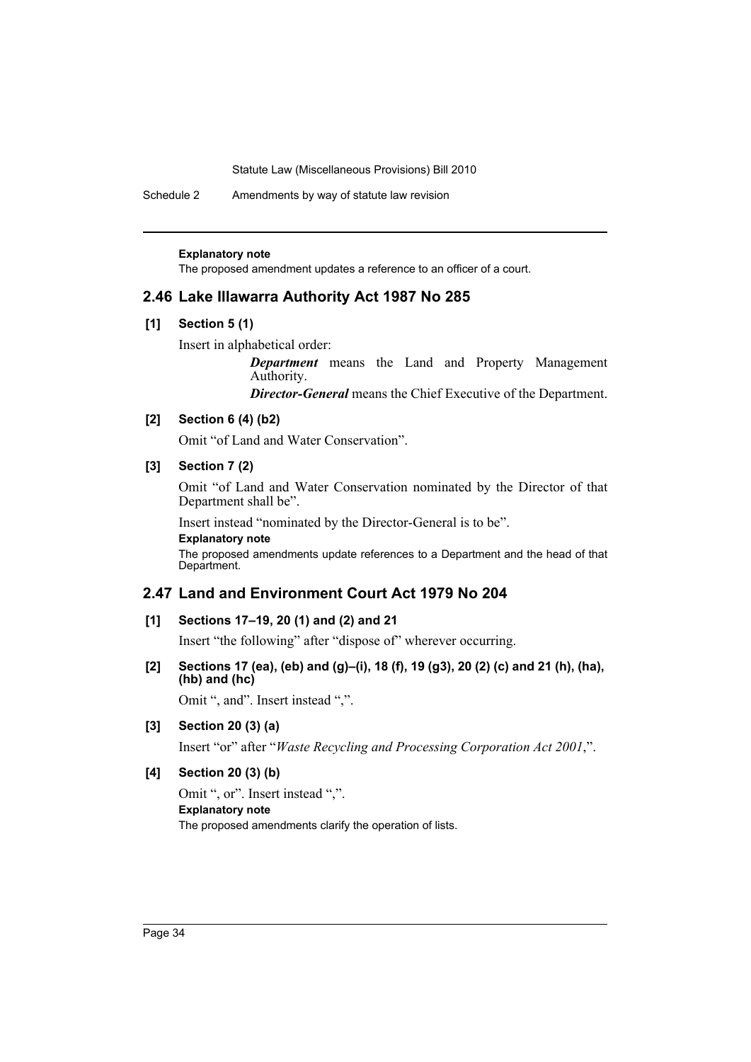Schedule 2 Amendments by way of statute law revision

#### **Explanatory note**

The proposed amendment updates a reference to an officer of a court.

### **2.46 Lake Illawarra Authority Act 1987 No 285**

### **[1] Section 5 (1)**

Insert in alphabetical order:

*Department* means the Land and Property Management Authority.

*Director-General* means the Chief Executive of the Department.

# **[2] Section 6 (4) (b2)**

Omit "of Land and Water Conservation".

# **[3] Section 7 (2)**

Omit "of Land and Water Conservation nominated by the Director of that Department shall be".

Insert instead "nominated by the Director-General is to be". **Explanatory note**

The proposed amendments update references to a Department and the head of that Department.

# **2.47 Land and Environment Court Act 1979 No 204**

### **[1] Sections 17–19, 20 (1) and (2) and 21**

Insert "the following" after "dispose of" wherever occurring.

### **[2] Sections 17 (ea), (eb) and (g)–(i), 18 (f), 19 (g3), 20 (2) (c) and 21 (h), (ha), (hb) and (hc)**

Omit ", and". Insert instead ",".

# **[3] Section 20 (3) (a)**

Insert "or" after "*Waste Recycling and Processing Corporation Act 2001*,".

### **[4] Section 20 (3) (b)**

Omit ", or". Insert instead ",". **Explanatory note** The proposed amendments clarify the operation of lists.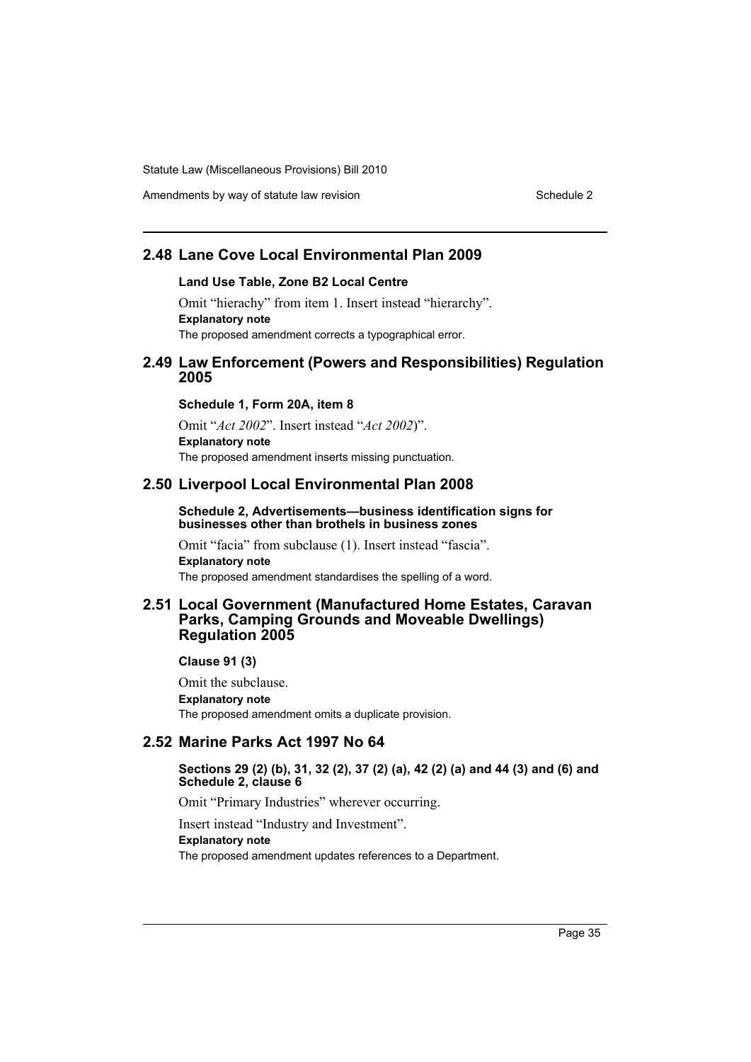Amendments by way of statute law revision Schedule 2 Schedule 2

# **2.48 Lane Cove Local Environmental Plan 2009**

#### **Land Use Table, Zone B2 Local Centre**

Omit "hierachy" from item 1. Insert instead "hierarchy". **Explanatory note** The proposed amendment corrects a typographical error.

### **2.49 Law Enforcement (Powers and Responsibilities) Regulation 2005**

#### **Schedule 1, Form 20A, item 8**

Omit "*Act 2002*". Insert instead "*Act 2002*)". **Explanatory note** The proposed amendment inserts missing punctuation.

#### **2.50 Liverpool Local Environmental Plan 2008**

#### **Schedule 2, Advertisements—business identification signs for businesses other than brothels in business zones**

Omit "facia" from subclause (1). Insert instead "fascia". **Explanatory note** The proposed amendment standardises the spelling of a word.

# **2.51 Local Government (Manufactured Home Estates, Caravan Parks, Camping Grounds and Moveable Dwellings) Regulation 2005**

### **Clause 91 (3)**

Omit the subclause. **Explanatory note** The proposed amendment omits a duplicate provision.

# **2.52 Marine Parks Act 1997 No 64**

#### **Sections 29 (2) (b), 31, 32 (2), 37 (2) (a), 42 (2) (a) and 44 (3) and (6) and Schedule 2, clause 6**

Omit "Primary Industries" wherever occurring.

Insert instead "Industry and Investment".

### **Explanatory note**

The proposed amendment updates references to a Department.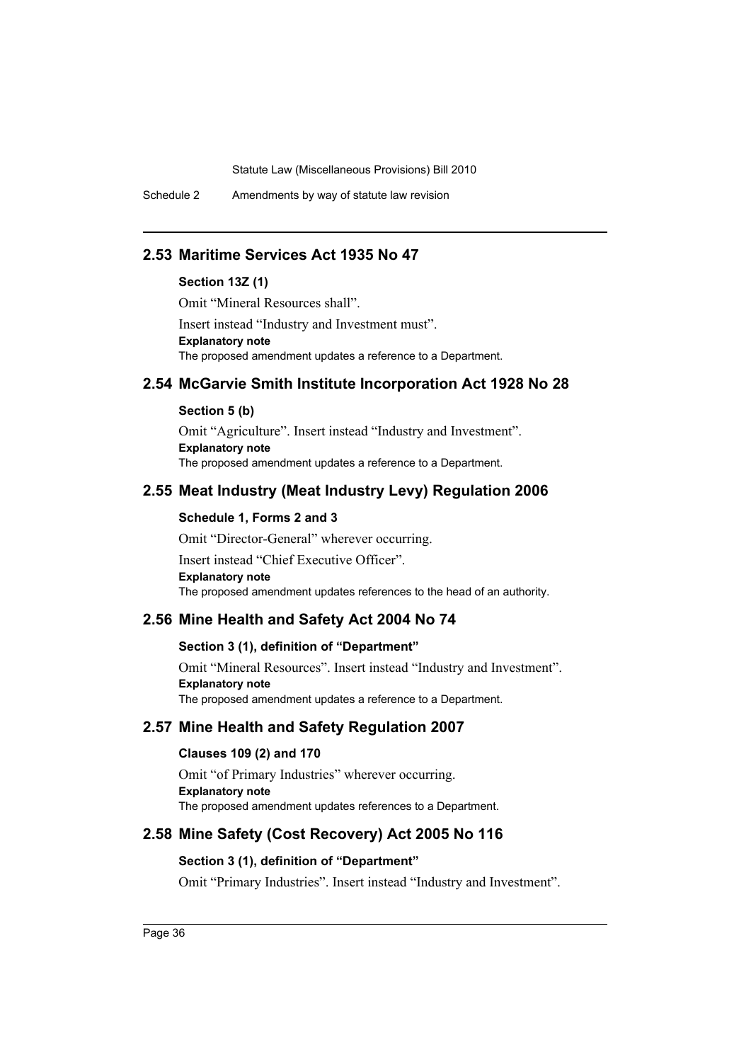Schedule 2 Amendments by way of statute law revision

# **2.53 Maritime Services Act 1935 No 47**

# **Section 13Z (1)**

Omit "Mineral Resources shall".

Insert instead "Industry and Investment must". **Explanatory note** The proposed amendment updates a reference to a Department.

# **2.54 McGarvie Smith Institute Incorporation Act 1928 No 28**

#### **Section 5 (b)**

Omit "Agriculture". Insert instead "Industry and Investment". **Explanatory note** The proposed amendment updates a reference to a Department.

# **2.55 Meat Industry (Meat Industry Levy) Regulation 2006**

# **Schedule 1, Forms 2 and 3**

Omit "Director-General" wherever occurring. Insert instead "Chief Executive Officer". **Explanatory note** The proposed amendment updates references to the head of an authority.

# **2.56 Mine Health and Safety Act 2004 No 74**

### **Section 3 (1), definition of "Department"**

Omit "Mineral Resources". Insert instead "Industry and Investment". **Explanatory note** The proposed amendment updates a reference to a Department.

# **2.57 Mine Health and Safety Regulation 2007**

# **Clauses 109 (2) and 170**

Omit "of Primary Industries" wherever occurring. **Explanatory note** The proposed amendment updates references to a Department.

# **2.58 Mine Safety (Cost Recovery) Act 2005 No 116**

#### **Section 3 (1), definition of "Department"**

Omit "Primary Industries". Insert instead "Industry and Investment".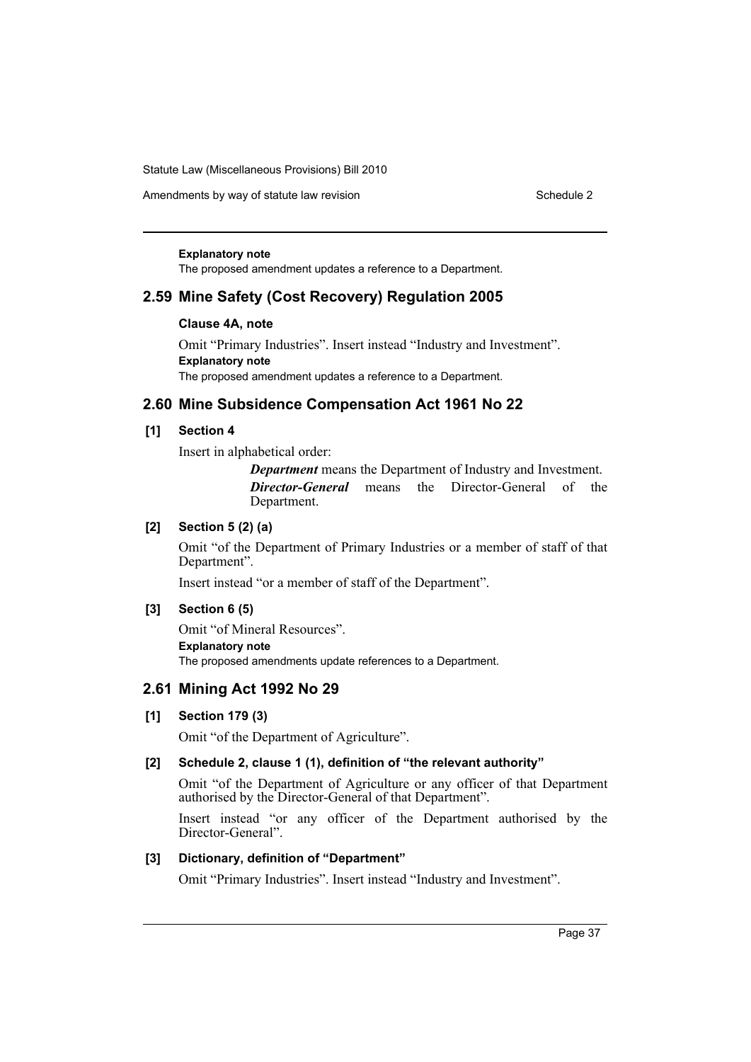Amendments by way of statute law revision Schedule 2 Schedule 2

#### **Explanatory note**

The proposed amendment updates a reference to a Department.

# **2.59 Mine Safety (Cost Recovery) Regulation 2005**

### **Clause 4A, note**

Omit "Primary Industries". Insert instead "Industry and Investment". **Explanatory note** The proposed amendment updates a reference to a Department.

# **2.60 Mine Subsidence Compensation Act 1961 No 22**

### **[1] Section 4**

Insert in alphabetical order:

*Department* means the Department of Industry and Investment. *Director-General* means the Director-General of the Department.

### **[2] Section 5 (2) (a)**

Omit "of the Department of Primary Industries or a member of staff of that Department".

Insert instead "or a member of staff of the Department".

#### **[3] Section 6 (5)**

Omit "of Mineral Resources". **Explanatory note** The proposed amendments update references to a Department.

# **2.61 Mining Act 1992 No 29**

# **[1] Section 179 (3)**

Omit "of the Department of Agriculture".

# **[2] Schedule 2, clause 1 (1), definition of "the relevant authority"**

Omit "of the Department of Agriculture or any officer of that Department authorised by the Director-General of that Department".

Insert instead "or any officer of the Department authorised by the Director-General".

#### **[3] Dictionary, definition of "Department"**

Omit "Primary Industries". Insert instead "Industry and Investment".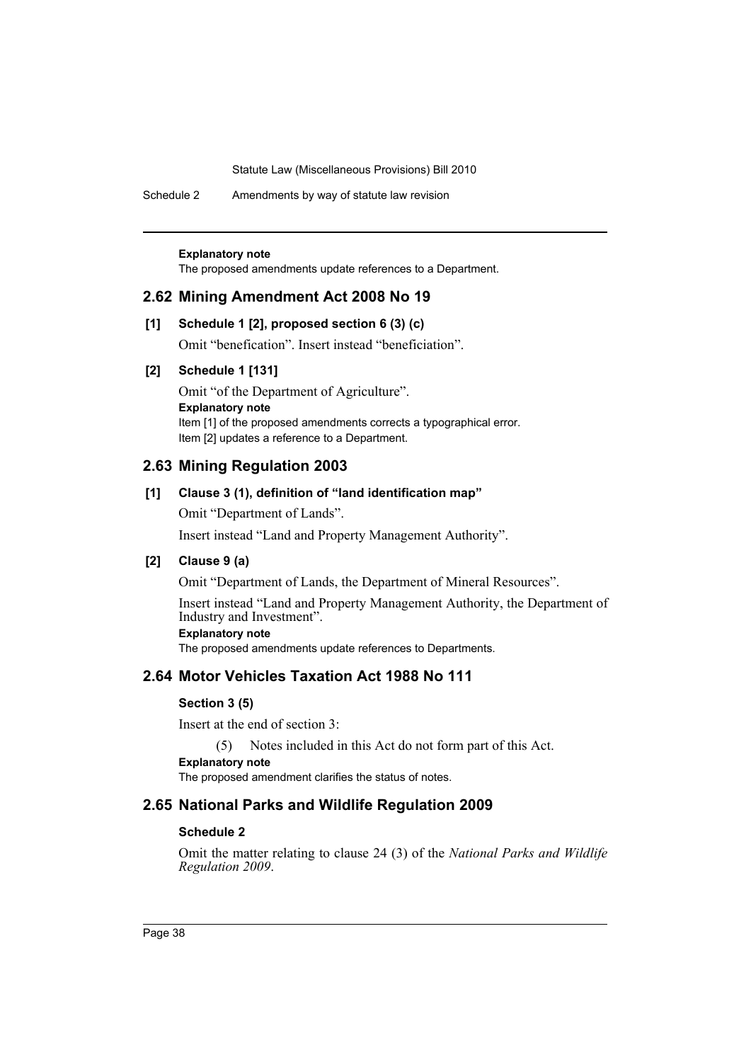Schedule 2 Amendments by way of statute law revision

#### **Explanatory note**

The proposed amendments update references to a Department.

### **2.62 Mining Amendment Act 2008 No 19**

### **[1] Schedule 1 [2], proposed section 6 (3) (c)**

Omit "benefication". Insert instead "beneficiation".

# **[2] Schedule 1 [131]**

Omit "of the Department of Agriculture". **Explanatory note** Item [1] of the proposed amendments corrects a typographical error. Item [2] updates a reference to a Department.

# **2.63 Mining Regulation 2003**

# **[1] Clause 3 (1), definition of "land identification map"**

Omit "Department of Lands".

Insert instead "Land and Property Management Authority".

# **[2] Clause 9 (a)**

Omit "Department of Lands, the Department of Mineral Resources".

Insert instead "Land and Property Management Authority, the Department of Industry and Investment".

# **Explanatory note**

The proposed amendments update references to Departments.

# **2.64 Motor Vehicles Taxation Act 1988 No 111**

#### **Section 3 (5)**

Insert at the end of section 3:

(5) Notes included in this Act do not form part of this Act.

#### **Explanatory note**

The proposed amendment clarifies the status of notes.

# **2.65 National Parks and Wildlife Regulation 2009**

### **Schedule 2**

Omit the matter relating to clause 24 (3) of the *National Parks and Wildlife Regulation 2009*.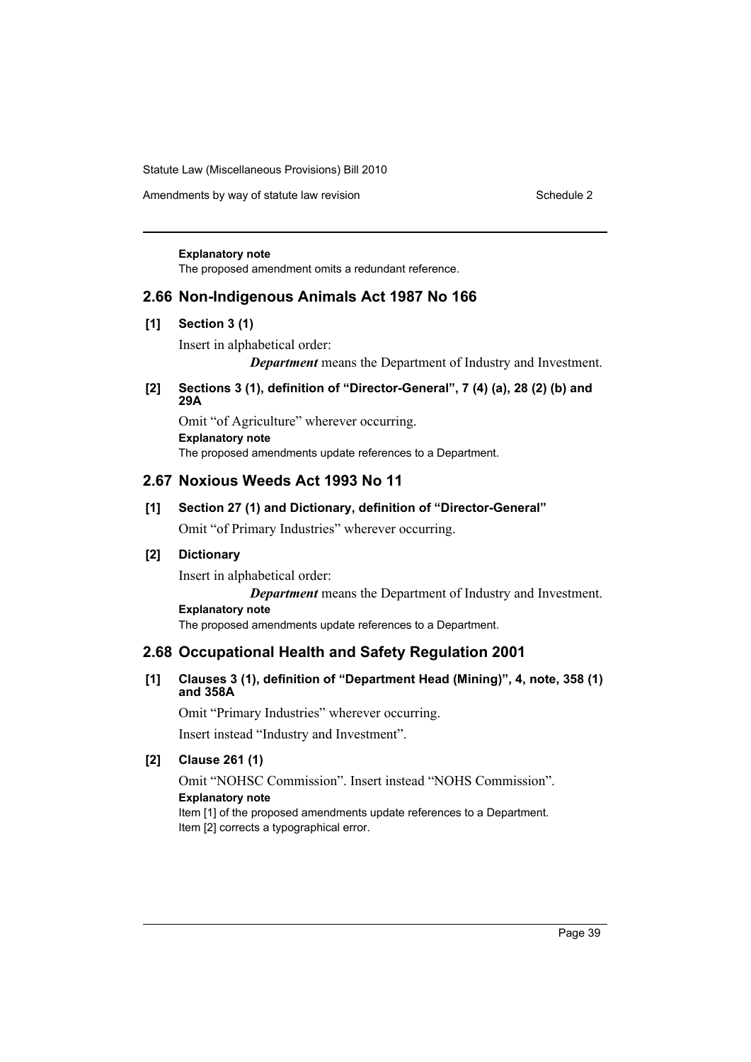Amendments by way of statute law revision Schedule 2 Schedule 2

#### **Explanatory note**

The proposed amendment omits a redundant reference.

# **2.66 Non-Indigenous Animals Act 1987 No 166**

### **[1] Section 3 (1)**

Insert in alphabetical order:

*Department* means the Department of Industry and Investment.

### **[2] Sections 3 (1), definition of "Director-General", 7 (4) (a), 28 (2) (b) and 29A**

Omit "of Agriculture" wherever occurring. **Explanatory note** The proposed amendments update references to a Department.

# **2.67 Noxious Weeds Act 1993 No 11**

# **[1] Section 27 (1) and Dictionary, definition of "Director-General"**

Omit "of Primary Industries" wherever occurring.

# **[2] Dictionary**

Insert in alphabetical order:

*Department* means the Department of Industry and Investment. **Explanatory note**

The proposed amendments update references to a Department.

# **2.68 Occupational Health and Safety Regulation 2001**

# **[1] Clauses 3 (1), definition of "Department Head (Mining)", 4, note, 358 (1) and 358A**

Omit "Primary Industries" wherever occurring. Insert instead "Industry and Investment".

# **[2] Clause 261 (1)**

Omit "NOHSC Commission". Insert instead "NOHS Commission". **Explanatory note** Item [1] of the proposed amendments update references to a Department. Item [2] corrects a typographical error.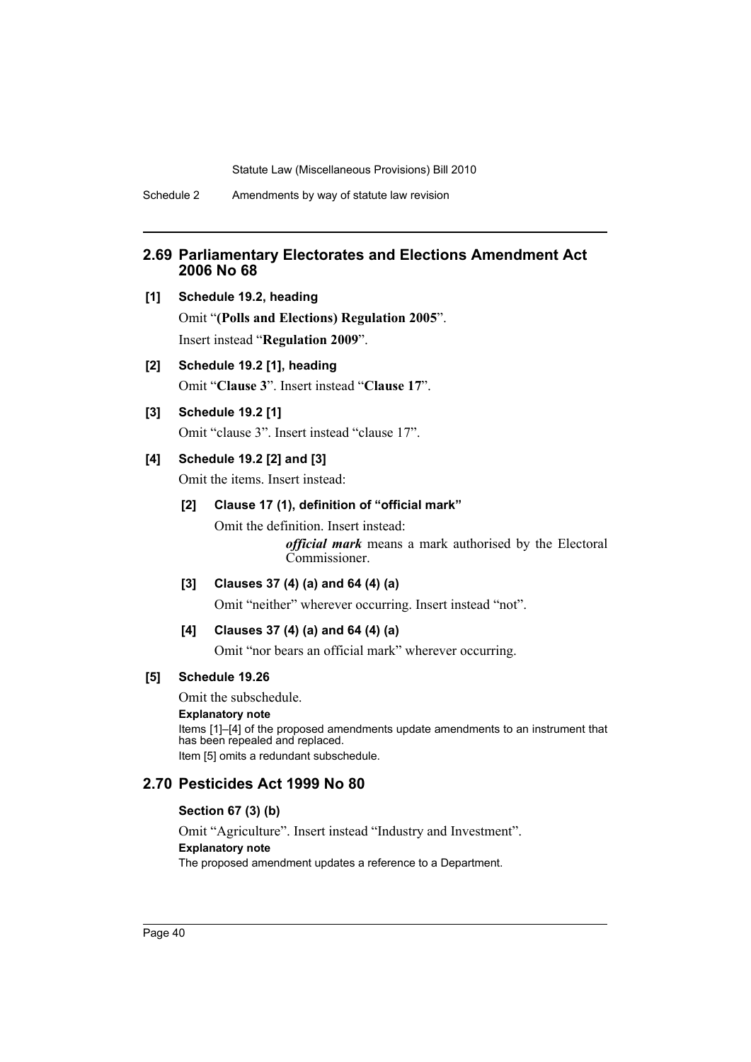# **2.69 Parliamentary Electorates and Elections Amendment Act 2006 No 68**

- **[1] Schedule 19.2, heading** Omit "**(Polls and Elections) Regulation 2005**". Insert instead "**Regulation 2009**".
- **[2] Schedule 19.2 [1], heading** Omit "**Clause 3**". Insert instead "**Clause 17**".
- **[3] Schedule 19.2 [1]**

Omit "clause 3". Insert instead "clause 17".

# **[4] Schedule 19.2 [2] and [3]**

Omit the items. Insert instead:

# **[2] Clause 17 (1), definition of "official mark"**

Omit the definition. Insert instead:

*official mark* means a mark authorised by the Electoral Commissioner.

### **[3] Clauses 37 (4) (a) and 64 (4) (a)**

Omit "neither" wherever occurring. Insert instead "not".

# **[4] Clauses 37 (4) (a) and 64 (4) (a)**

Omit "nor bears an official mark" wherever occurring.

### **[5] Schedule 19.26**

Omit the subschedule.

#### **Explanatory note**

Items [1]–[4] of the proposed amendments update amendments to an instrument that has been repealed and replaced. Item [5] omits a redundant subschedule.

# **2.70 Pesticides Act 1999 No 80**

### **Section 67 (3) (b)**

Omit "Agriculture". Insert instead "Industry and Investment". **Explanatory note** The proposed amendment updates a reference to a Department.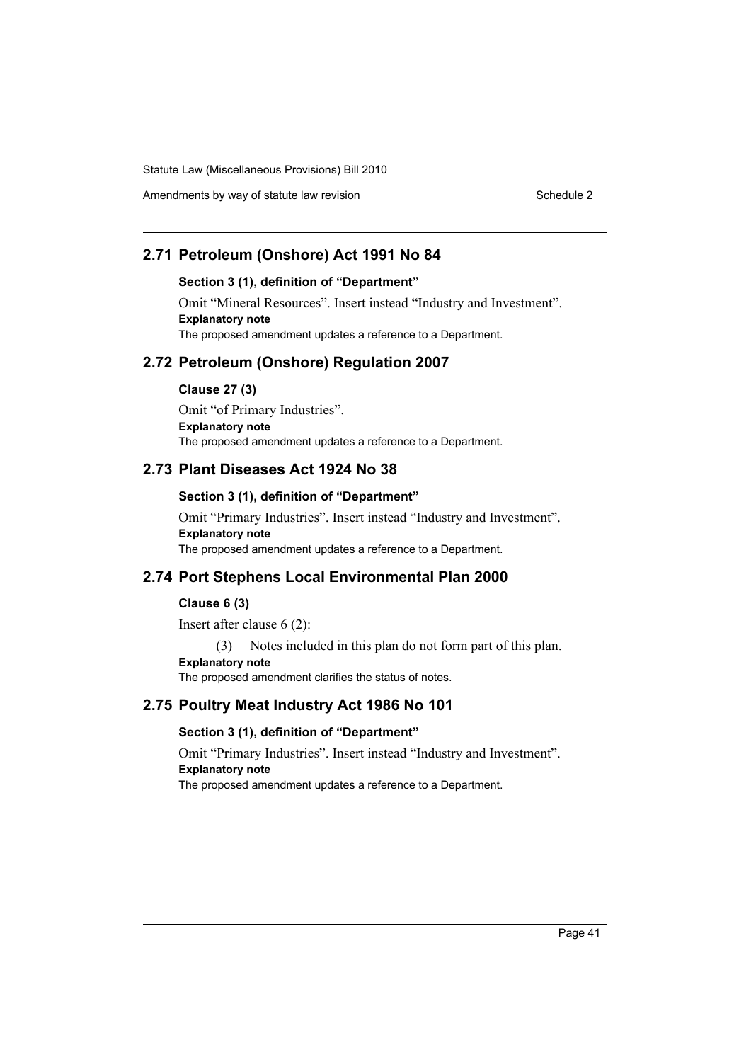Amendments by way of statute law revision Schedule 2 Schedule 2

# **2.71 Petroleum (Onshore) Act 1991 No 84**

#### **Section 3 (1), definition of "Department"**

Omit "Mineral Resources". Insert instead "Industry and Investment". **Explanatory note** The proposed amendment updates a reference to a Department.

# **2.72 Petroleum (Onshore) Regulation 2007**

**Clause 27 (3)**

Omit "of Primary Industries". **Explanatory note** The proposed amendment updates a reference to a Department.

# **2.73 Plant Diseases Act 1924 No 38**

#### **Section 3 (1), definition of "Department"**

Omit "Primary Industries". Insert instead "Industry and Investment". **Explanatory note** The proposed amendment updates a reference to a Department.

# **2.74 Port Stephens Local Environmental Plan 2000**

#### **Clause 6 (3)**

Insert after clause 6 (2):

(3) Notes included in this plan do not form part of this plan.

**Explanatory note**

The proposed amendment clarifies the status of notes.

# **2.75 Poultry Meat Industry Act 1986 No 101**

# **Section 3 (1), definition of "Department"**

Omit "Primary Industries". Insert instead "Industry and Investment". **Explanatory note** The proposed amendment updates a reference to a Department.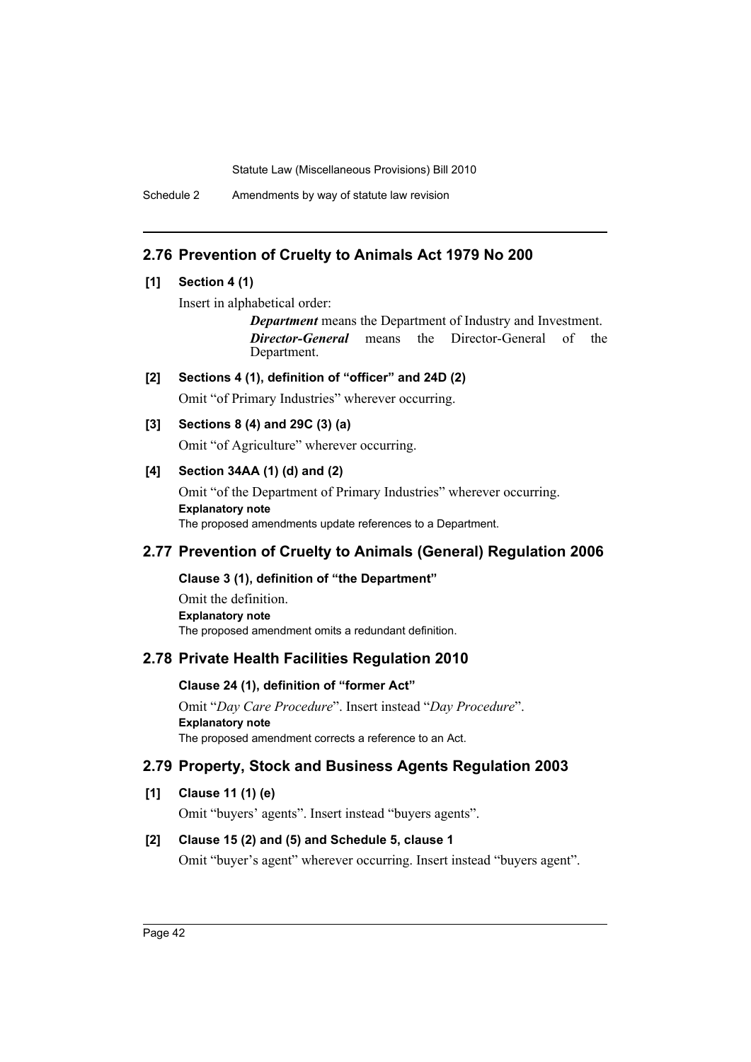Schedule 2 Amendments by way of statute law revision

# **2.76 Prevention of Cruelty to Animals Act 1979 No 200**

# **[1] Section 4 (1)**

Insert in alphabetical order:

*Department* means the Department of Industry and Investment. *Director-General* means the Director-General of the Department.

# **[2] Sections 4 (1), definition of "officer" and 24D (2)**

Omit "of Primary Industries" wherever occurring.

# **[3] Sections 8 (4) and 29C (3) (a)**

Omit "of Agriculture" wherever occurring.

# **[4] Section 34AA (1) (d) and (2)**

Omit "of the Department of Primary Industries" wherever occurring. **Explanatory note** The proposed amendments update references to a Department.

# **2.77 Prevention of Cruelty to Animals (General) Regulation 2006**

# **Clause 3 (1), definition of "the Department"**

Omit the definition. **Explanatory note** The proposed amendment omits a redundant definition.

# **2.78 Private Health Facilities Regulation 2010**

# **Clause 24 (1), definition of "former Act"**

Omit "*Day Care Procedure*". Insert instead "*Day Procedure*". **Explanatory note** The proposed amendment corrects a reference to an Act.

# **2.79 Property, Stock and Business Agents Regulation 2003**

# **[1] Clause 11 (1) (e)**

Omit "buyers' agents". Insert instead "buyers agents".

# **[2] Clause 15 (2) and (5) and Schedule 5, clause 1**

Omit "buyer's agent" wherever occurring. Insert instead "buyers agent".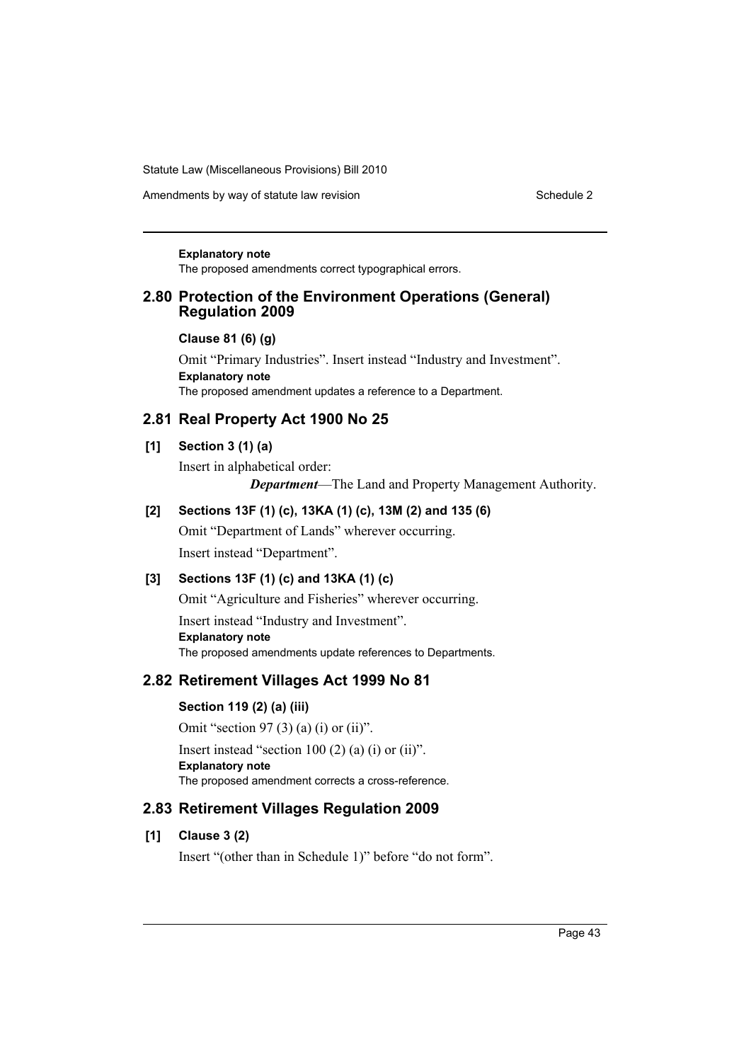Amendments by way of statute law revision Schedule 2 Schedule 2

#### **Explanatory note**

The proposed amendments correct typographical errors.

# **2.80 Protection of the Environment Operations (General) Regulation 2009**

#### **Clause 81 (6) (g)**

Omit "Primary Industries". Insert instead "Industry and Investment". **Explanatory note** The proposed amendment updates a reference to a Department.

# **2.81 Real Property Act 1900 No 25**

### **[1] Section 3 (1) (a)**

Insert in alphabetical order: *Department*—The Land and Property Management Authority.

# **[2] Sections 13F (1) (c), 13KA (1) (c), 13M (2) and 135 (6)**

Omit "Department of Lands" wherever occurring. Insert instead "Department".

# **[3] Sections 13F (1) (c) and 13KA (1) (c)**

Omit "Agriculture and Fisheries" wherever occurring. Insert instead "Industry and Investment". **Explanatory note** The proposed amendments update references to Departments.

# **2.82 Retirement Villages Act 1999 No 81**

# **Section 119 (2) (a) (iii)**

Omit "section 97 (3) (a) (i) or (ii)". Insert instead "section  $100(2)$  (a) (i) or (ii)". **Explanatory note** The proposed amendment corrects a cross-reference.

# **2.83 Retirement Villages Regulation 2009**

# **[1] Clause 3 (2)**

Insert "(other than in Schedule 1)" before "do not form".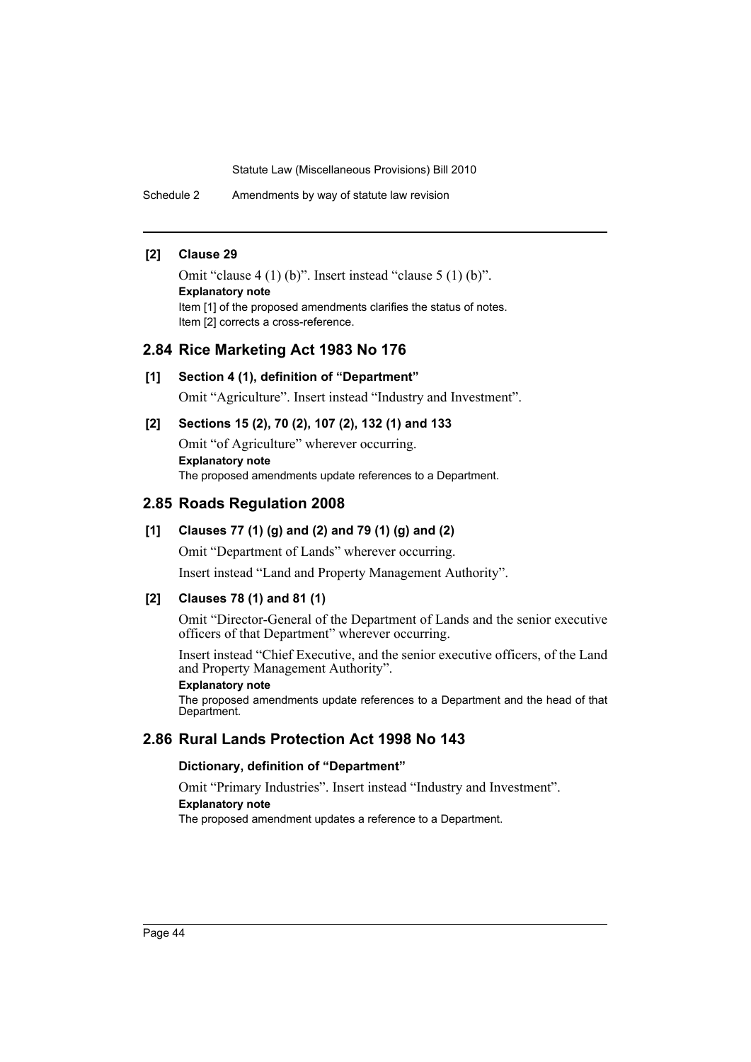Schedule 2 Amendments by way of statute law revision

### **[2] Clause 29**

Omit "clause 4 (1) (b)". Insert instead "clause 5 (1) (b)". **Explanatory note** Item [1] of the proposed amendments clarifies the status of notes. Item [2] corrects a cross-reference.

### **2.84 Rice Marketing Act 1983 No 176**

#### **[1] Section 4 (1), definition of "Department"**

Omit "Agriculture". Insert instead "Industry and Investment".

# **[2] Sections 15 (2), 70 (2), 107 (2), 132 (1) and 133**

Omit "of Agriculture" wherever occurring. **Explanatory note** The proposed amendments update references to a Department.

# **2.85 Roads Regulation 2008**

# **[1] Clauses 77 (1) (g) and (2) and 79 (1) (g) and (2)**

Omit "Department of Lands" wherever occurring.

Insert instead "Land and Property Management Authority".

### **[2] Clauses 78 (1) and 81 (1)**

Omit "Director-General of the Department of Lands and the senior executive officers of that Department" wherever occurring.

Insert instead "Chief Executive, and the senior executive officers, of the Land and Property Management Authority".

### **Explanatory note**

The proposed amendments update references to a Department and the head of that Department.

# **2.86 Rural Lands Protection Act 1998 No 143**

### **Dictionary, definition of "Department"**

Omit "Primary Industries". Insert instead "Industry and Investment". **Explanatory note**

The proposed amendment updates a reference to a Department.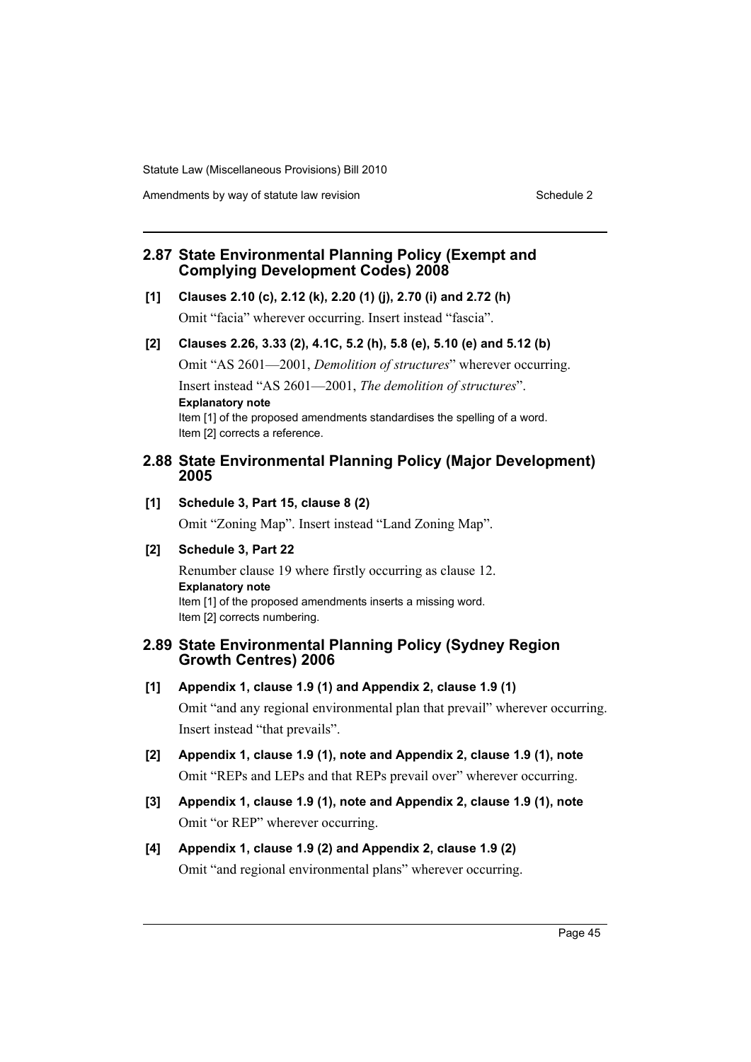Amendments by way of statute law revision Schedule 2 Schedule 2

# **2.87 State Environmental Planning Policy (Exempt and Complying Development Codes) 2008**

**[1] Clauses 2.10 (c), 2.12 (k), 2.20 (1) (j), 2.70 (i) and 2.72 (h)**

Omit "facia" wherever occurring. Insert instead "fascia".

# **[2] Clauses 2.26, 3.33 (2), 4.1C, 5.2 (h), 5.8 (e), 5.10 (e) and 5.12 (b)**

Omit "AS 2601—2001, *Demolition of structures*" wherever occurring. Insert instead "AS 2601—2001, *The demolition of structures*". **Explanatory note** Item [1] of the proposed amendments standardises the spelling of a word. Item [2] corrects a reference.

# **2.88 State Environmental Planning Policy (Major Development) 2005**

### **[1] Schedule 3, Part 15, clause 8 (2)**

Omit "Zoning Map". Insert instead "Land Zoning Map".

# **[2] Schedule 3, Part 22**

Renumber clause 19 where firstly occurring as clause 12. **Explanatory note** Item [1] of the proposed amendments inserts a missing word. Item [2] corrects numbering.

# **2.89 State Environmental Planning Policy (Sydney Region Growth Centres) 2006**

- **[1] Appendix 1, clause 1.9 (1) and Appendix 2, clause 1.9 (1)** Omit "and any regional environmental plan that prevail" wherever occurring. Insert instead "that prevails".
- **[2] Appendix 1, clause 1.9 (1), note and Appendix 2, clause 1.9 (1), note** Omit "REPs and LEPs and that REPs prevail over" wherever occurring.
- **[3] Appendix 1, clause 1.9 (1), note and Appendix 2, clause 1.9 (1), note** Omit "or REP" wherever occurring.
- **[4] Appendix 1, clause 1.9 (2) and Appendix 2, clause 1.9 (2)** Omit "and regional environmental plans" wherever occurring.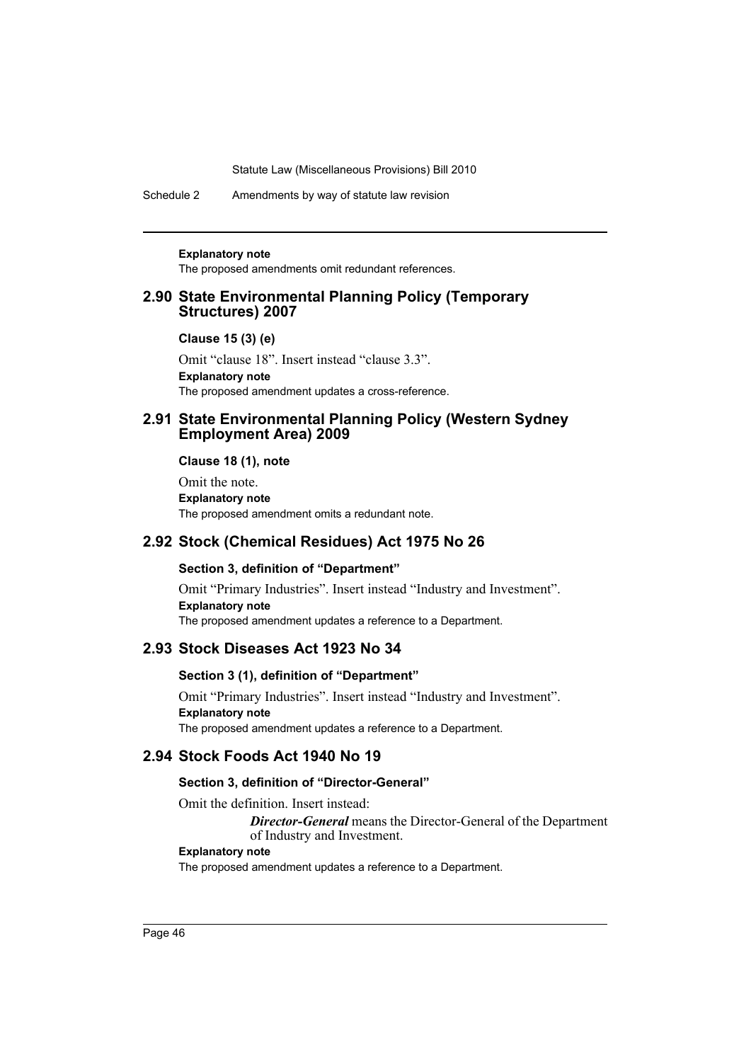Schedule 2 Amendments by way of statute law revision

#### **Explanatory note**

The proposed amendments omit redundant references.

# **2.90 State Environmental Planning Policy (Temporary Structures) 2007**

#### **Clause 15 (3) (e)**

Omit "clause 18". Insert instead "clause 3.3". **Explanatory note** The proposed amendment updates a cross-reference.

# **2.91 State Environmental Planning Policy (Western Sydney Employment Area) 2009**

**Clause 18 (1), note**

Omit the note. **Explanatory note** The proposed amendment omits a redundant note.

# **2.92 Stock (Chemical Residues) Act 1975 No 26**

# **Section 3, definition of "Department"**

Omit "Primary Industries". Insert instead "Industry and Investment". **Explanatory note** The proposed amendment updates a reference to a Department.

# **2.93 Stock Diseases Act 1923 No 34**

#### **Section 3 (1), definition of "Department"**

Omit "Primary Industries". Insert instead "Industry and Investment". **Explanatory note** The proposed amendment updates a reference to a Department.

# **2.94 Stock Foods Act 1940 No 19**

### **Section 3, definition of "Director-General"**

Omit the definition. Insert instead:

*Director-General* means the Director-General of the Department of Industry and Investment.

#### **Explanatory note**

The proposed amendment updates a reference to a Department.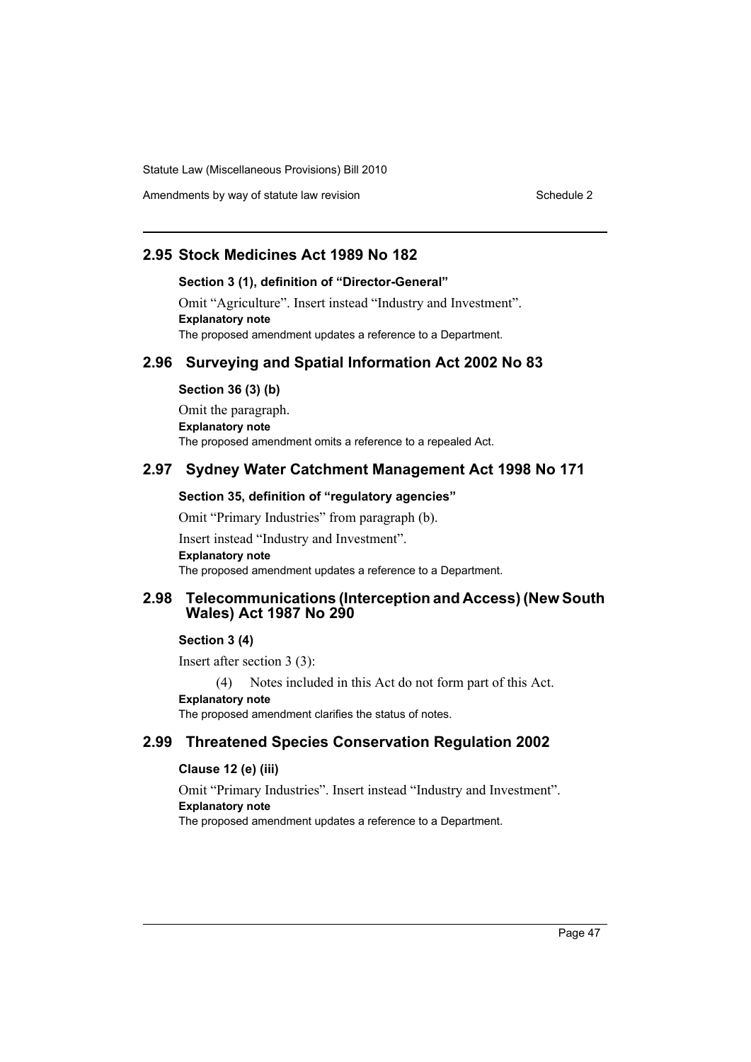Amendments by way of statute law revision Schedule 2 Schedule 2

# **2.95 Stock Medicines Act 1989 No 182**

### **Section 3 (1), definition of "Director-General"**

Omit "Agriculture". Insert instead "Industry and Investment". **Explanatory note** The proposed amendment updates a reference to a Department.

# **2.96 Surveying and Spatial Information Act 2002 No 83**

#### **Section 36 (3) (b)**

Omit the paragraph. **Explanatory note** The proposed amendment omits a reference to a repealed Act.

# **2.97 Sydney Water Catchment Management Act 1998 No 171**

#### **Section 35, definition of "regulatory agencies"**

Omit "Primary Industries" from paragraph (b). Insert instead "Industry and Investment". **Explanatory note** The proposed amendment updates a reference to a Department.

### **2.98 Telecommunications (Interception and Access) (New South Wales) Act 1987 No 290**

# **Section 3 (4)**

Insert after section 3 (3):

(4) Notes included in this Act do not form part of this Act.

# **Explanatory note**

The proposed amendment clarifies the status of notes.

# **2.99 Threatened Species Conservation Regulation 2002**

### **Clause 12 (e) (iii)**

Omit "Primary Industries". Insert instead "Industry and Investment". **Explanatory note** The proposed amendment updates a reference to a Department.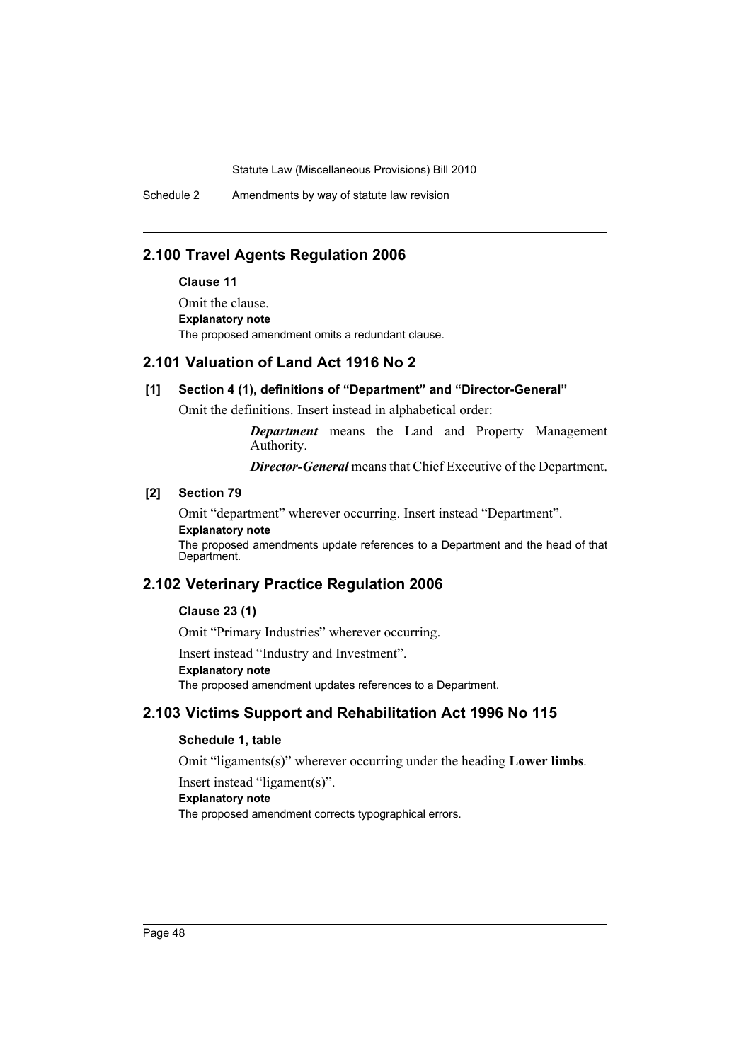Schedule 2 Amendments by way of statute law revision

# **2.100 Travel Agents Regulation 2006**

#### **Clause 11**

Omit the clause. **Explanatory note** The proposed amendment omits a redundant clause.

# **2.101 Valuation of Land Act 1916 No 2**

#### **[1] Section 4 (1), definitions of "Department" and "Director-General"**

Omit the definitions. Insert instead in alphabetical order:

*Department* means the Land and Property Management Authority.

*Director-General* means that Chief Executive of the Department.

# **[2] Section 79**

Omit "department" wherever occurring. Insert instead "Department".

**Explanatory note**

The proposed amendments update references to a Department and the head of that Department.

# **2.102 Veterinary Practice Regulation 2006**

#### **Clause 23 (1)**

Omit "Primary Industries" wherever occurring.

Insert instead "Industry and Investment".

#### **Explanatory note**

The proposed amendment updates references to a Department.

# **2.103 Victims Support and Rehabilitation Act 1996 No 115**

# **Schedule 1, table**

Omit "ligaments(s)" wherever occurring under the heading **Lower limbs**.

Insert instead "ligament(s)".

### **Explanatory note**

The proposed amendment corrects typographical errors.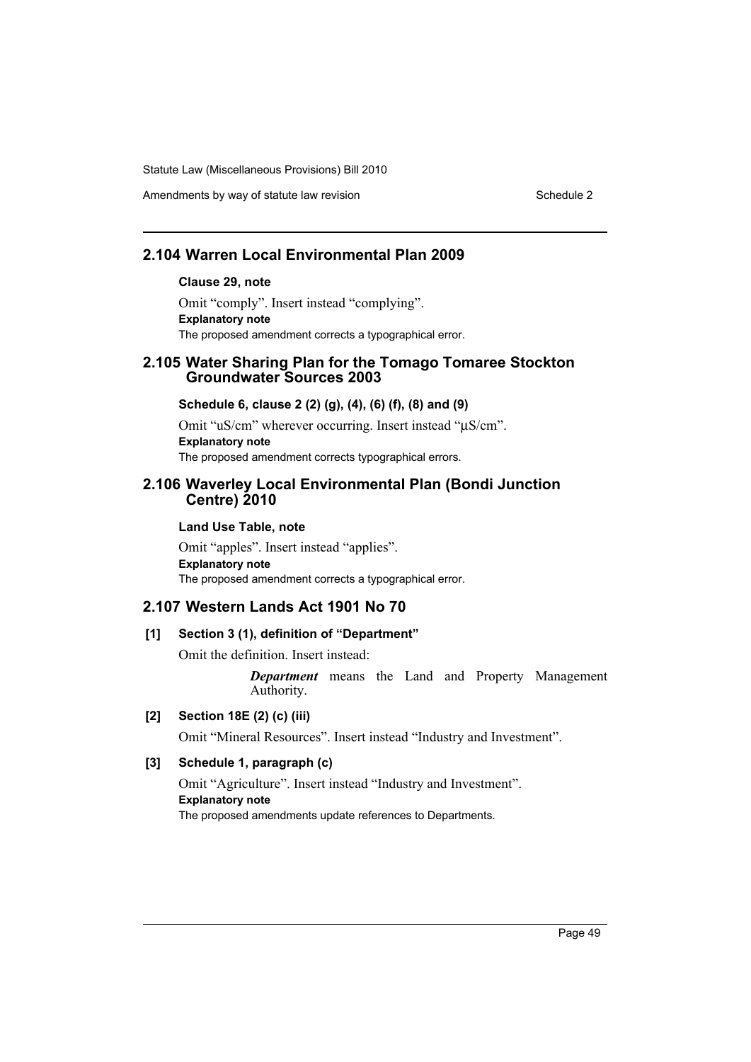Amendments by way of statute law revision Schedule 2 Schedule 2

# **2.104 Warren Local Environmental Plan 2009**

# **Clause 29, note**

Omit "comply". Insert instead "complying". **Explanatory note** The proposed amendment corrects a typographical error.

# **2.105 Water Sharing Plan for the Tomago Tomaree Stockton Groundwater Sources 2003**

**Schedule 6, clause 2 (2) (g), (4), (6) (f), (8) and (9)**

Omit "uS/cm" wherever occurring. Insert instead "μS/cm". **Explanatory note** The proposed amendment corrects typographical errors.

# **2.106 Waverley Local Environmental Plan (Bondi Junction Centre) 2010**

#### **Land Use Table, note**

Omit "apples". Insert instead "applies". **Explanatory note** The proposed amendment corrects a typographical error.

# **2.107 Western Lands Act 1901 No 70**

#### **[1] Section 3 (1), definition of "Department"**

Omit the definition. Insert instead:

*Department* means the Land and Property Management Authority.

# **[2] Section 18E (2) (c) (iii)**

Omit "Mineral Resources". Insert instead "Industry and Investment".

# **[3] Schedule 1, paragraph (c)**

Omit "Agriculture". Insert instead "Industry and Investment". **Explanatory note** The proposed amendments update references to Departments.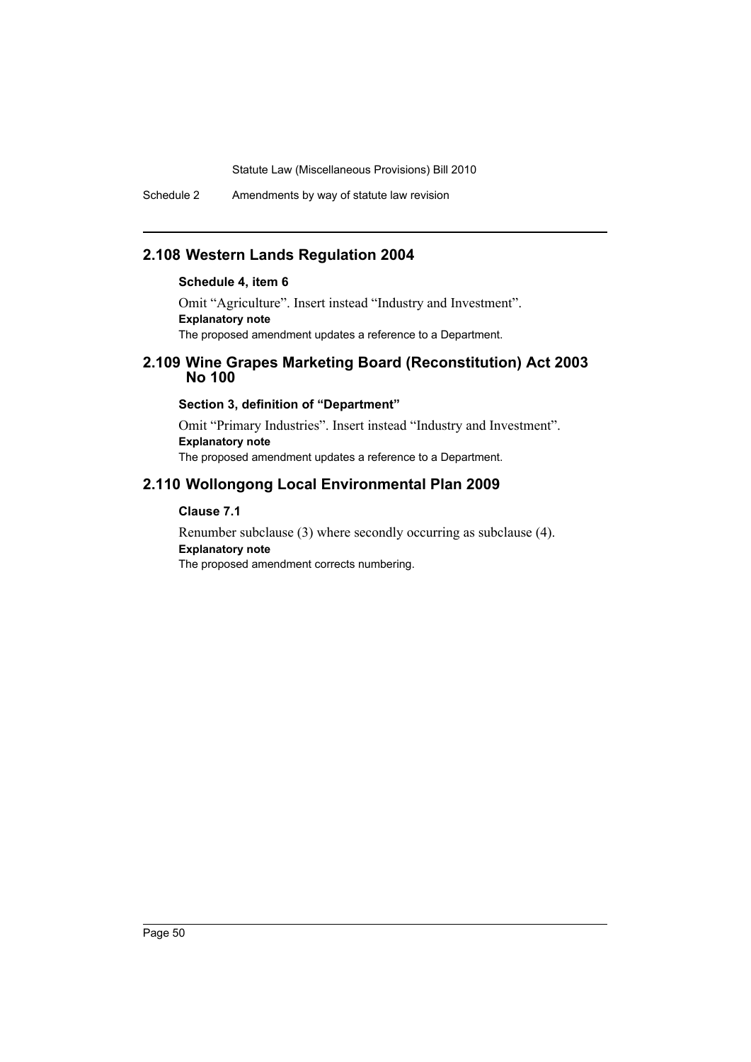Schedule 2 Amendments by way of statute law revision

# **2.108 Western Lands Regulation 2004**

### **Schedule 4, item 6**

Omit "Agriculture". Insert instead "Industry and Investment". **Explanatory note** The proposed amendment updates a reference to a Department.

# **2.109 Wine Grapes Marketing Board (Reconstitution) Act 2003 No 100**

### **Section 3, definition of "Department"**

Omit "Primary Industries". Insert instead "Industry and Investment". **Explanatory note** The proposed amendment updates a reference to a Department.

# **2.110 Wollongong Local Environmental Plan 2009**

### **Clause 7.1**

Renumber subclause (3) where secondly occurring as subclause (4). **Explanatory note** The proposed amendment corrects numbering.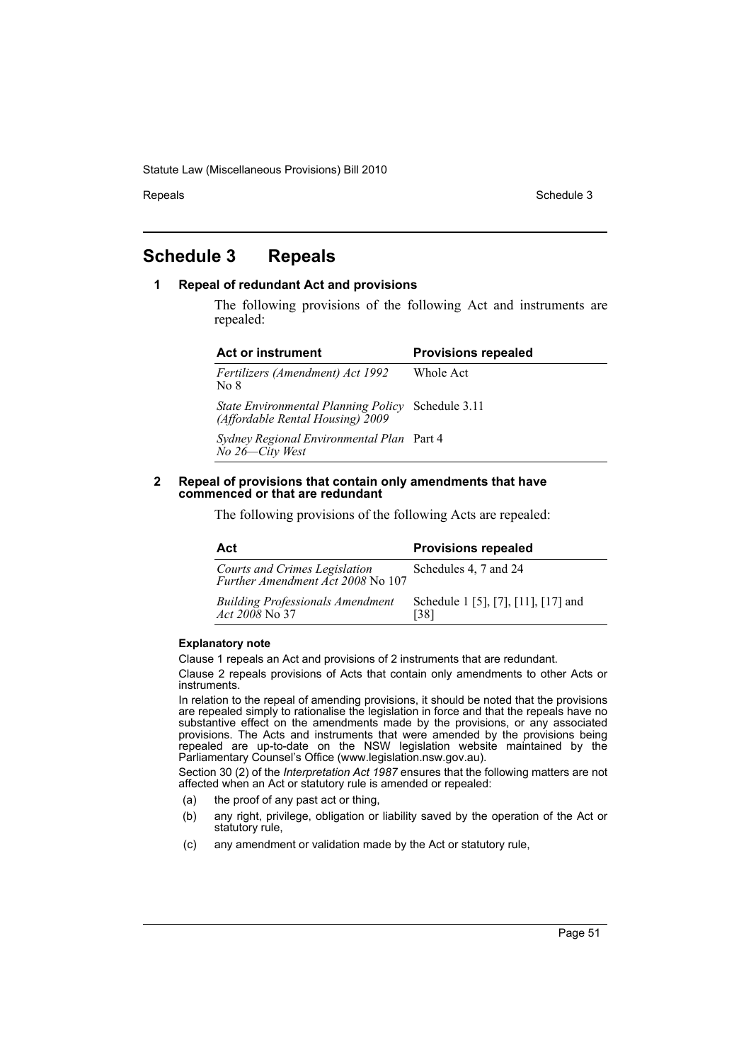Repeals **Schedule 3** Schedule 3

# <span id="page-51-0"></span>**Schedule 3 Repeals**

### **1 Repeal of redundant Act and provisions**

The following provisions of the following Act and instruments are repealed:

| <b>Act or instrument</b>                                                              | <b>Provisions repealed</b> |
|---------------------------------------------------------------------------------------|----------------------------|
| Fertilizers (Amendment) Act 1992<br>No 8                                              | Whole Act                  |
| State Environmental Planning Policy Schedule 3.11<br>(Affordable Rental Housing) 2009 |                            |
| Sydney Regional Environmental Plan Part 4<br>$\dot{N}o$ 26— $City$ West               |                            |
|                                                                                       |                            |

#### **2 Repeal of provisions that contain only amendments that have commenced or that are redundant**

The following provisions of the following Acts are repealed:

| Act                                                                | <b>Provisions repealed</b>                  |
|--------------------------------------------------------------------|---------------------------------------------|
| Courts and Crimes Legislation<br>Further Amendment Act 2008 No 107 | Schedules 4, 7 and 24                       |
| <b>Building Professionals Amendment</b><br><i>Act</i> 2008 No 37   | Schedule 1 [5], [7], [11], [17] and<br>[38] |

#### **Explanatory note**

Clause 1 repeals an Act and provisions of 2 instruments that are redundant.

Clause 2 repeals provisions of Acts that contain only amendments to other Acts or instruments.

In relation to the repeal of amending provisions, it should be noted that the provisions are repealed simply to rationalise the legislation in force and that the repeals have no substantive effect on the amendments made by the provisions, or any associated provisions. The Acts and instruments that were amended by the provisions being repealed are up-to-date on the NSW legislation website maintained by the Parliamentary Counsel's Office (www.legislation.nsw.gov.au).

Section 30 (2) of the *Interpretation Act 1987* ensures that the following matters are not affected when an Act or statutory rule is amended or repealed:

- (a) the proof of any past act or thing,
- (b) any right, privilege, obligation or liability saved by the operation of the Act or statutory rule,
- (c) any amendment or validation made by the Act or statutory rule,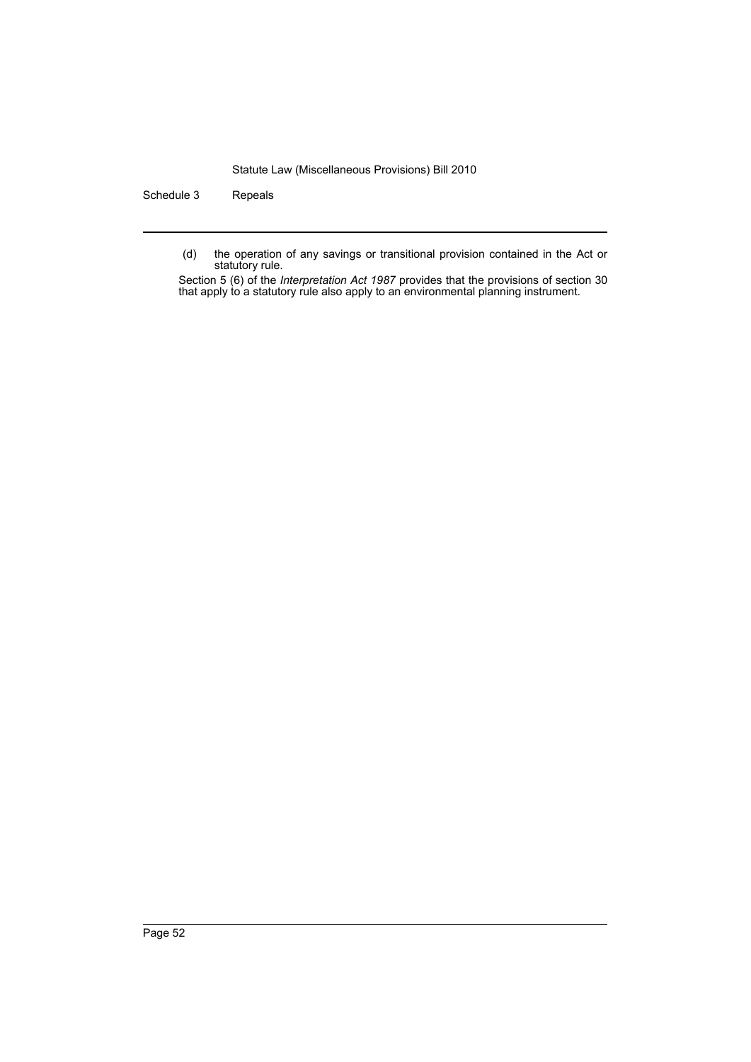Schedule 3 Repeals

(d) the operation of any savings or transitional provision contained in the Act or statutory rule.

Section 5 (6) of the *Interpretation Act 1987* provides that the provisions of section 30 that apply to a statutory rule also apply to an environmental planning instrument.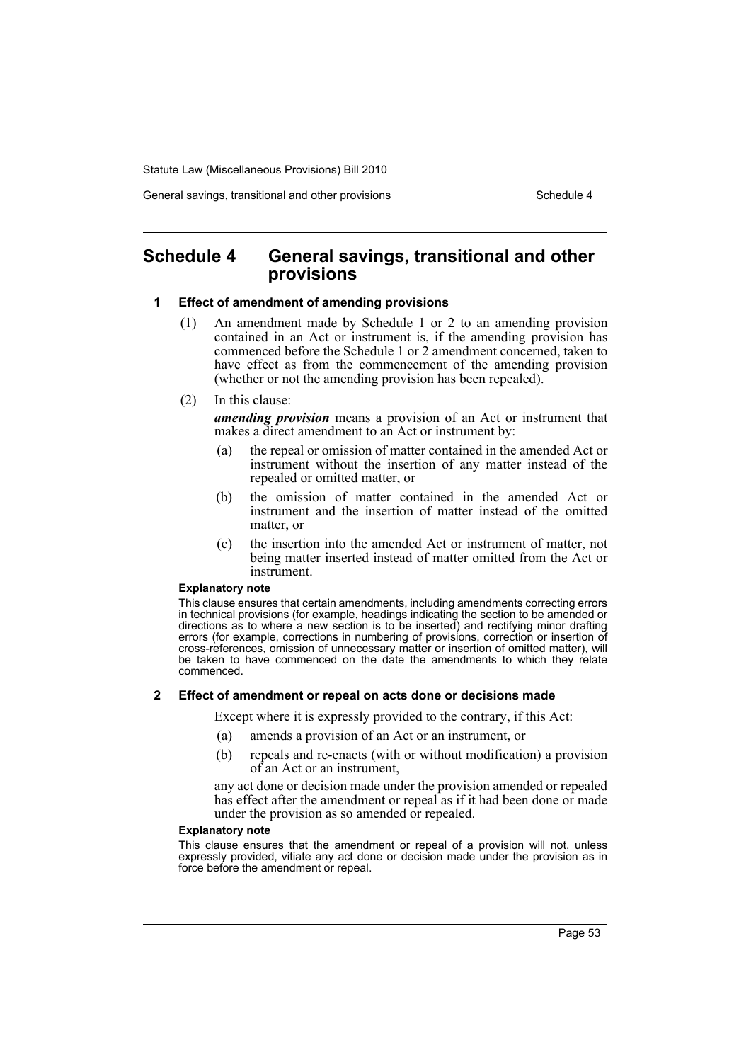General savings, transitional and other provisions Schedule 4

# <span id="page-53-0"></span>**Schedule 4 General savings, transitional and other provisions**

#### **1 Effect of amendment of amending provisions**

- (1) An amendment made by Schedule 1 or 2 to an amending provision contained in an Act or instrument is, if the amending provision has commenced before the Schedule 1 or 2 amendment concerned, taken to have effect as from the commencement of the amending provision (whether or not the amending provision has been repealed).
- (2) In this clause:

*amending provision* means a provision of an Act or instrument that makes a direct amendment to an Act or instrument by:

- (a) the repeal or omission of matter contained in the amended Act or instrument without the insertion of any matter instead of the repealed or omitted matter, or
- (b) the omission of matter contained in the amended Act or instrument and the insertion of matter instead of the omitted matter, or
- (c) the insertion into the amended Act or instrument of matter, not being matter inserted instead of matter omitted from the Act or instrument.

#### **Explanatory note**

This clause ensures that certain amendments, including amendments correcting errors in technical provisions (for example, headings indicating the section to be amended or directions as to where a new section is to be inserted) and rectifying minor drafting errors (for example, corrections in numbering of provisions, correction or insertion of cross-references, omission of unnecessary matter or insertion of omitted matter), will be taken to have commenced on the date the amendments to which they relate commenced.

#### **2 Effect of amendment or repeal on acts done or decisions made**

Except where it is expressly provided to the contrary, if this Act:

- (a) amends a provision of an Act or an instrument, or
- (b) repeals and re-enacts (with or without modification) a provision of an Act or an instrument,

any act done or decision made under the provision amended or repealed has effect after the amendment or repeal as if it had been done or made under the provision as so amended or repealed.

#### **Explanatory note**

This clause ensures that the amendment or repeal of a provision will not, unless expressly provided, vitiate any act done or decision made under the provision as in force before the amendment or repeal.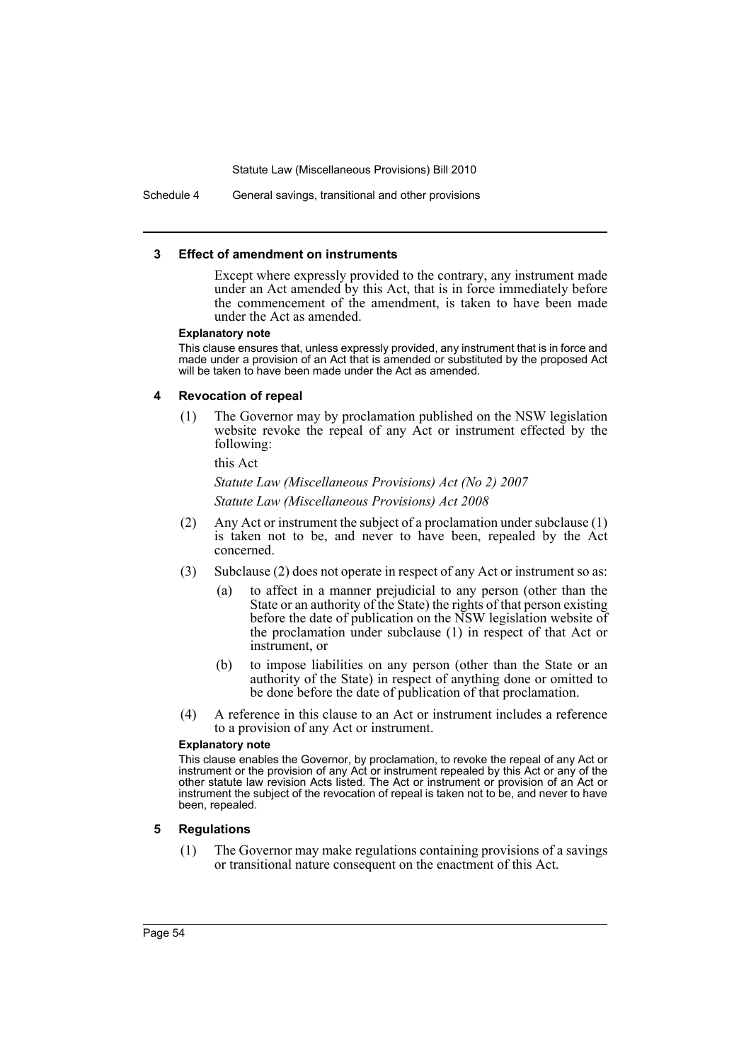Schedule 4 General savings, transitional and other provisions

#### **3 Effect of amendment on instruments**

Except where expressly provided to the contrary, any instrument made under an Act amended by this Act, that is in force immediately before the commencement of the amendment, is taken to have been made under the Act as amended.

#### **Explanatory note**

This clause ensures that, unless expressly provided, any instrument that is in force and made under a provision of an Act that is amended or substituted by the proposed Act will be taken to have been made under the Act as amended.

#### **4 Revocation of repeal**

(1) The Governor may by proclamation published on the NSW legislation website revoke the repeal of any Act or instrument effected by the following:

this Act

*Statute Law (Miscellaneous Provisions) Act (No 2) 2007 Statute Law (Miscellaneous Provisions) Act 2008*

- (2) Any Act or instrument the subject of a proclamation under subclause (1) is taken not to be, and never to have been, repealed by the Act concerned.
- (3) Subclause (2) does not operate in respect of any Act or instrument so as:
	- (a) to affect in a manner prejudicial to any person (other than the State or an authority of the State) the rights of that person existing before the date of publication on the NSW legislation website of the proclamation under subclause (1) in respect of that Act or instrument, or
	- (b) to impose liabilities on any person (other than the State or an authority of the State) in respect of anything done or omitted to be done before the date of publication of that proclamation.
- (4) A reference in this clause to an Act or instrument includes a reference to a provision of any Act or instrument.

#### **Explanatory note**

This clause enables the Governor, by proclamation, to revoke the repeal of any Act or instrument or the provision of any Act or instrument repealed by this Act or any of the other statute law revision Acts listed. The Act or instrument or provision of an Act or instrument the subject of the revocation of repeal is taken not to be, and never to have been, repealed.

#### **5 Regulations**

(1) The Governor may make regulations containing provisions of a savings or transitional nature consequent on the enactment of this Act.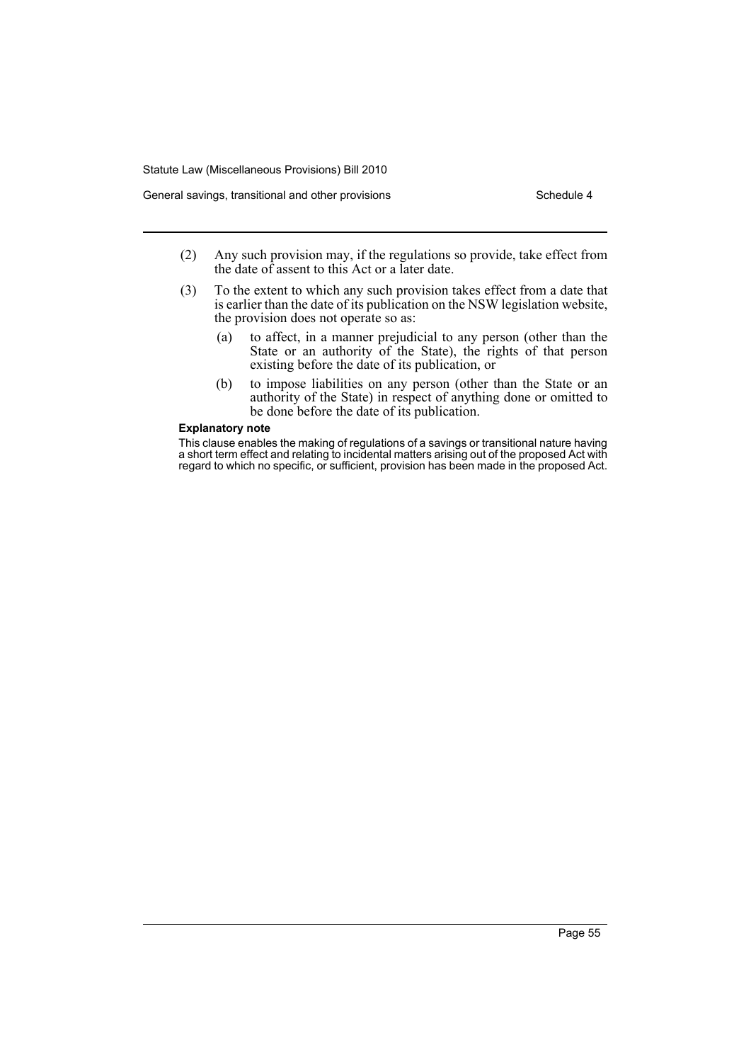- (2) Any such provision may, if the regulations so provide, take effect from the date of assent to this Act or a later date.
- (3) To the extent to which any such provision takes effect from a date that is earlier than the date of its publication on the NSW legislation website, the provision does not operate so as:
	- (a) to affect, in a manner prejudicial to any person (other than the State or an authority of the State), the rights of that person existing before the date of its publication, or
	- (b) to impose liabilities on any person (other than the State or an authority of the State) in respect of anything done or omitted to be done before the date of its publication.

#### **Explanatory note**

This clause enables the making of regulations of a savings or transitional nature having a short term effect and relating to incidental matters arising out of the proposed Act with regard to which no specific, or sufficient, provision has been made in the proposed Act.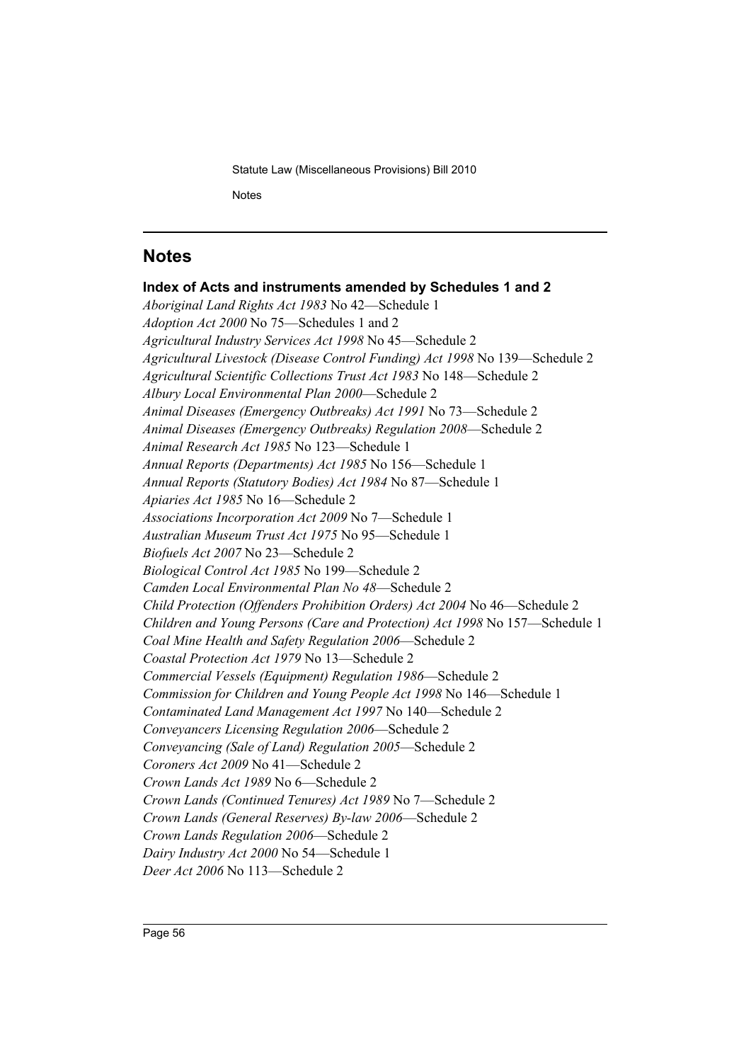Statute Law (Miscellaneous Provisions) Bill 2010 **Notes** 

# <span id="page-56-0"></span>**Notes**

**Index of Acts and instruments amended by Schedules 1 and 2** *Aboriginal Land Rights Act 1983* No 42—Schedule 1 *Adoption Act 2000* No 75—Schedules 1 and 2 *Agricultural Industry Services Act 1998* No 45—Schedule 2 *Agricultural Livestock (Disease Control Funding) Act 1998* No 139—Schedule 2 *Agricultural Scientific Collections Trust Act 1983* No 148—Schedule 2 *Albury Local Environmental Plan 2000*—Schedule 2 *Animal Diseases (Emergency Outbreaks) Act 1991* No 73—Schedule 2 *Animal Diseases (Emergency Outbreaks) Regulation 2008*—Schedule 2 *Animal Research Act 1985* No 123—Schedule 1 *Annual Reports (Departments) Act 1985* No 156—Schedule 1 *Annual Reports (Statutory Bodies) Act 1984* No 87—Schedule 1 *Apiaries Act 1985* No 16—Schedule 2 *Associations Incorporation Act 2009* No 7—Schedule 1 *Australian Museum Trust Act 1975* No 95—Schedule 1 *Biofuels Act 2007* No 23—Schedule 2 *Biological Control Act 1985* No 199—Schedule 2 *Camden Local Environmental Plan No 48*—Schedule 2 *Child Protection (Offenders Prohibition Orders) Act 2004* No 46—Schedule 2 *Children and Young Persons (Care and Protection) Act 1998* No 157—Schedule 1 *Coal Mine Health and Safety Regulation 2006*—Schedule 2 *Coastal Protection Act 1979* No 13—Schedule 2 *Commercial Vessels (Equipment) Regulation 1986*—Schedule 2 *Commission for Children and Young People Act 1998* No 146—Schedule 1 *Contaminated Land Management Act 1997* No 140—Schedule 2 *Conveyancers Licensing Regulation 2006*—Schedule 2 *Conveyancing (Sale of Land) Regulation 2005*—Schedule 2 *Coroners Act 2009* No 41—Schedule 2 *Crown Lands Act 1989* No 6—Schedule 2 *Crown Lands (Continued Tenures) Act 1989* No 7—Schedule 2 *Crown Lands (General Reserves) By-law 2006*—Schedule 2 *Crown Lands Regulation 2006*—Schedule 2 *Dairy Industry Act 2000* No 54—Schedule 1 *Deer Act 2006* No 113—Schedule 2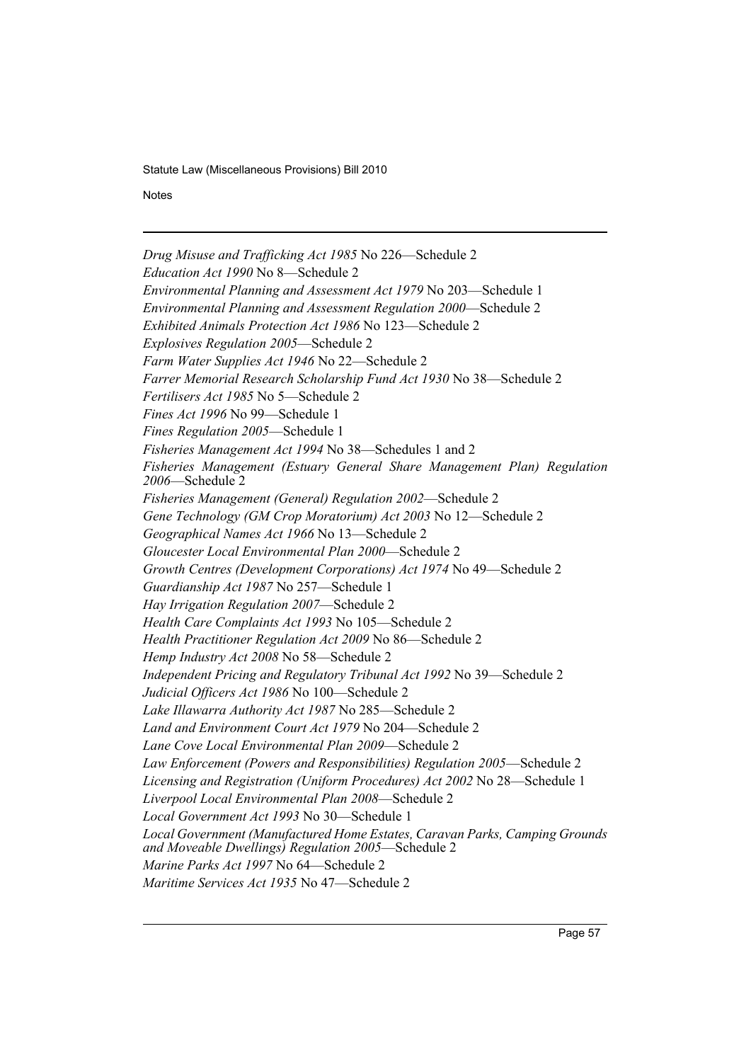**Notes** 

*Drug Misuse and Trafficking Act 1985* No 226—Schedule 2 *Education Act 1990* No 8—Schedule 2 *Environmental Planning and Assessment Act 1979* No 203—Schedule 1 *Environmental Planning and Assessment Regulation 2000*—Schedule 2 *Exhibited Animals Protection Act 1986* No 123—Schedule 2 *Explosives Regulation 2005*—Schedule 2 *Farm Water Supplies Act 1946* No 22—Schedule 2 *Farrer Memorial Research Scholarship Fund Act 1930* No 38—Schedule 2 *Fertilisers Act 1985* No 5—Schedule 2 *Fines Act 1996* No 99—Schedule 1 *Fines Regulation 2005*—Schedule 1 *Fisheries Management Act 1994* No 38—Schedules 1 and 2 *Fisheries Management (Estuary General Share Management Plan) Regulation 2006*—Schedule 2 *Fisheries Management (General) Regulation 2002*—Schedule 2 *Gene Technology (GM Crop Moratorium) Act 2003* No 12—Schedule 2 *Geographical Names Act 1966* No 13—Schedule 2 *Gloucester Local Environmental Plan 2000*—Schedule 2 *Growth Centres (Development Corporations) Act 1974* No 49—Schedule 2 *Guardianship Act 1987* No 257—Schedule 1 *Hay Irrigation Regulation 2007*—Schedule 2 *Health Care Complaints Act 1993* No 105—Schedule 2 *Health Practitioner Regulation Act 2009* No 86—Schedule 2 *Hemp Industry Act 2008* No 58—Schedule 2 *Independent Pricing and Regulatory Tribunal Act 1992* No 39—Schedule 2 *Judicial Officers Act 1986* No 100—Schedule 2 *Lake Illawarra Authority Act 1987* No 285—Schedule 2 *Land and Environment Court Act 1979* No 204—Schedule 2 *Lane Cove Local Environmental Plan 2009*—Schedule 2 *Law Enforcement (Powers and Responsibilities) Regulation 2005*—Schedule 2 *Licensing and Registration (Uniform Procedures) Act 2002* No 28—Schedule 1 *Liverpool Local Environmental Plan 2008*—Schedule 2 *Local Government Act 1993* No 30—Schedule 1 *Local Government (Manufactured Home Estates, Caravan Parks, Camping Grounds and Moveable Dwellings) Regulation 2005*—Schedule 2 *Marine Parks Act 1997* No 64—Schedule 2 *Maritime Services Act 1935* No 47—Schedule 2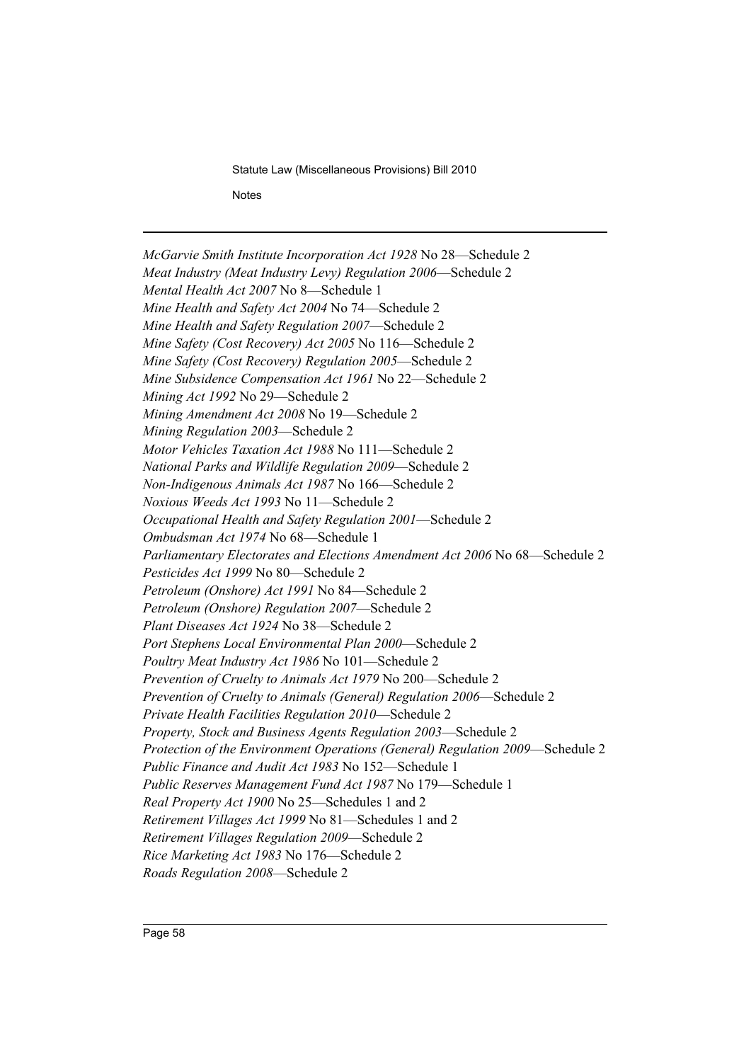Statute Law (Miscellaneous Provisions) Bill 2010 **Notes** 

*McGarvie Smith Institute Incorporation Act 1928* No 28—Schedule 2 *Meat Industry (Meat Industry Levy) Regulation 2006*—Schedule 2 *Mental Health Act 2007* No 8—Schedule 1 *Mine Health and Safety Act 2004* No 74—Schedule 2 *Mine Health and Safety Regulation 2007*—Schedule 2 *Mine Safety (Cost Recovery) Act 2005* No 116—Schedule 2 *Mine Safety (Cost Recovery) Regulation 2005*—Schedule 2 *Mine Subsidence Compensation Act 1961* No 22—Schedule 2 *Mining Act 1992* No 29—Schedule 2 *Mining Amendment Act 2008* No 19—Schedule 2 *Mining Regulation 2003*—Schedule 2 *Motor Vehicles Taxation Act 1988* No 111—Schedule 2 *National Parks and Wildlife Regulation 2009*—Schedule 2 *Non-Indigenous Animals Act 1987* No 166—Schedule 2 *Noxious Weeds Act 1993* No 11—Schedule 2 *Occupational Health and Safety Regulation 2001*—Schedule 2 *Ombudsman Act 1974* No 68—Schedule 1 *Parliamentary Electorates and Elections Amendment Act 2006* No 68—Schedule 2 *Pesticides Act 1999* No 80—Schedule 2 *Petroleum (Onshore) Act 1991* No 84—Schedule 2 *Petroleum (Onshore) Regulation 2007*—Schedule 2 *Plant Diseases Act 1924* No 38—Schedule 2 *Port Stephens Local Environmental Plan 2000*—Schedule 2 *Poultry Meat Industry Act 1986* No 101—Schedule 2 *Prevention of Cruelty to Animals Act 1979* No 200—Schedule 2 *Prevention of Cruelty to Animals (General) Regulation 2006*—Schedule 2 *Private Health Facilities Regulation 2010*—Schedule 2 *Property, Stock and Business Agents Regulation 2003*—Schedule 2 *Protection of the Environment Operations (General) Regulation 2009*—Schedule 2 *Public Finance and Audit Act 1983* No 152—Schedule 1 *Public Reserves Management Fund Act 1987* No 179—Schedule 1 *Real Property Act 1900* No 25—Schedules 1 and 2 *Retirement Villages Act 1999* No 81—Schedules 1 and 2 *Retirement Villages Regulation 2009*—Schedule 2 *Rice Marketing Act 1983* No 176—Schedule 2 *Roads Regulation 2008*—Schedule 2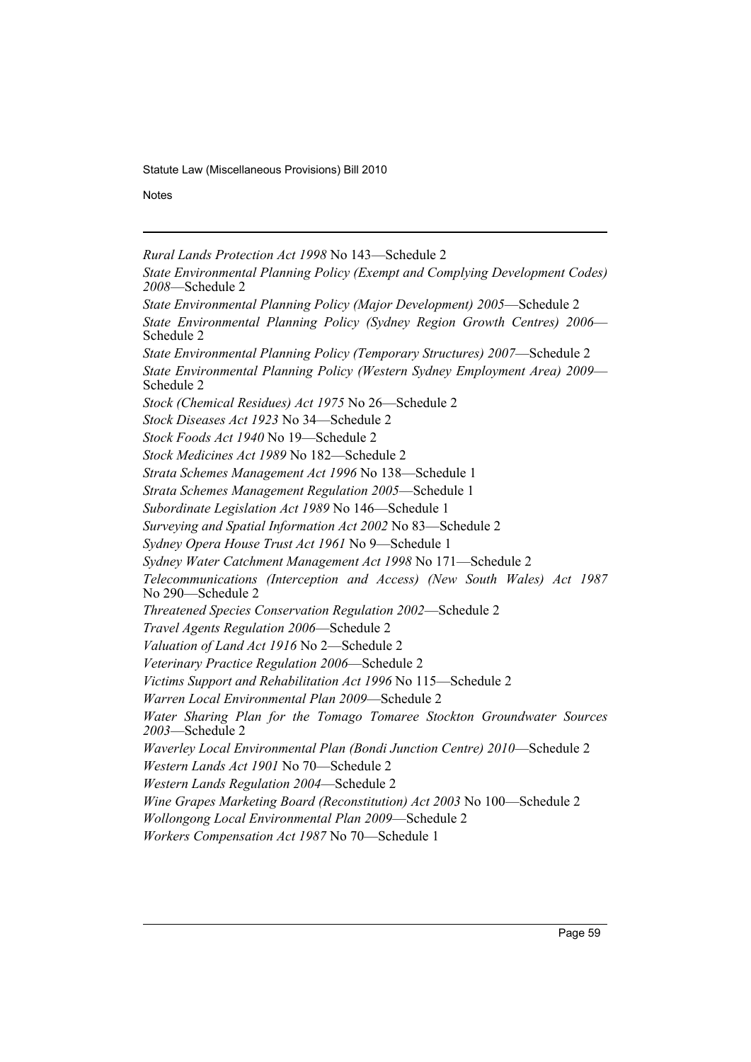**Notes** 

*Rural Lands Protection Act 1998* No 143—Schedule 2

*State Environmental Planning Policy (Exempt and Complying Development Codes) 2008*—Schedule 2 *State Environmental Planning Policy (Major Development) 2005*—Schedule 2 *State Environmental Planning Policy (Sydney Region Growth Centres) 2006*— Schedule 2 *State Environmental Planning Policy (Temporary Structures) 2007*—Schedule 2 *State Environmental Planning Policy (Western Sydney Employment Area) 2009*— Schedule 2 *Stock (Chemical Residues) Act 1975* No 26—Schedule 2 *Stock Diseases Act 1923* No 34—Schedule 2 *Stock Foods Act 1940* No 19—Schedule 2 *Stock Medicines Act 1989* No 182—Schedule 2 *Strata Schemes Management Act 1996* No 138—Schedule 1 *Strata Schemes Management Regulation 2005*—Schedule 1 *Subordinate Legislation Act 1989* No 146—Schedule 1 *Surveying and Spatial Information Act 2002* No 83—Schedule 2 *Sydney Opera House Trust Act 1961* No 9—Schedule 1 *Sydney Water Catchment Management Act 1998* No 171—Schedule 2 *Telecommunications (Interception and Access) (New South Wales) Act 1987* No 290—Schedule 2 *Threatened Species Conservation Regulation 2002*—Schedule 2 *Travel Agents Regulation 2006*—Schedule 2 *Valuation of Land Act 1916* No 2—Schedule 2 *Veterinary Practice Regulation 2006*—Schedule 2 *Victims Support and Rehabilitation Act 1996* No 115—Schedule 2 *Warren Local Environmental Plan 2009*—Schedule 2 *Water Sharing Plan for the Tomago Tomaree Stockton Groundwater Sources 2003*—Schedule 2 *Waverley Local Environmental Plan (Bondi Junction Centre) 2010*—Schedule 2 *Western Lands Act 1901* No 70—Schedule 2 *Western Lands Regulation 2004*—Schedule 2 *Wine Grapes Marketing Board (Reconstitution) Act 2003* No 100—Schedule 2 *Wollongong Local Environmental Plan 2009*—Schedule 2 *Workers Compensation Act 1987* No 70—Schedule 1